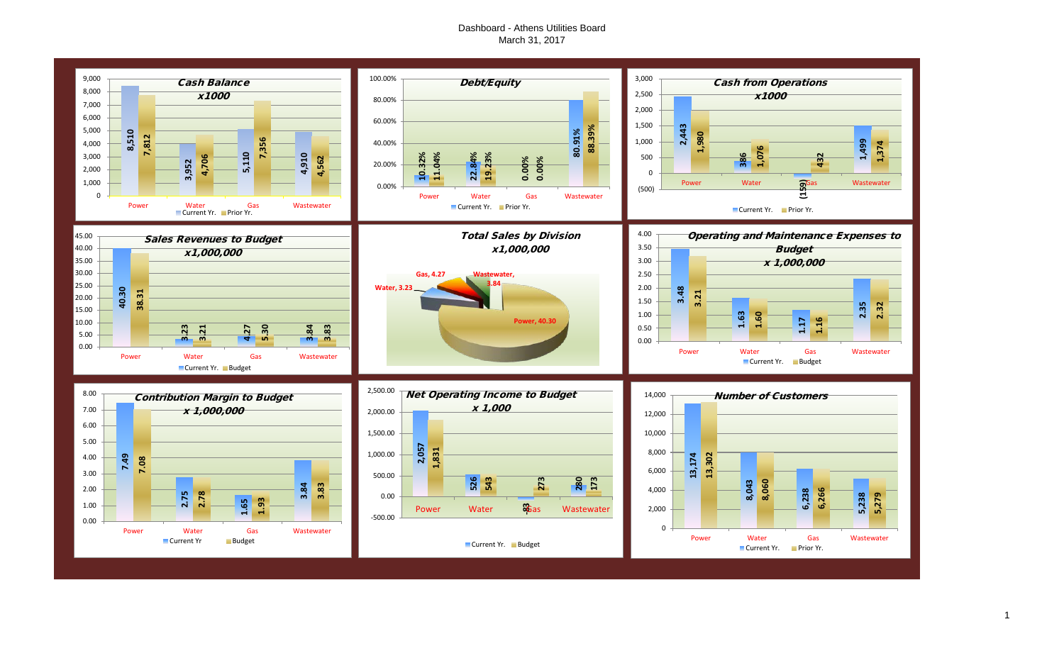## Dashboard - Athens Utilities Board March 31, 2017

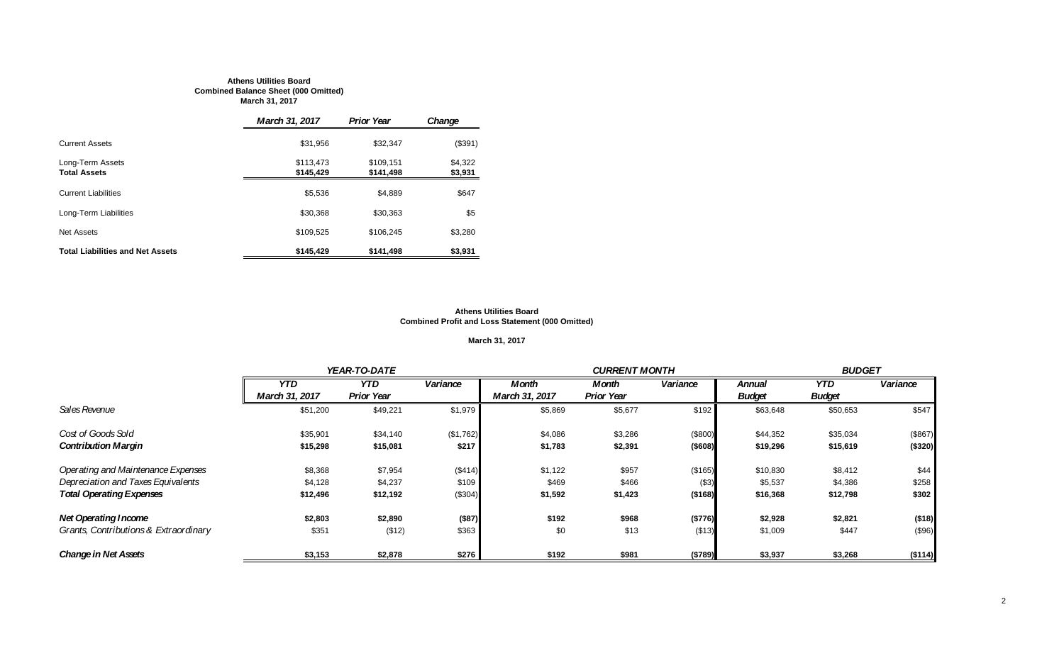#### **Athens Utilities Board Combined Balance Sheet (000 Omitted) March 31, 2017**

|                                         | March 31, 2017         | <b>Prior Year</b>      | Change             |
|-----------------------------------------|------------------------|------------------------|--------------------|
| <b>Current Assets</b>                   | \$31,956               | \$32.347               | (\$391)            |
| Long-Term Assets<br><b>Total Assets</b> | \$113.473<br>\$145,429 | \$109.151<br>\$141.498 | \$4,322<br>\$3,931 |
| <b>Current Liabilities</b>              | \$5,536                | \$4,889                | \$647              |
| Long-Term Liabilities                   | \$30,368               | \$30.363               | \$5                |
| <b>Net Assets</b>                       | \$109,525              | \$106.245              | \$3,280            |
| <b>Total Liabilities and Net Assets</b> | \$145,429              | \$141,498              | \$3,931            |

#### **Athens Utilities Board Combined Profit and Loss Statement (000 Omitted)**

## **March 31, 2017**

|                                       |                | YEAR-TO-DATE      |           |                | <b>CURRENT MONTH</b> |          |               |               | <b>BUDGET</b> |  |
|---------------------------------------|----------------|-------------------|-----------|----------------|----------------------|----------|---------------|---------------|---------------|--|
|                                       | <b>YTD</b>     | <b>YTD</b>        | Variance  | <b>Month</b>   | Month                | Variance | Annual        | <b>YTD</b>    | Variance      |  |
|                                       | March 31, 2017 | <b>Prior Year</b> |           | March 31, 2017 | <b>Prior Year</b>    |          | <b>Budget</b> | <b>Budget</b> |               |  |
| Sales Revenue                         | \$51,200       | \$49,221          | \$1,979   | \$5,869        | \$5,677              | \$192    | \$63,648      | \$50,653      | \$547         |  |
| Cost of Goods Sold                    | \$35,901       | \$34,140          | (\$1,762) | \$4,086        | \$3,286              | (\$800)  | \$44,352      | \$35,034      | (\$867)       |  |
| <b>Contribution Margin</b>            | \$15,298       | \$15,081          | \$217     | \$1,783        | \$2,391              | ( \$608) | \$19,296      | \$15,619      | (\$320)       |  |
| Operating and Maintenance Expenses    | \$8,368        | \$7,954           | (\$414)   | \$1,122        | \$957                | (\$165)  | \$10,830      | \$8,412       | \$44          |  |
| Depreciation and Taxes Equivalents    | \$4,128        | \$4,237           | \$109     | \$469          | \$466                | ( \$3)   | \$5,537       | \$4,386       | \$258         |  |
| <b>Total Operating Expenses</b>       | \$12,496       | \$12,192          | (\$304)   | \$1,592        | \$1,423              | (\$168)  | \$16,368      | \$12,798      | \$302         |  |
| <b>Net Operating Income</b>           | \$2,803        | \$2,890           | (\$87)    | \$192          | \$968                | (\$776)  | \$2,928       | \$2,821       | (\$18)        |  |
| Grants, Contributions & Extraordinary | \$351          | (\$12)            | \$363     | \$0            | \$13                 | (\$13)   | \$1,009       | \$447         | (\$96)        |  |
| <b>Change in Net Assets</b>           | \$3,153        | \$2,878           | \$276     | \$192          | \$981                | (\$789)  | \$3,937       | \$3,268       | (\$114)       |  |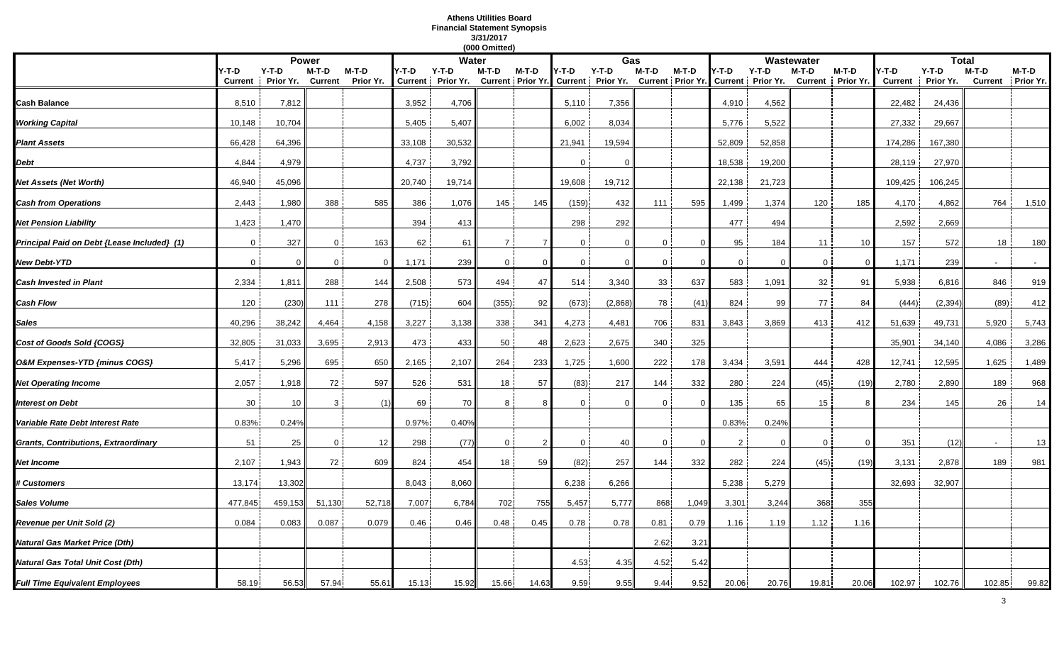## **Athens Utilities Board Financial Statement Synopsis 3/31/2017**

|                                             |                         |                      |                         |                    |                         |                      | (000 Omitted) |          |                |                                                |                |                            |                |                              |                         |                      |                         |                      |                         |                    |
|---------------------------------------------|-------------------------|----------------------|-------------------------|--------------------|-------------------------|----------------------|---------------|----------|----------------|------------------------------------------------|----------------|----------------------------|----------------|------------------------------|-------------------------|----------------------|-------------------------|----------------------|-------------------------|--------------------|
|                                             |                         | <b>Power</b>         |                         |                    |                         | Water                |               |          |                | Gas                                            |                |                            |                |                              | Wastewater              |                      |                         | <b>Total</b>         |                         |                    |
|                                             | Y-T-D<br><b>Current</b> | $Y-T-D$<br>Prior Yr. | M-T-D<br><b>Current</b> | M-T-D<br>Prior Yr. | Y-T-D<br><b>Current</b> | $Y-T-D$<br>Prior Yr. | M-T-D         | $M-T-D$  | Y-T-D          | $Y-T-D$<br>Current Prior Yr. Current Prior Yr. | M-T-D          | M-T-D<br>Current Prior Yr. | '-T-D          | $Y-T-D$<br>Current Prior Yr. | M-T-D<br><b>Current</b> | $M-T-D$<br>Prior Yr. | Y-T-D<br><b>Current</b> | $Y-T-D$<br>Prior Yr. | M-T-D<br><b>Current</b> | M-T-D<br>Prior Yr. |
| Cash Balance                                | 8,510                   | 7,812                |                         |                    | 3,952                   | 4,706                |               |          | 5,110          | 7,356                                          |                |                            | 4,910          | 4,562                        |                         |                      | 22,482                  | 24,436               |                         |                    |
| <b>Working Capital</b>                      | 10,148                  | 10,704               |                         |                    | 5,405                   | 5,407                |               |          | 6,002          | 8,034                                          |                |                            | 5,776          | 5,522                        |                         |                      | 27,332                  | 29,667               |                         |                    |
| <b>Plant Assets</b>                         | 66,428                  | 64,396               |                         |                    | 33,108                  | 30,532               |               |          | 21,941         | 19,594                                         |                |                            | 52,809         | 52,858                       |                         |                      | 174,286                 | 167,380              |                         |                    |
| Debt                                        | 4,844                   | 4,979                |                         |                    | 4,737                   | 3,792                |               |          | $\mathbf{0}$   |                                                |                |                            | 18,538         | 19,200                       |                         |                      | 28,119                  | 27,970               |                         |                    |
| Net Assets (Net Worth)                      | 46,940                  | 45,096               |                         |                    | 20,740                  | 19,714               |               |          | 19,608         | 19,712                                         |                |                            | 22,138         | 21,723                       |                         |                      | 109,425                 | 106,245              |                         |                    |
| <b>Cash from Operations</b>                 | 2,443                   | 1,980                | 388                     | 585                | 386                     | 1,076                | 145           | 145      | (159)          | 432                                            | 111            | 595                        | 1,499          | 1,374                        | 120                     | 185                  | 4,170                   | 4,862                | 764                     | 1,510              |
| <b>Net Pension Liability</b>                | 1,423                   | 1,470                |                         |                    | 394                     | 413                  |               |          | 298            | 292                                            |                |                            | 477            | 494                          |                         |                      | 2,592                   | 2,669                |                         |                    |
| Principal Paid on Debt {Lease Included} (1) | $\mathbf 0$             | 327                  | $\mathbf 0$             | 163                | 62                      | 61                   | <b>7</b> i    |          | $\mathbf 0$    | $\Omega$                                       | $\mathbf{0}$   | $\Omega$                   | 95             | 184                          | 11                      | 10                   | 157                     | 572                  | 18                      | 180                |
| <b>New Debt-YTD</b>                         | $\overline{0}$          | $\Omega$             | $\overline{0}$          | - 0                | 1,171                   | 239                  | $\mathbf{0}$  | $\Omega$ | $\mathbf 0$    | $\Omega$                                       | $\overline{0}$ | $\Omega$                   | $\overline{0}$ | $\Omega$                     | $\mathbf 0$             | $\Omega$             | 1,171                   | 239                  |                         | $\sim$             |
| <b>Cash Invested in Plant</b>               | 2,334                   | 1,811                | 288                     | 144                | 2,508                   | 573                  | 494           | 47       | 514            | 3,340                                          | 33             | 637                        | 583            | 1,091                        | 32                      | 91                   | 5,938                   | 6,816                | 846                     | 919                |
| Cash Flow                                   | 120                     | (230)                | 111                     | 278                | (715)                   | 604                  | (355)         | 92       | (673)          | (2,868)                                        | 78             | (41)                       | 824            | 99                           | 77                      | 84                   | (444)                   | (2, 394)             | (89)                    | 412                |
| Sales                                       | 40,296                  | 38,242               | 4,464                   | 4,158              | 3,227                   | 3,138                | 338           | 341      | 4,273          | 4,481                                          | 706            | 831                        | 3,843          | 3,869                        | 413                     | 412                  | 51,639                  | 49,731               | 5,920                   | 5,743              |
| Cost of Goods Sold {COGS}                   | 32,805                  | 31,033               | 3,695                   | 2,913              | 473                     | 433                  | 50            | 48       | 2,623          | 2,675                                          | 340            | 325                        |                |                              |                         |                      | 35,901                  | 34,140               | 4,086                   | 3,286              |
| O&M Expenses-YTD {minus COGS}               | 5,417                   | 5,296                | 695                     | 650                | 2,165                   | 2,107                | 264           | 233      | 1,725          | 1,600                                          | 222            | 178                        | 3,434          | 3,591                        | 444                     | 428                  | 12,741                  | 12,595               | 1,625                   | 1,489              |
| <b>Net Operating Income</b>                 | 2,057                   | 1,918                | 72                      | 597                | 526                     | 531                  | 18            | 57       | (83)           | 217                                            | 144            | 332                        | 280            | 224                          | (45)                    | (19)                 | 2,780                   | 2,890                | 189                     | 968                |
| <b>Interest on Debt</b>                     | 30                      | 10                   | 3                       | (1)                | 69                      | 70                   | 8             |          | $\Omega$       |                                                | $\Omega$       | $\Omega$                   | 135            | 65                           | 15                      | -8                   | 234                     | 145                  | 26                      | 14                 |
| Variable Rate Debt Interest Rate            | 0.83%                   | 0.24%                |                         |                    | 0.97%                   | 0.40%                |               |          |                |                                                |                |                            | 0.83%          | 0.24%                        |                         |                      |                         |                      |                         |                    |
| <b>Grants, Contributions, Extraordinary</b> | 51                      | 25                   | $\mathbf 0$             | 12                 | 298                     | (77)                 | $\mathbf{0}$  |          | $\overline{0}$ | 40                                             | $\mathbf 0$    | $\overline{0}$             | 2              | $\Omega$                     | $\Omega$                | $\mathbf{0}$         | 351                     | (12)                 |                         | 13                 |
| Net Income                                  | 2,107                   | 1,943                | 72                      | 609                | 824                     | 454                  | 18            | 59       | (82)           | 257                                            | 144            | 332                        | 282            | 224                          | (45)                    | (19)                 | 3,131                   | 2,878                | 189                     | 981                |
| <b># Customers</b>                          | 13,174                  | 13,302               |                         |                    | 8,043                   | 8,060                |               |          | 6,238          | 6,266                                          |                |                            | 5,238          | 5,279                        |                         |                      | 32,693                  | 32,907               |                         |                    |
| Sales Volume                                | 477,845                 | 459,153              | 51,130                  | 52,718             | 7,007                   | 6,784                | 702           | 755      | 5,457          | 5,777                                          | 868            | 1,049                      | 3,301          | 3,244                        | 368                     | 355                  |                         |                      |                         |                    |
| Revenue per Unit Sold (2)                   | 0.084                   | 0.083                | 0.087                   | 0.079              | 0.46                    | 0.46                 | 0.48          | 0.45     | 0.78           | 0.78                                           | 0.81           | 0.79                       | 1.16           | 1.19                         | 1.12                    | 1.16                 |                         |                      |                         |                    |
| Natural Gas Market Price (Dth)              |                         |                      |                         |                    |                         |                      |               |          |                |                                                | 2.62           | $3.2^{\circ}$              |                |                              |                         |                      |                         |                      |                         |                    |
| Natural Gas Total Unit Cost (Dth)           |                         |                      |                         |                    |                         |                      |               |          | 4.53           | 4.35                                           | 4.52           | 5.42                       |                |                              |                         |                      |                         |                      |                         |                    |
| <b>Full Time Equivalent Employees</b>       | 58.19                   | 56.53                | 57.94                   | 55.61              | 15.13                   | 15.92                | 15.66         | 14.63    | 9.59           | 9.55                                           | 9.44           | 9.52                       | 20.06          | 20.76                        | 19.81                   | 20.06                | 102.97                  | 102.76               | 102.85                  | 99.82              |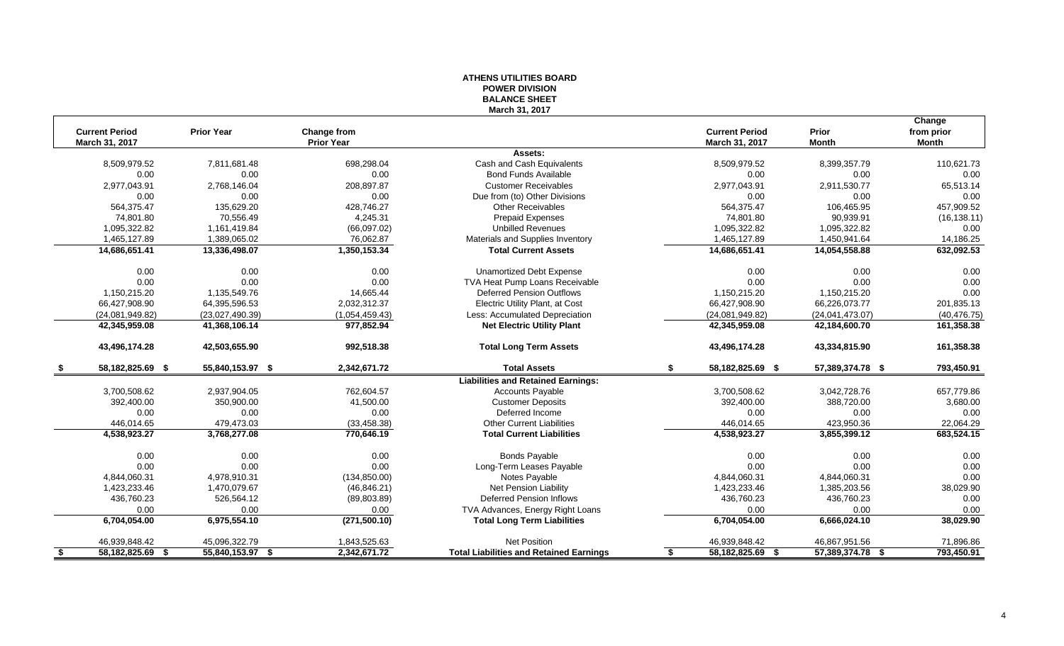## **ATHENS UTILITIES BOARD POWER DIVISION BALANCE SHEET March 31, 2017**

|      |                       |                   |                   |                                                |                        |                          | Change       |
|------|-----------------------|-------------------|-------------------|------------------------------------------------|------------------------|--------------------------|--------------|
|      | <b>Current Period</b> | <b>Prior Year</b> | Change from       |                                                | <b>Current Period</b>  | Prior                    | from prior   |
|      | March 31, 2017        |                   | <b>Prior Year</b> |                                                | March 31, 2017         | <b>Month</b>             | Month        |
|      |                       |                   |                   | Assets:                                        |                        |                          |              |
|      | 8,509,979.52          | 7,811,681.48      | 698.298.04        | Cash and Cash Equivalents                      | 8,509,979.52           | 8,399,357.79             | 110.621.73   |
|      | 0.00                  | 0.00              | 0.00              | <b>Bond Funds Available</b>                    | 0.00                   | 0.00                     | 0.00         |
|      | 2,977,043.91          | 2,768,146.04      | 208,897.87        | <b>Customer Receivables</b>                    | 2,977,043.91           | 2,911,530.77             | 65,513.14    |
|      | 0.00                  | 0.00              | 0.00              | Due from (to) Other Divisions                  | 0.00                   | 0.00                     | 0.00         |
|      | 564,375.47            | 135,629.20        | 428,746.27        | <b>Other Receivables</b>                       | 564,375.47             | 106,465.95               | 457,909.52   |
|      | 74,801.80             | 70,556.49         | 4,245.31          | <b>Prepaid Expenses</b>                        | 74,801.80              | 90,939.91                | (16, 138.11) |
|      | 1,095,322.82          | 1,161,419.84      | (66,097.02)       | <b>Unbilled Revenues</b>                       | 1,095,322.82           | 1,095,322.82             | 0.00         |
|      | 1,465,127.89          | 1,389,065.02      | 76,062.87         | Materials and Supplies Inventory               | 1,465,127.89           | 1,450,941.64             | 14,186.25    |
|      | 14,686,651.41         | 13,336,498.07     | 1,350,153.34      | <b>Total Current Assets</b>                    | 14,686,651.41          | 14,054,558.88            | 632,092.53   |
|      | 0.00                  | 0.00              | 0.00              | <b>Unamortized Debt Expense</b>                | 0.00                   | 0.00                     | 0.00         |
|      | 0.00                  | 0.00              | 0.00              | TVA Heat Pump Loans Receivable                 | 0.00                   | 0.00                     | 0.00         |
|      | 1,150,215.20          | 1,135,549.76      | 14,665.44         | <b>Deferred Pension Outflows</b>               | 1,150,215.20           | 1,150,215.20             | 0.00         |
|      | 66,427,908.90         | 64,395,596.53     | 2,032,312.37      | Electric Utility Plant, at Cost                | 66,427,908.90          | 66,226,073.77            | 201,835.13   |
|      | (24,081,949.82)       | (23,027,490.39)   | (1,054,459.43)    | Less: Accumulated Depreciation                 | (24,081,949.82)        | (24,041,473.07)          | (40, 476.75) |
|      | 42,345,959.08         | 41,368,106.14     | 977,852.94        | <b>Net Electric Utility Plant</b>              | 42,345,959.08          | 42,184,600.70            | 161,358.38   |
|      | 43,496,174.28         | 42,503,655.90     | 992,518.38        | <b>Total Long Term Assets</b>                  | 43,496,174.28          | 43,334,815.90            | 161,358.38   |
|      | 58,182,825.69 \$      | 55,840,153.97 \$  | 2,342,671.72      | <b>Total Assets</b>                            | \$<br>58,182,825.69 \$ | 57,389,374.78 \$         | 793,450.91   |
|      |                       |                   |                   | <b>Liabilities and Retained Earnings:</b>      |                        |                          |              |
|      | 3,700,508.62          | 2,937,904.05      | 762.604.57        | <b>Accounts Payable</b>                        | 3,700,508.62           | 3,042,728.76             | 657,779.86   |
|      | 392,400.00            | 350,900.00        | 41,500.00         | <b>Customer Deposits</b>                       | 392,400.00             | 388,720.00               | 3,680.00     |
|      | 0.00                  | 0.00              | 0.00              | Deferred Income                                | 0.00                   | 0.00                     | 0.00         |
|      | 446,014.65            | 479,473.03        | (33, 458.38)      | <b>Other Current Liabilities</b>               | 446,014.65             | 423,950.36               | 22,064.29    |
|      | 4,538,923.27          | 3,768,277.08      | 770,646.19        | <b>Total Current Liabilities</b>               | 4,538,923.27           | 3,855,399.12             | 683,524.15   |
|      | 0.00                  | 0.00              | 0.00              | <b>Bonds Payable</b>                           | 0.00                   | 0.00                     | 0.00         |
|      | 0.00                  | 0.00              | 0.00              | Long-Term Leases Payable                       | 0.00                   | 0.00                     | 0.00         |
|      | 4,844,060.31          | 4,978,910.31      | (134, 850.00)     | Notes Payable                                  | 4,844,060.31           | 4,844,060.31             | 0.00         |
|      | 1,423,233.46          | 1,470,079.67      | (46, 846.21)      | Net Pension Liability                          | 1,423,233.46           | 1,385,203.56             | 38,029.90    |
|      | 436,760.23            | 526,564.12        | (89, 803.89)      | <b>Deferred Pension Inflows</b>                | 436,760.23             | 436,760.23               | 0.00         |
|      | 0.00                  | 0.00              | 0.00              | TVA Advances, Energy Right Loans               | 0.00                   | 0.00                     | 0.00         |
|      | 6,704,054.00          | 6,975,554.10      | (271, 500.10)     | <b>Total Long Term Liabilities</b>             | 6,704,054.00           | 6,666,024.10             | 38,029.90    |
|      | 46,939,848.42         | 45,096,322.79     | 1,843,525.63      | <b>Net Position</b>                            | 46,939,848.42          | 46,867,951.56            | 71,896.86    |
| - \$ | 58,182,825.69 \$      | 55,840,153.97 \$  | 2,342,671.72      | <b>Total Liabilities and Retained Earnings</b> | 58,182,825.69<br>\$    | 57,389,374.78 \$<br>- \$ | 793,450.91   |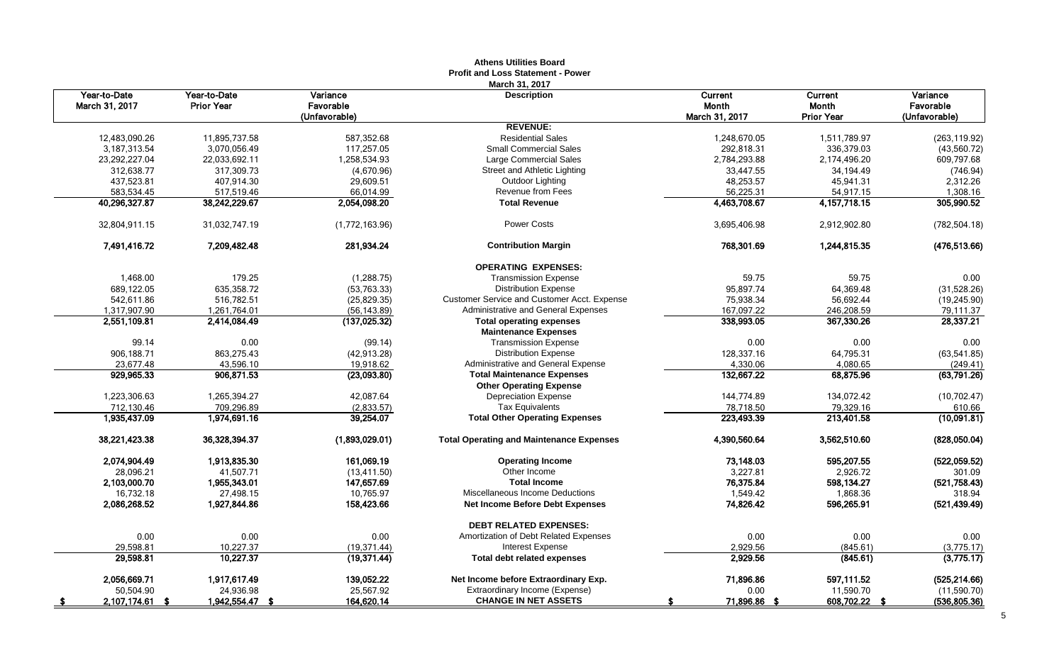|                                |                                   |                       | Auluis Uulilus Dodi u<br><b>Profit and Loss Statement - Power</b> |                         |                   |                       |
|--------------------------------|-----------------------------------|-----------------------|-------------------------------------------------------------------|-------------------------|-------------------|-----------------------|
|                                |                                   |                       | March 31, 2017                                                    |                         |                   |                       |
| Year-to-Date<br>March 31, 2017 | Year-to-Date<br><b>Prior Year</b> | Variance<br>Favorable | <b>Description</b>                                                | Current<br><b>Month</b> | Current<br>Month  | Variance<br>Favorable |
|                                |                                   | (Unfavorable)         |                                                                   | March 31, 2017          | <b>Prior Year</b> | (Unfavorable)         |
|                                |                                   |                       | <b>REVENUE:</b>                                                   |                         |                   |                       |
| 12,483,090.26                  | 11,895,737.58                     | 587,352.68            | <b>Residential Sales</b>                                          | 1,248,670.05            | 1,511,789.97      | (263, 119.92)         |
| 3,187,313.54                   | 3,070,056.49                      | 117,257.05            | <b>Small Commercial Sales</b>                                     | 292,818.31              | 336,379.03        | (43,560.72)           |
| 23,292,227.04                  | 22,033,692.11                     | 1,258,534.93          | Large Commercial Sales                                            | 2,784,293.88            | 2,174,496.20      | 609,797.68            |
| 312,638.77                     | 317,309.73                        | (4,670.96)            | Street and Athletic Lighting                                      | 33,447.55               | 34,194.49         | (746.94)              |
| 437,523.81                     | 407,914.30                        | 29,609.51             | Outdoor Lighting                                                  | 48,253.57               | 45,941.31         | 2,312.26              |
| 583,534.45                     | 517,519.46                        | 66,014.99             | Revenue from Fees                                                 | 56,225.31               | 54,917.15         | 1,308.16              |
| 40,296,327.87                  | 38,242,229.67                     | 2,054,098.20          | <b>Total Revenue</b>                                              | 4,463,708.67            | 4, 157, 718. 15   | 305,990.52            |
| 32,804,911.15                  | 31,032,747.19                     | (1,772,163.96)        | Power Costs                                                       | 3,695,406.98            | 2,912,902.80      | (782, 504.18)         |
| 7,491,416.72                   | 7.209.482.48                      | 281,934.24            | <b>Contribution Margin</b>                                        | 768,301.69              | 1,244,815.35      | (476, 513.66)         |
|                                |                                   |                       | <b>OPERATING EXPENSES:</b>                                        |                         |                   |                       |
| 1,468.00                       | 179.25                            | (1, 288.75)           | <b>Transmission Expense</b>                                       | 59.75                   | 59.75             | 0.00                  |
| 689,122.05                     | 635,358.72                        | (53, 763.33)          | <b>Distribution Expense</b>                                       | 95,897.74               | 64,369.48         | (31,528.26)           |
| 542,611.86                     | 516,782.51                        | (25, 829.35)          | Customer Service and Customer Acct. Expense                       | 75,938.34               | 56,692.44         | (19, 245.90)          |
| 1,317,907.90                   | 1,261,764.01                      | (56, 143.89)          | Administrative and General Expenses                               | 167,097.22              | 246,208.59        | 79,111.37             |
| 2,551,109.81                   | 2,414,084.49                      | (137, 025.32)         | <b>Total operating expenses</b>                                   | 338,993.05              | 367,330.26        | 28,337.21             |
|                                |                                   |                       | <b>Maintenance Expenses</b>                                       |                         |                   |                       |
| 99.14                          | 0.00                              | (99.14)               | <b>Transmission Expense</b>                                       | 0.00                    | 0.00              | 0.00                  |
| 906,188.71                     | 863,275.43                        | (42, 913.28)          | <b>Distribution Expense</b>                                       | 128,337.16              | 64,795.31         | (63, 541.85)          |
| 23,677.48                      | 43,596.10                         | 19,918.62             | Administrative and General Expense                                | 4,330.06                | 4,080.65          | (249.41)              |
| 929,965.33                     | 906,871.53                        | (23,093.80)           | <b>Total Maintenance Expenses</b>                                 | 132,667.22              | 68,875.96         | (63,791.26)           |
|                                |                                   |                       | <b>Other Operating Expense</b>                                    |                         |                   |                       |
| 1,223,306.63                   | 1,265,394.27                      | 42,087.64             | <b>Depreciation Expense</b>                                       | 144,774.89              | 134,072.42        | (10,702.47)           |
| 712,130.46                     | 709,296.89                        | (2,833.57)            | <b>Tax Equivalents</b>                                            | 78,718.50               | 79,329.16         | 610.66                |
| 1,935,437.09                   | 1,974,691.16                      | 39,254.07             | <b>Total Other Operating Expenses</b>                             | 223,493.39              | 213,401.58        | (10,091.81)           |
| 38,221,423.38                  | 36,328,394.37                     | (1,893,029.01)        | <b>Total Operating and Maintenance Expenses</b>                   | 4,390,560.64            | 3,562,510.60      | (828,050.04)          |
| 2,074,904.49                   | 1,913,835.30                      | 161,069.19            | <b>Operating Income</b>                                           | 73,148.03               | 595,207.55        | (522,059.52)          |
| 28,096.21                      | 41,507.71                         | (13, 411.50)          | Other Income                                                      | 3,227.81                | 2,926.72          | 301.09                |
| 2,103,000.70                   | 1,955,343.01                      | 147,657.69            | <b>Total Income</b>                                               | 76,375.84               | 598,134.27        | (521, 758.43)         |
| 16,732.18                      | 27,498.15                         | 10,765.97             | Miscellaneous Income Deductions                                   | 1,549.42                | 1,868.36          | 318.94                |
| 2,086,268.52                   | 1,927,844.86                      | 158,423.66            | <b>Net Income Before Debt Expenses</b>                            | 74,826.42               | 596,265.91        | (521, 439.49)         |
|                                |                                   |                       | <b>DEBT RELATED EXPENSES:</b>                                     |                         |                   |                       |
| 0.00                           | 0.00                              | 0.00                  | Amortization of Debt Related Expenses                             | 0.00                    | 0.00              | 0.00                  |
| 29,598.81                      | 10,227.37                         | (19, 371.44)          | <b>Interest Expense</b>                                           | 2,929.56                | (845.61)          | (3,775.17)            |
| 29,598.81                      | 10,227.37                         | (19, 371.44)          | <b>Total debt related expenses</b>                                | 2,929.56                | (845.61)          | (3,775.17)            |
| 2,056,669.71                   | 1,917,617.49                      | 139,052.22            | Net Income before Extraordinary Exp.                              | 71,896.86               | 597,111.52        | (525, 214.66)         |
| 50,504.90                      | 24,936.98                         | 25,567.92             | Extraordinary Income (Expense)                                    | 0.00                    | 11,590.70         | (11,590.70)           |
| 2,107,174.61 \$<br>- 5         | 1,942,554.47 \$                   | 164,620.14            | <b>CHANGE IN NET ASSETS</b>                                       | 71,896.86 \$            | 608,702.22 \$     | (536, 805.36)         |

# **Athens Utilities Board**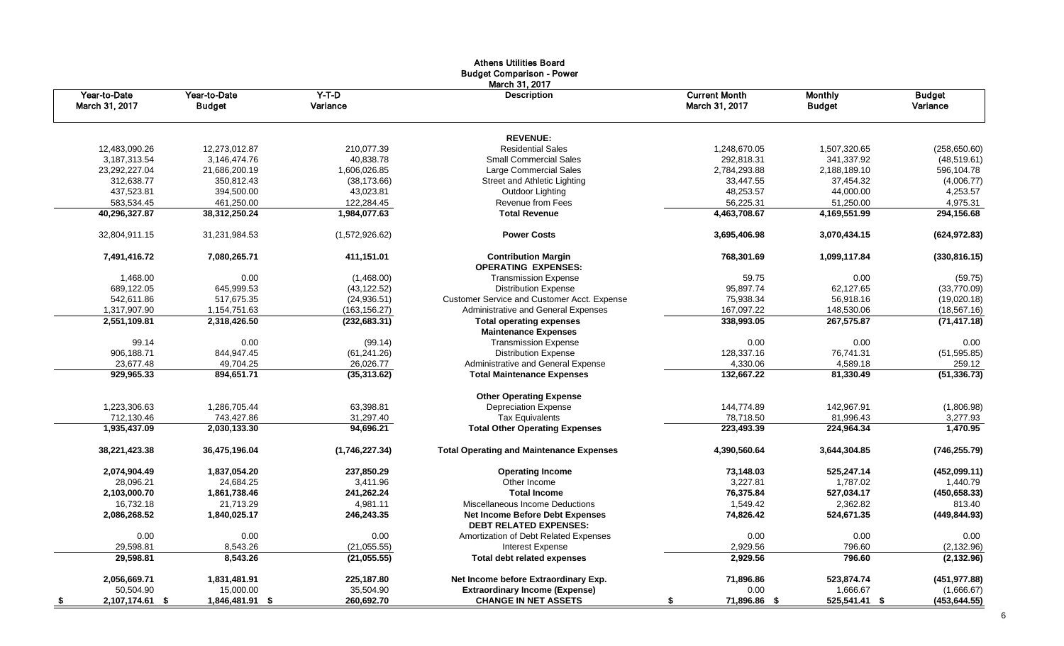|                                |                               |                     | Athens Othitles Doard<br><b>Budget Comparison - Power</b>        |                                        |                                 |                           |
|--------------------------------|-------------------------------|---------------------|------------------------------------------------------------------|----------------------------------------|---------------------------------|---------------------------|
| Year-to-Date<br>March 31, 2017 | Year-to-Date<br><b>Budget</b> | $Y-T-D$<br>Variance | March 31, 2017<br><b>Description</b>                             | <b>Current Month</b><br>March 31, 2017 | <b>Monthly</b><br><b>Budget</b> | <b>Budget</b><br>Variance |
|                                |                               |                     | <b>REVENUE:</b>                                                  |                                        |                                 |                           |
| 12,483,090.26                  | 12,273,012.87                 | 210,077.39          | <b>Residential Sales</b>                                         | 1,248,670.05                           | 1,507,320.65                    | (258, 650.60)             |
| 3,187,313.54                   | 3,146,474.76                  | 40,838.78           | <b>Small Commercial Sales</b>                                    | 292,818.31                             | 341,337.92                      | (48, 519.61)              |
| 23,292,227.04                  | 21,686,200.19                 | 1,606,026.85        | Large Commercial Sales                                           | 2,784,293.88                           | 2,188,189.10                    | 596,104.78                |
| 312,638.77                     | 350,812.43                    | (38, 173.66)        | Street and Athletic Lighting                                     | 33,447.55                              | 37,454.32                       | (4,006.77)                |
| 437,523.81                     | 394,500.00                    | 43,023.81           | Outdoor Lighting                                                 | 48,253.57                              | 44,000.00                       | 4,253.57                  |
| 583,534.45                     | 461,250.00                    | 122,284.45          | Revenue from Fees                                                | 56,225.31                              | 51,250.00                       | 4,975.31                  |
| 40,296,327.87                  | 38,312,250.24                 | 1,984,077.63        | <b>Total Revenue</b>                                             | 4,463,708.67                           | 4,169,551.99                    | 294,156.68                |
| 32,804,911.15                  | 31,231,984.53                 | (1,572,926.62)      | <b>Power Costs</b>                                               | 3,695,406.98                           | 3,070,434.15                    | (624, 972.83)             |
| 7,491,416.72                   | 7,080,265.71                  | 411,151.01          | <b>Contribution Margin</b><br><b>OPERATING EXPENSES:</b>         | 768,301.69                             | 1,099,117.84                    | (330, 816.15)             |
| 1,468.00                       | 0.00                          | (1,468.00)          | <b>Transmission Expense</b>                                      | 59.75                                  | 0.00                            | (59.75)                   |
| 689,122.05                     | 645,999.53                    | (43, 122.52)        | <b>Distribution Expense</b>                                      | 95,897.74                              | 62,127.65                       | (33,770.09)               |
| 542,611.86                     | 517,675.35                    | (24.936.51)         | <b>Customer Service and Customer Acct. Expense</b>               | 75,938.34                              | 56,918.16                       | (19,020.18)               |
| 1,317,907.90                   | 1,154,751.63                  | (163, 156.27)       | Administrative and General Expenses                              | 167,097.22                             | 148,530.06                      | (18, 567.16)              |
| 2,551,109.81                   | 2,318,426.50                  | (232, 683.31)       | <b>Total operating expenses</b>                                  | 338,993.05                             | 267,575.87                      | (71, 417.18)              |
|                                |                               |                     | <b>Maintenance Expenses</b>                                      |                                        |                                 |                           |
| 99.14                          | 0.00                          | (99.14)             | <b>Transmission Expense</b>                                      | 0.00                                   | 0.00                            | 0.00                      |
| 906,188.71                     | 844,947.45                    | (61, 241.26)        | <b>Distribution Expense</b>                                      | 128,337.16                             | 76,741.31                       | (51, 595.85)              |
| 23,677.48                      | 49,704.25                     | 26,026.77           | Administrative and General Expense                               | 4,330.06                               | 4,589.18                        | 259.12                    |
| 929,965.33                     | 894,651.71                    | (35,313.62)         | <b>Total Maintenance Expenses</b>                                | 132,667.22                             | 81,330.49                       | (51, 336.73)              |
|                                |                               |                     | <b>Other Operating Expense</b>                                   |                                        |                                 |                           |
| 1,223,306.63                   | 1,286,705.44                  | 63,398.81           | <b>Depreciation Expense</b>                                      | 144,774.89                             | 142,967.91                      | (1,806.98)                |
| 712,130.46                     | 743,427.86                    | 31,297.40           | <b>Tax Equivalents</b>                                           | 78,718.50                              | 81,996.43                       | 3,277.93                  |
| 1,935,437.09                   | 2,030,133.30                  | 94,696.21           | <b>Total Other Operating Expenses</b>                            | 223,493.39                             | 224,964.34                      | 1,470.95                  |
| 38,221,423.38                  | 36,475,196.04                 | (1,746,227.34)      | <b>Total Operating and Maintenance Expenses</b>                  | 4,390,560.64                           | 3,644,304.85                    | (746, 255.79)             |
| 2,074,904.49                   | 1,837,054.20                  | 237,850.29          | <b>Operating Income</b>                                          | 73,148.03                              | 525,247.14                      | (452,099.11)              |
| 28,096.21                      | 24,684.25                     | 3,411.96            | Other Income                                                     | 3,227.81                               | 1,787.02                        | 1,440.79                  |
| 2,103,000.70                   | 1,861,738.46                  | 241,262.24          | <b>Total Income</b>                                              | 76,375.84                              | 527,034.17                      | (450, 658.33)             |
| 16,732.18                      | 21,713.29                     | 4,981.11            | Miscellaneous Income Deductions                                  | 1,549.42                               | 2,362.82                        | 813.40                    |
| 2,086,268.52                   | 1,840,025.17                  | 246,243.35          | Net Income Before Debt Expenses<br><b>DEBT RELATED EXPENSES:</b> | 74,826.42                              | 524,671.35                      | (449, 844.93)             |
| 0.00                           | 0.00                          | 0.00                | Amortization of Debt Related Expenses                            | 0.00                                   | 0.00                            | 0.00                      |
| 29,598.81                      | 8,543.26                      | (21, 055.55)        | <b>Interest Expense</b>                                          | 2,929.56                               | 796.60                          | (2, 132.96)               |
| 29,598.81                      | 8,543.26                      | (21, 055.55)        | <b>Total debt related expenses</b>                               | 2,929.56                               | 796.60                          | (2, 132.96)               |
| 2,056,669.71                   | 1,831,481.91                  | 225,187.80          | Net Income before Extraordinary Exp.                             | 71,896.86                              | 523,874.74                      | (451, 977.88)             |
| 50,504.90                      | 15,000.00                     | 35,504.90           | <b>Extraordinary Income (Expense)</b>                            | 0.00                                   | 1,666.67                        | (1,666.67)                |
| 2,107,174.61 \$<br>$\sqrt{2}$  | 1,846,481.91 \$               | 260,692.70          | <b>CHANGE IN NET ASSETS</b>                                      | 71,896.86 \$                           | 525,541.41 \$                   | (453, 644.55)             |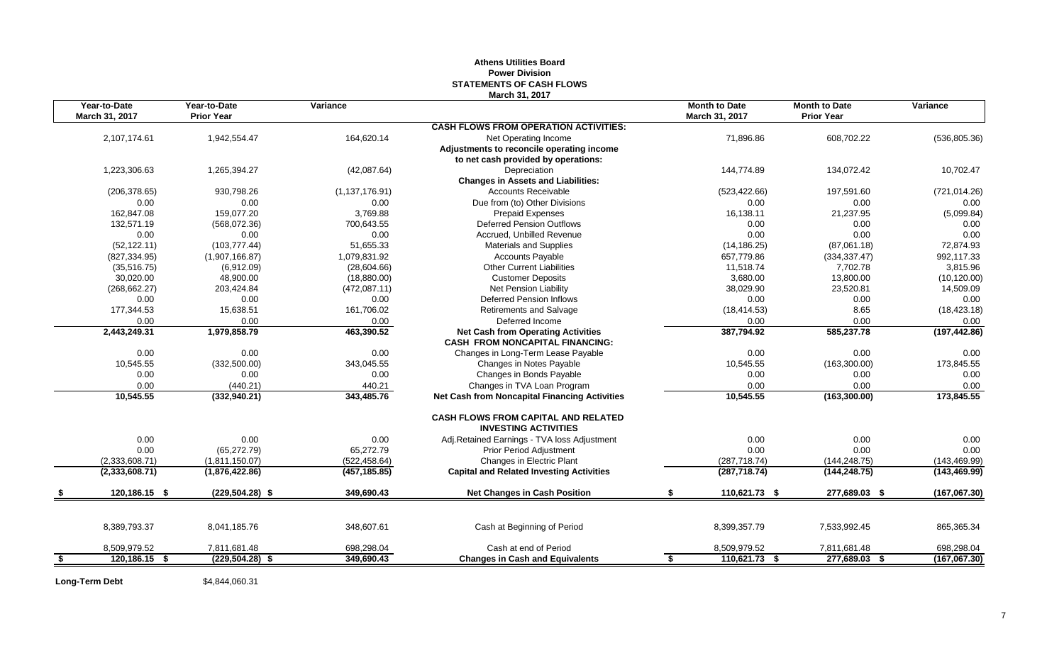## **Athens Utilities Board Power Division STATEMENTS OF CASH FLOWS March 31, 2017**

| Year-to-Date        | Year-to-Date       | Variance         |                                                                                     | <b>Month to Date</b> | <b>Month to Date</b> | Variance      |
|---------------------|--------------------|------------------|-------------------------------------------------------------------------------------|----------------------|----------------------|---------------|
| March 31, 2017      | <b>Prior Year</b>  |                  |                                                                                     | March 31, 2017       | <b>Prior Year</b>    |               |
|                     |                    |                  | <b>CASH FLOWS FROM OPERATION ACTIVITIES:</b>                                        |                      |                      |               |
| 2,107,174.61        | 1,942,554.47       | 164,620.14       | Net Operating Income                                                                | 71,896.86            | 608,702.22           | (536, 805.36) |
|                     |                    |                  | Adjustments to reconcile operating income                                           |                      |                      |               |
|                     |                    |                  | to net cash provided by operations:                                                 |                      |                      |               |
| 1,223,306.63        | 1,265,394.27       | (42,087.64)      | Depreciation                                                                        | 144.774.89           | 134,072.42           | 10,702.47     |
|                     |                    |                  | <b>Changes in Assets and Liabilities:</b>                                           |                      |                      |               |
| (206, 378.65)       | 930,798.26         | (1, 137, 176.91) | <b>Accounts Receivable</b>                                                          | (523, 422.66)        | 197,591.60           | (721, 014.26) |
| 0.00                | 0.00               | 0.00             | Due from (to) Other Divisions                                                       | 0.00                 | 0.00                 | 0.00          |
| 162,847.08          | 159.077.20         | 3.769.88         | <b>Prepaid Expenses</b>                                                             | 16,138.11            | 21,237.95            | (5,099.84)    |
| 132,571.19          | (568,072.36)       | 700,643.55       | <b>Deferred Pension Outflows</b>                                                    | 0.00                 | 0.00                 | 0.00          |
| 0.00                | 0.00               | 0.00             | Accrued, Unbilled Revenue                                                           | 0.00                 | 0.00                 | 0.00          |
| (52, 122, 11)       | (103, 777, 44)     | 51.655.33        | <b>Materials and Supplies</b>                                                       | (14, 186.25)         | (87,061.18)          | 72.874.93     |
| (827, 334.95)       | (1,907,166.87)     | 1,079,831.92     | <b>Accounts Payable</b>                                                             | 657,779.86           | (334, 337.47)        | 992,117.33    |
| (35,516.75)         | (6,912.09)         | (28,604.66)      | <b>Other Current Liabilities</b>                                                    | 11,518.74            | 7,702.78             | 3,815.96      |
| 30,020.00           | 48,900.00          | (18,880.00)      | <b>Customer Deposits</b>                                                            | 3,680.00             | 13,800.00            | (10, 120.00)  |
| (268, 662.27)       | 203,424.84         | (472,087.11)     | Net Pension Liability                                                               | 38,029.90            | 23,520.81            | 14,509.09     |
| 0.00                | 0.00               | 0.00             | <b>Deferred Pension Inflows</b>                                                     | 0.00                 | 0.00                 | 0.00          |
| 177,344.53          | 15,638.51          | 161,706.02       | <b>Retirements and Salvage</b>                                                      | (18, 414.53)         | 8.65                 | (18, 423.18)  |
| 0.00                | 0.00               | 0.00             | Deferred Income                                                                     | 0.00                 | 0.00                 | 0.00          |
| 2,443,249.31        | 1,979,858.79       | 463,390.52       | <b>Net Cash from Operating Activities</b><br><b>CASH FROM NONCAPITAL FINANCING:</b> | 387,794.92           | 585,237.78           | (197, 442.86) |
| 0.00                | 0.00               | 0.00             | Changes in Long-Term Lease Payable                                                  | 0.00                 | 0.00                 | 0.00          |
| 10,545.55           | (332,500.00)       | 343,045.55       | Changes in Notes Payable                                                            | 10,545.55            | (163,300.00)         | 173,845.55    |
| 0.00                | 0.00               | 0.00             | Changes in Bonds Payable                                                            | 0.00                 | 0.00                 | 0.00          |
| 0.00                | (440.21)           | 440.21           | Changes in TVA Loan Program                                                         | 0.00                 | 0.00                 | 0.00          |
| 10,545.55           | (332,940.21)       | 343,485.76       | <b>Net Cash from Noncapital Financing Activities</b>                                | 10,545.55            | (163, 300.00)        | 173,845.55    |
|                     |                    |                  | <b>CASH FLOWS FROM CAPITAL AND RELATED</b><br><b>INVESTING ACTIVITIES</b>           |                      |                      |               |
| 0.00                | 0.00               | 0.00             | Adj.Retained Earnings - TVA loss Adjustment                                         | 0.00                 | 0.00                 | 0.00          |
| 0.00                | (65, 272.79)       | 65,272.79        | <b>Prior Period Adjustment</b>                                                      | 0.00                 | 0.00                 | 0.00          |
| (2,333,608.71)      | (1.811.150.07)     | (522, 458.64)    | Changes in Electric Plant                                                           | (287, 718.74)        | (144, 248.75)        | (143, 469.99) |
| (2,333,608.71)      | (1,876,422.86)     | (457, 185.85)    | <b>Capital and Related Investing Activities</b>                                     | (287, 718.74)        | (144, 248.75)        | (143, 469.99) |
| 120,186.15 \$       | $(229.504.28)$ \$  | 349,690.43       | <b>Net Changes in Cash Position</b>                                                 | 110,621.73 \$        | 277,689.03 \$        | (167,067.30)  |
|                     |                    |                  |                                                                                     |                      |                      |               |
| 8,389,793.37        | 8,041,185.76       | 348,607.61       | Cash at Beginning of Period                                                         | 8,399,357.79         | 7,533,992.45         | 865,365.34    |
| 8,509,979.52        | 7,811,681.48       | 698,298.04       | Cash at end of Period                                                               | 8,509,979.52         | 7,811,681.48         | 698,298.04    |
| \$<br>120,186.15 \$ | $(229, 504.28)$ \$ | 349,690.43       | <b>Changes in Cash and Equivalents</b>                                              | 110,621.73 \$<br>\$  | 277,689.03 \$        | (167,067.30)  |

**Long-Term Debt** \$4,844,060.31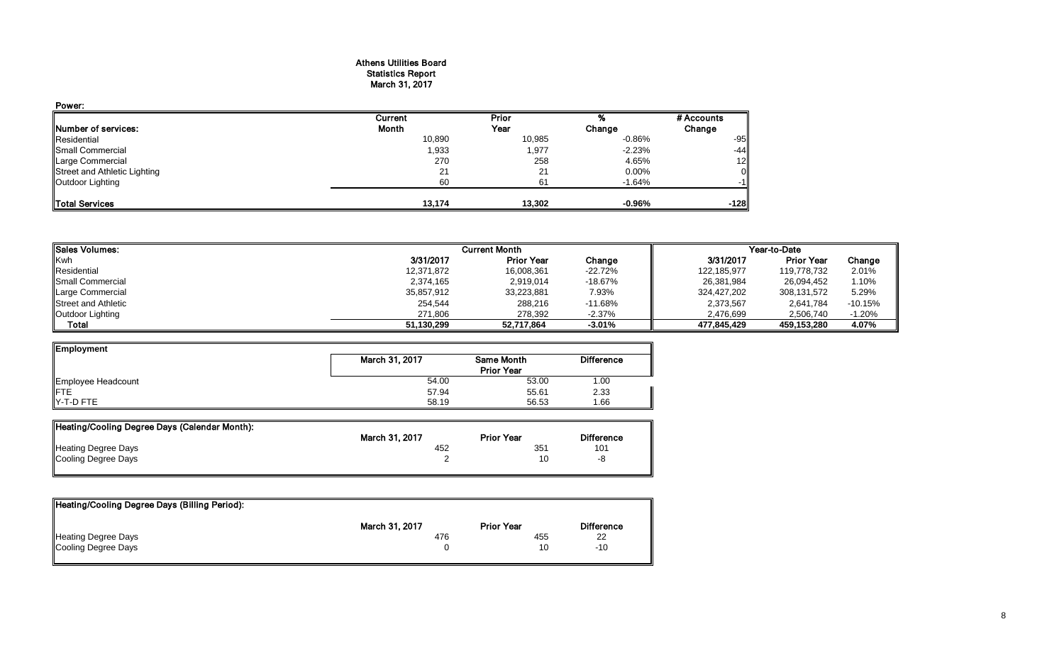## Athens Utilities Board Statistics Report March 31, 2017

| Power:                       |         |        |           |                |
|------------------------------|---------|--------|-----------|----------------|
|                              | Current | Prior  |           | # Accounts     |
| Number of services:          | Month   | Year   | Change    | Change         |
| Residential                  | 10,890  | 10,985 | $-0.86%$  | $-95$          |
| Small Commercial             | 1,933   | 1,977  | $-2.23%$  | $-44$          |
| Large Commercial             | 270     | 258    | 4.65%     | 12             |
| Street and Athletic Lighting | 21      | 21     | 0.00%     | $\overline{0}$ |
| Outdoor Lighting             | 60      | 61     | $-1.64%$  | $-1$           |
| Total Services               | 13.174  | 13.302 | $-0.96\%$ | $-128$         |

| <b>Sales Volumes:</b>      |            | <b>Current Month</b> |           | Year-to-Date |                   |           |  |
|----------------------------|------------|----------------------|-----------|--------------|-------------------|-----------|--|
| Kwh                        | 3/31/2017  | <b>Prior Year</b>    | Change    | 3/31/2017    | <b>Prior Year</b> | Change    |  |
| Residential                | 12,371,872 | 16,008,361           | $-22.72%$ | 122,185,977  | 119.778.732       | 2.01%     |  |
| Small Commercial           | 2,374,165  | 2,919,014            | $-18.67%$ | 26,381,984   | 26,094,452        | 1.10%     |  |
| Large Commercial           | 35,857,912 | 33,223,881           | 7.93%     | 324,427,202  | 308,131,572       | 5.29%     |  |
| <b>Street and Athletic</b> | 254,544    | 288,216              | $-11.68%$ | 2,373,567    | 2,641,784         | $-10.15%$ |  |
| Outdoor Lighting           | 271.806    | 278,392              | $-2.37%$  | 2,476,699    | 2,506,740         | $-1.20%$  |  |
| Total                      | 51,130,299 | 52,717,864           | $-3.01%$  | 477.845.429  | 459,153,280       | 4.07%     |  |

| Employment         |                |                   |                   |
|--------------------|----------------|-------------------|-------------------|
|                    | March 31, 2017 | <b>Same Month</b> | <b>Difference</b> |
|                    |                | <b>Prior Year</b> |                   |
| Employee Headcount | 54.00          | 53.00             | 1.00              |
| <b>IFTE</b>        | 57.94          | 55.61             | 2.33              |
| $Y-T-D$ FTE        | 58.19          | 56.53             | 1.66              |

| Heating/Cooling Degree Days (Calendar Month): |                |                   |                   |
|-----------------------------------------------|----------------|-------------------|-------------------|
|                                               | March 31, 2017 | <b>Prior Year</b> | <b>Difference</b> |
| <b>Heating Degree Days</b>                    | 452            | 35'               | 101               |
| Cooling Degree Days                           |                |                   | -8                |
|                                               |                |                   |                   |

| Heating/Cooling Degree Days (Billing Period): |                |                   |                   |
|-----------------------------------------------|----------------|-------------------|-------------------|
|                                               | March 31, 2017 | <b>Prior Year</b> | <b>Difference</b> |
| Heating Degree Days                           | 476            | 455               | 22                |
| Cooling Degree Days                           |                | 10                | $-10$             |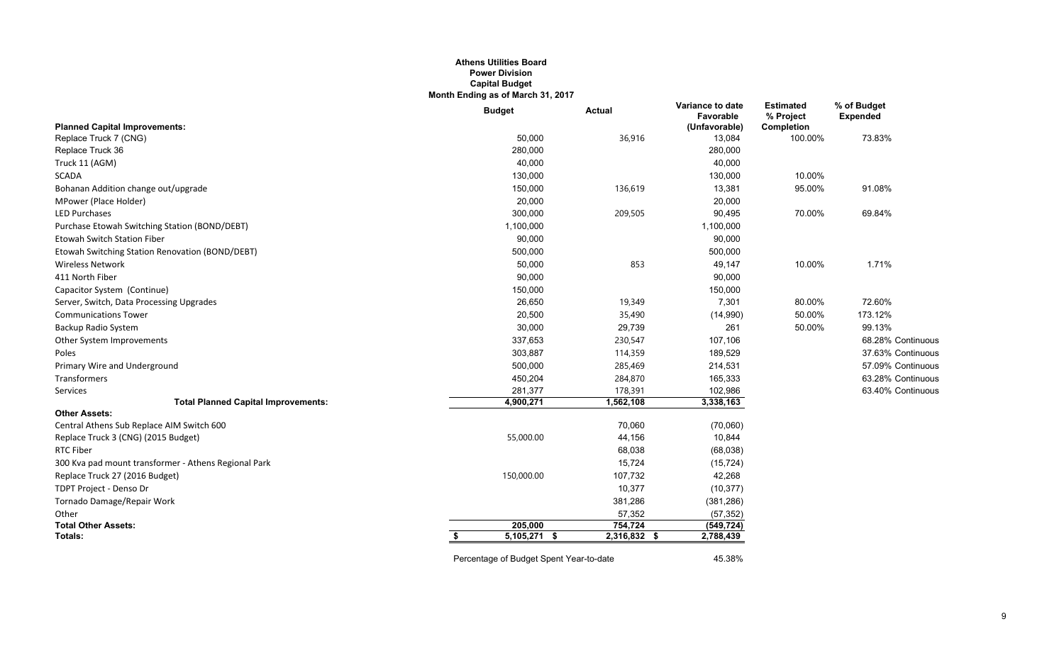#### **Athens Utilities Board Power Division Capital Budget Month Ending as of March 31, 2017**

|                                                      | <b>Budget</b>        | <b>Actual</b>  | Variance to date<br>Favorable | <b>Estimated</b><br>% Project | % of Budget<br><b>Expended</b> |
|------------------------------------------------------|----------------------|----------------|-------------------------------|-------------------------------|--------------------------------|
| <b>Planned Capital Improvements:</b>                 |                      |                | (Unfavorable)                 | Completion                    |                                |
| Replace Truck 7 (CNG)                                | 50,000               | 36,916         | 13,084                        | 100.00%                       | 73.83%                         |
| Replace Truck 36                                     | 280,000              |                | 280,000                       |                               |                                |
| Truck 11 (AGM)                                       | 40,000               |                | 40,000                        |                               |                                |
| <b>SCADA</b>                                         | 130,000              |                | 130,000                       | 10.00%                        |                                |
| Bohanan Addition change out/upgrade                  | 150,000              | 136,619        | 13,381                        | 95.00%                        | 91.08%                         |
| MPower (Place Holder)                                | 20,000               |                | 20,000                        |                               |                                |
| <b>LED Purchases</b>                                 | 300,000              | 209,505        | 90,495                        | 70.00%                        | 69.84%                         |
| Purchase Etowah Switching Station (BOND/DEBT)        | 1,100,000            |                | 1,100,000                     |                               |                                |
| <b>Etowah Switch Station Fiber</b>                   | 90,000               |                | 90,000                        |                               |                                |
| Etowah Switching Station Renovation (BOND/DEBT)      | 500,000              |                | 500,000                       |                               |                                |
| <b>Wireless Network</b>                              | 50,000               | 853            | 49,147                        | 10.00%                        | 1.71%                          |
| 411 North Fiber                                      | 90,000               |                | 90,000                        |                               |                                |
| Capacitor System (Continue)                          | 150,000              |                | 150,000                       |                               |                                |
| Server, Switch, Data Processing Upgrades             | 26,650               | 19,349         | 7,301                         | 80.00%                        | 72.60%                         |
| <b>Communications Tower</b>                          | 20,500               | 35,490         | (14,990)                      | 50.00%                        | 173.12%                        |
| Backup Radio System                                  | 30,000               | 29,739         | 261                           | 50.00%                        | 99.13%                         |
| Other System Improvements                            | 337,653              | 230,547        | 107,106                       |                               | 68.28% Continuous              |
| Poles                                                | 303,887              | 114,359        | 189,529                       |                               | 37.63% Continuous              |
| Primary Wire and Underground                         | 500,000              | 285,469        | 214,531                       |                               | 57.09% Continuous              |
| Transformers                                         | 450,204              | 284,870        | 165,333                       |                               | 63.28% Continuous              |
| Services                                             | 281,377              | 178,391        | 102,986                       |                               | 63.40% Continuous              |
| <b>Total Planned Capital Improvements:</b>           | 4,900,271            | 1,562,108      | 3,338,163                     |                               |                                |
| <b>Other Assets:</b>                                 |                      |                |                               |                               |                                |
| Central Athens Sub Replace AIM Switch 600            |                      | 70,060         | (70,060)                      |                               |                                |
| Replace Truck 3 (CNG) (2015 Budget)                  | 55,000.00            | 44,156         | 10,844                        |                               |                                |
| <b>RTC Fiber</b>                                     |                      | 68,038         | (68,038)                      |                               |                                |
| 300 Kva pad mount transformer - Athens Regional Park |                      | 15,724         | (15, 724)                     |                               |                                |
| Replace Truck 27 (2016 Budget)                       | 150,000.00           | 107,732        | 42,268                        |                               |                                |
| TDPT Project - Denso Dr                              |                      | 10,377         | (10, 377)                     |                               |                                |
| Tornado Damage/Repair Work                           |                      | 381,286        | (381, 286)                    |                               |                                |
| Other                                                |                      | 57,352         | (57, 352)                     |                               |                                |
| <b>Total Other Assets:</b>                           | 205,000              | 754,724        | (549, 724)                    |                               |                                |
| Totals:                                              | $5,105,271$ \$<br>s. | $2,316,832$ \$ | 2,788,439                     |                               |                                |
|                                                      |                      |                |                               |                               |                                |

Percentage of Budget Spent Year-to-date 45.38%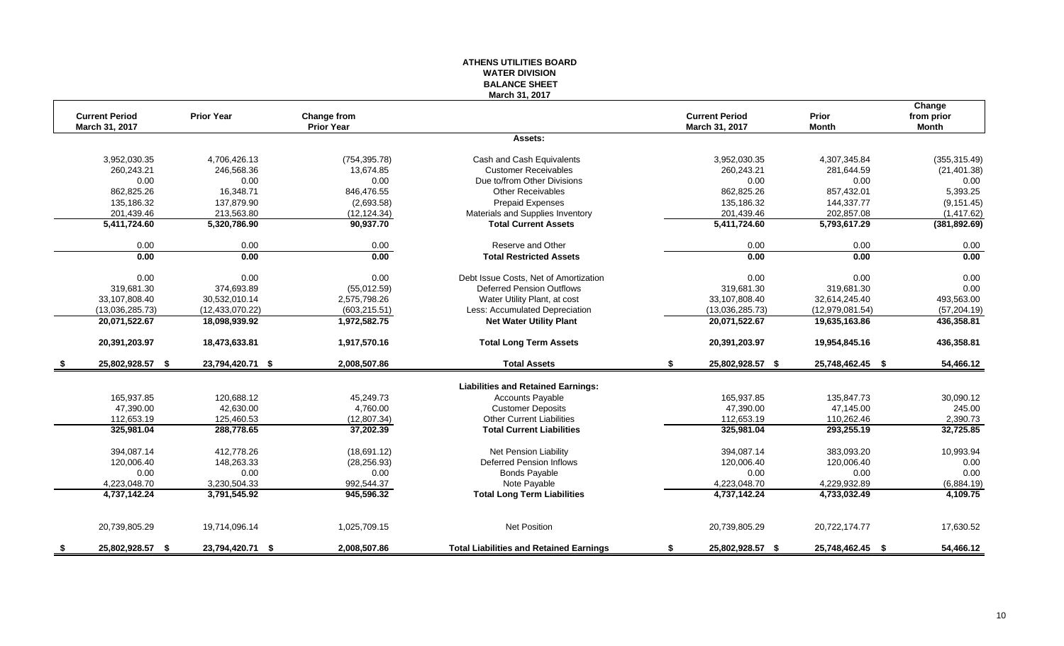## **ATHENS UTILITIES BOARD WATER DIVISION BALANCE SHEET March 31, 2017**

|      | <b>Current Period</b> | <b>Prior Year</b> | <b>Change from</b> |                                                | <b>Current Period</b>  | Prior            | Change<br>from prior |
|------|-----------------------|-------------------|--------------------|------------------------------------------------|------------------------|------------------|----------------------|
|      | March 31, 2017        |                   | <b>Prior Year</b>  |                                                | March 31, 2017         | <b>Month</b>     | <b>Month</b>         |
|      |                       |                   |                    | Assets:                                        |                        |                  |                      |
|      | 3,952,030.35          | 4,706,426.13      | (754, 395.78)      | Cash and Cash Equivalents                      | 3,952,030.35           | 4,307,345.84     | (355, 315.49)        |
|      | 260,243.21            | 246,568.36        | 13,674.85          | <b>Customer Receivables</b>                    | 260,243.21             | 281,644.59       | (21, 401.38)         |
|      | 0.00                  | 0.00              | 0.00               | Due to/from Other Divisions                    | 0.00                   | 0.00             | 0.00                 |
|      | 862,825.26            | 16,348.71         | 846,476.55         | Other Receivables                              | 862,825.26             | 857,432.01       | 5,393.25             |
|      | 135,186.32            | 137,879.90        | (2,693.58)         | <b>Prepaid Expenses</b>                        | 135,186.32             | 144,337.77       | (9, 151.45)          |
|      | 201,439.46            | 213,563.80        | (12, 124.34)       | Materials and Supplies Inventory               | 201,439.46             | 202,857.08       | (1,417.62)           |
|      | 5,411,724.60          | 5,320,786.90      | 90,937.70          | <b>Total Current Assets</b>                    | 5,411,724.60           | 5,793,617.29     | (381, 892.69)        |
|      | 0.00                  | 0.00              | 0.00               | Reserve and Other                              | 0.00                   | 0.00             | 0.00                 |
|      | 0.00                  | 0.00              | 0.00               | <b>Total Restricted Assets</b>                 | 0.00                   | 0.00             | 0.00                 |
|      | 0.00                  | 0.00              | 0.00               | Debt Issue Costs, Net of Amortization          | 0.00                   | 0.00             | 0.00                 |
|      | 319,681.30            | 374,693.89        | (55,012.59)        | <b>Deferred Pension Outflows</b>               | 319,681.30             | 319,681.30       | 0.00                 |
|      | 33,107,808.40         | 30,532,010.14     | 2,575,798.26       | Water Utility Plant, at cost                   | 33,107,808.40          | 32,614,245.40    | 493,563.00           |
|      | (13,036,285.73)       | (12, 433, 070.22) | (603, 215.51)      | Less: Accumulated Depreciation                 | (13,036,285.73)        | (12,979,081.54)  | (57, 204.19)         |
|      | 20,071,522.67         | 18,098,939.92     | 1,972,582.75       | <b>Net Water Utility Plant</b>                 | 20,071,522.67          | 19,635,163.86    | 436,358.81           |
|      | 20,391,203.97         | 18,473,633.81     | 1,917,570.16       | <b>Total Long Term Assets</b>                  | 20,391,203.97          | 19,954,845.16    | 436,358.81           |
| - \$ | 25,802,928.57 \$      | 23,794,420.71 \$  | 2,008,507.86       | <b>Total Assets</b>                            | 25,802,928.57 \$<br>\$ | 25,748,462.45 \$ | 54,466.12            |
|      |                       |                   |                    | <b>Liabilities and Retained Earnings:</b>      |                        |                  |                      |
|      | 165,937.85            | 120,688.12        | 45.249.73          | <b>Accounts Payable</b>                        | 165.937.85             | 135.847.73       | 30,090.12            |
|      | 47,390.00             | 42,630.00         | 4,760.00           | <b>Customer Deposits</b>                       | 47,390.00              | 47,145.00        | 245.00               |
|      | 112,653.19            | 125,460.53        | (12, 807.34)       | <b>Other Current Liabilities</b>               | 112,653.19             | 110,262.46       | 2,390.73             |
|      | 325,981.04            | 288,778.65        | 37,202.39          | <b>Total Current Liabilities</b>               | 325,981.04             | 293,255.19       | 32,725.85            |
|      | 394,087.14            | 412,778.26        | (18,691.12)        | Net Pension Liability                          | 394,087.14             | 383,093.20       | 10,993.94            |
|      | 120,006.40            | 148,263.33        | (28, 256.93)       | <b>Deferred Pension Inflows</b>                | 120,006.40             | 120,006.40       | 0.00                 |
|      | 0.00                  | 0.00              | 0.00               | <b>Bonds Payable</b>                           | 0.00                   | 0.00             | 0.00                 |
|      | 4,223,048.70          | 3,230,504.33      | 992,544.37         | Note Payable                                   | 4,223,048.70           | 4,229,932.89     | (6,884.19)           |
|      | 4,737,142.24          | 3,791,545.92      | 945,596.32         | <b>Total Long Term Liabilities</b>             | 4,737,142.24           | 4,733,032.49     | 4,109.75             |
|      |                       |                   |                    |                                                |                        |                  |                      |
|      | 20,739,805.29         | 19,714,096.14     | 1,025,709.15       | <b>Net Position</b>                            | 20,739,805.29          | 20,722,174.77    | 17,630.52            |
| - 5  | 25,802,928.57 \$      | 23,794,420.71 \$  | 2,008,507.86       | <b>Total Liabilities and Retained Earnings</b> | \$<br>25,802,928.57 \$ | 25,748,462.45 \$ | 54,466.12            |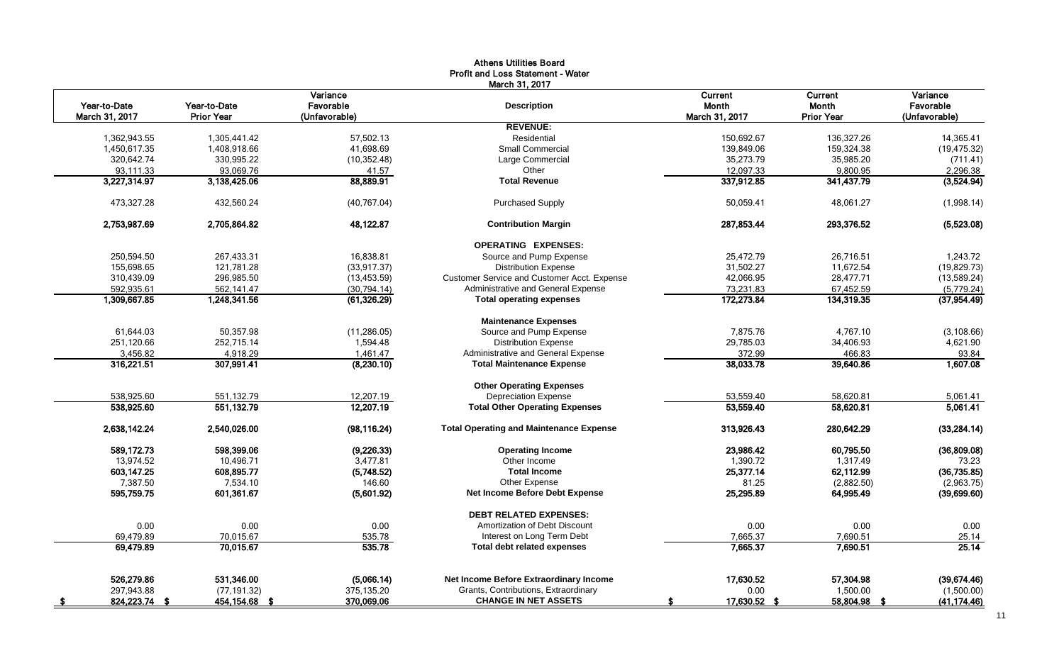|                |                   |                       | March 31, 2017                                 |                         |                   |                       |
|----------------|-------------------|-----------------------|------------------------------------------------|-------------------------|-------------------|-----------------------|
| Year-to-Date   | Year-to-Date      | Variance<br>Favorable | <b>Description</b>                             | Current<br><b>Month</b> | Current<br>Month  | Variance<br>Favorable |
| March 31, 2017 | <b>Prior Year</b> | (Unfavorable)         |                                                | March 31, 2017          | <b>Prior Year</b> | (Unfavorable)         |
|                |                   |                       | <b>REVENUE:</b>                                |                         |                   |                       |
| 1,362,943.55   | 1,305,441.42      | 57,502.13             | Residential                                    | 150,692.67              | 136,327.26        | 14,365.41             |
| 1,450,617.35   | 1,408,918.66      | 41,698.69             | <b>Small Commercial</b>                        | 139,849.06              | 159,324.38        | (19, 475.32)          |
| 320,642.74     | 330,995.22        | (10, 352.48)          | Large Commercial                               | 35,273.79               | 35,985.20         | (711.41)              |
| 93,111.33      | 93,069.76         | 41.57                 | Other                                          | 12,097.33               | 9,800.95          | 2,296.38              |
| 3,227,314.97   | 3,138,425.06      | 88,889.91             | <b>Total Revenue</b>                           | 337,912.85              | 341,437.79        | (3,524.94)            |
| 473,327.28     | 432,560.24        | (40, 767.04)          | <b>Purchased Supply</b>                        | 50,059.41               | 48,061.27         | (1,998.14)            |
| 2,753,987.69   | 2,705,864.82      | 48,122.87             | <b>Contribution Margin</b>                     | 287,853.44              | 293,376.52        | (5,523.08)            |
|                |                   |                       | <b>OPERATING EXPENSES:</b>                     |                         |                   |                       |
| 250,594.50     | 267,433.31        | 16,838.81             | Source and Pump Expense                        | 25,472.79               | 26.716.51         | 1,243.72              |
| 155,698.65     | 121,781.28        | (33, 917.37)          | <b>Distribution Expense</b>                    | 31,502.27               | 11,672.54         | (19, 829.73)          |
| 310,439.09     | 296,985.50        | (13, 453.59)          | Customer Service and Customer Acct. Expense    | 42,066.95               | 28,477.71         | (13,589.24)           |
| 592,935.61     | 562,141.47        | (30, 794.14)          | Administrative and General Expense             | 73,231.83               | 67,452.59         | (5,779.24)            |
| 1,309,667.85   | 1,248,341.56      | (61, 326.29)          | <b>Total operating expenses</b>                | 172,273.84              | 134,319.35        | (37, 954.49)          |
|                |                   |                       | <b>Maintenance Expenses</b>                    |                         |                   |                       |
| 61.644.03      | 50.357.98         | (11, 286.05)          | Source and Pump Expense                        | 7.875.76                | 4.767.10          | (3, 108.66)           |
| 251,120.66     | 252,715.14        | 1,594.48              | <b>Distribution Expense</b>                    | 29,785.03               | 34,406.93         | 4,621.90              |
| 3,456.82       | 4,918.29          | 1,461.47              | Administrative and General Expense             | 372.99                  | 466.83            | 93.84                 |
| 316,221.51     | 307,991.41        | (8,230.10)            | <b>Total Maintenance Expense</b>               | 38,033.78               | 39,640.86         | 1,607.08              |
|                |                   |                       | <b>Other Operating Expenses</b>                |                         |                   |                       |
| 538,925.60     | 551,132.79        | 12,207.19             | <b>Depreciation Expense</b>                    | 53,559.40               | 58,620.81         | 5,061.41              |
| 538,925.60     | 551,132.79        | 12,207.19             | <b>Total Other Operating Expenses</b>          | 53,559.40               | 58,620.81         | 5,061.41              |
| 2,638,142.24   | 2,540,026.00      | (98, 116.24)          | <b>Total Operating and Maintenance Expense</b> | 313,926.43              | 280,642.29        | (33, 284.14)          |
| 589,172.73     | 598,399.06        | (9,226.33)            | <b>Operating Income</b>                        | 23,986.42               | 60,795.50         | (36,809.08)           |
| 13,974.52      | 10,496.71         | 3,477.81              | Other Income                                   | 1,390.72                | 1,317.49          | 73.23                 |
| 603,147.25     | 608,895.77        | (5,748.52)            | <b>Total Income</b>                            | 25,377.14               | 62,112.99         | (36, 735.85)          |
| 7,387.50       | 7,534.10          | 146.60                | Other Expense                                  | 81.25                   | (2,882.50)        | (2,963.75)            |
| 595,759.75     | 601,361.67        | (5,601.92)            | <b>Net Income Before Debt Expense</b>          | 25,295.89               | 64,995.49         | (39,699.60)           |
|                |                   |                       | <b>DEBT RELATED EXPENSES:</b>                  |                         |                   |                       |
| 0.00           | 0.00              | 0.00                  | Amortization of Debt Discount                  | 0.00                    | 0.00              | 0.00                  |
| 69,479.89      | 70,015.67         | 535.78                | Interest on Long Term Debt                     | 7,665.37                | 7,690.51          | 25.14                 |
| 69,479.89      | 70,015.67         | 535.78                | <b>Total debt related expenses</b>             | 7,665.37                | 7,690.51          | 25.14                 |
| 526,279.86     | 531,346.00        | (5,066.14)            | Net Income Before Extraordinary Income         | 17,630.52               | 57,304.98         | (39,674.46)           |
| 297,943.88     | (77, 191.32)      | 375,135.20            | Grants, Contributions, Extraordinary           | 0.00                    | 1,500.00          | (1,500.00)            |
| 824,223.74 \$  | 454,154.68 \$     | 370,069.06            | <b>CHANGE IN NET ASSETS</b>                    | 17,630.52 \$            | 58,804.98         | (41, 174.46)          |

# Athens Utilities Board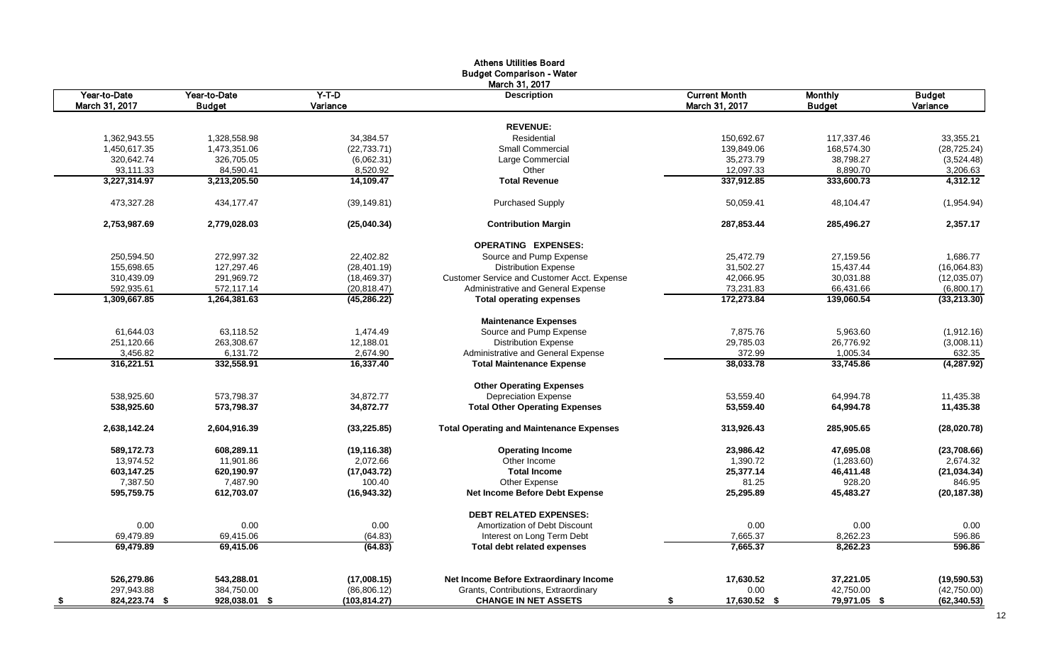| Year-to-Date<br>$Y-T-D$<br><b>Current Month</b><br>Year-to-Date<br><b>Description</b><br><b>Monthly</b><br>Budget<br>March 31, 2017<br>Variance<br>March 31, 2017<br>Variance<br><b>Budget</b><br><b>Budget</b><br><b>REVENUE:</b><br>1,362,943.55<br>1,328,558.98<br>34,384.57<br>Residential<br>150,692.67<br>117.337.46<br>33,355.21<br>1,450,617.35<br>1,473,351.06<br>(22, 733.71)<br><b>Small Commercial</b><br>139,849.06<br>168,574.30<br>(28, 725.24)<br>38,798.27<br>320,642.74<br>326,705.05<br>(6,062.31)<br>Large Commercial<br>35,273.79<br>(3,524.48)<br>84,590.41<br>8,520.92<br>12,097.33<br>8,890.70<br>93,111.33<br>Other<br>3,206.63<br>3,227,314.97<br>3,213,205.50<br>14,109.47<br><b>Total Revenue</b><br>337,912.85<br>333,600.73<br>473,327.28<br>434,177.47<br>(39, 149.81)<br><b>Purchased Supply</b><br>50,059.41<br>48,104.47<br>287,853.44<br>2,753,987.69<br>2,779,028.03<br>(25,040.34)<br><b>Contribution Margin</b><br>285,496.27<br><b>OPERATING EXPENSES:</b><br>250,594.50<br>272,997.32<br>22,402.82<br>Source and Pump Expense<br>25,472.79<br>27,159.56<br>155,698.65<br>127,297.46<br><b>Distribution Expense</b><br>31,502.27<br>15,437.44<br>(28, 401.19)<br>310,439.09<br>291,969.72<br>(18, 469.37)<br>Customer Service and Customer Acct. Expense<br>42,066.95<br>30,031.88<br>Administrative and General Expense<br>73,231.83<br>592,935.61<br>572,117.14<br>(20, 818.47)<br>66,431.66<br>1,309,667.85<br>1,264,381.63<br>(45, 286.22)<br><b>Total operating expenses</b><br>172.273.84<br>139.060.54<br><b>Maintenance Expenses</b><br>63,118.52<br>7,875.76<br>61,644.03<br>1,474.49<br>Source and Pump Expense<br>5,963.60<br>251,120.66<br>263,308.67<br>12,188.01<br><b>Distribution Expense</b><br>29,785.03<br>26,776.92<br>3,456.82<br>6,131.72<br>2,674.90<br>Administrative and General Expense<br>372.99<br>1,005.34<br>316,221.51<br>332,558.91<br>16,337.40<br>38,033.78<br>33,745.86<br>(4, 287.92)<br><b>Total Maintenance Expense</b><br><b>Other Operating Expenses</b><br><b>Depreciation Expense</b><br>538,925.60<br>573,798.37<br>34,872.77<br>53,559.40<br>64,994.78<br>11,435.38<br>538,925.60<br>573,798.37<br>34,872.77<br><b>Total Other Operating Expenses</b><br>53,559.40<br>64,994.78<br>11,435.38<br><b>Total Operating and Maintenance Expenses</b><br>2,638,142.24<br>2,604,916.39<br>(33, 225.85)<br>313,926.43<br>285,905.65<br>589,172.73<br>608,289.11<br>(19, 116.38)<br><b>Operating Income</b><br>23,986.42<br>47,695.08<br>13,974.52<br>11,901.86<br>2,072.66<br>Other Income<br>1,390.72<br>(1,283.60)<br>(21, 034.34)<br>603,147.25<br>620,190.97<br>(17, 043.72)<br><b>Total Income</b><br>25,377.14<br>46,411.48<br>7,387.50<br>7,487.90<br>100.40<br>Other Expense<br>81.25<br>928.20<br>846.95<br>595,759.75<br>Net Income Before Debt Expense<br>25,295.89<br>45,483.27<br>(20, 187.38)<br>612,703.07<br>(16, 943.32)<br><b>DEBT RELATED EXPENSES:</b><br>0.00<br>0.00<br>0.00<br>0.00<br>Amortization of Debt Discount<br>0.00<br>0.00<br>69,479.89<br>69,415.06<br>(64.83)<br>Interest on Long Term Debt<br>7,665.37<br>8,262.23<br>596.86<br>7.665.37<br>596.86<br>69.479.89<br>69,415.06<br>(64.83)<br>8,262.23<br><b>Total debt related expenses</b><br>526,279.86<br>543,288.01<br>Net Income Before Extraordinary Income<br>17,630.52<br>37,221.05<br>(19, 590.53)<br>(17,008.15)<br>297,943.88<br>384,750.00<br>Grants, Contributions, Extraordinary<br>0.00<br>42,750.00<br>(42,750.00)<br>(86, 806.12)<br>824,223.74 \$ |      |               |               | <b>Athens Utilities Board</b><br><b>Budget Comparison - Water</b> |                    |              |              |
|----------------------------------------------------------------------------------------------------------------------------------------------------------------------------------------------------------------------------------------------------------------------------------------------------------------------------------------------------------------------------------------------------------------------------------------------------------------------------------------------------------------------------------------------------------------------------------------------------------------------------------------------------------------------------------------------------------------------------------------------------------------------------------------------------------------------------------------------------------------------------------------------------------------------------------------------------------------------------------------------------------------------------------------------------------------------------------------------------------------------------------------------------------------------------------------------------------------------------------------------------------------------------------------------------------------------------------------------------------------------------------------------------------------------------------------------------------------------------------------------------------------------------------------------------------------------------------------------------------------------------------------------------------------------------------------------------------------------------------------------------------------------------------------------------------------------------------------------------------------------------------------------------------------------------------------------------------------------------------------------------------------------------------------------------------------------------------------------------------------------------------------------------------------------------------------------------------------------------------------------------------------------------------------------------------------------------------------------------------------------------------------------------------------------------------------------------------------------------------------------------------------------------------------------------------------------------------------------------------------------------------------------------------------------------------------------------------------------------------------------------------------------------------------------------------------------------------------------------------------------------------------------------------------------------------------------------------------------------------------------------------------------------------------------------------------------------------------------------------------------------------------------------------------------------------------------------------------------------------------------------------------------------------------------------------------------------------------------------------------------------------------------------------------------------------------------------------------------------------------------------------------------------------|------|---------------|---------------|-------------------------------------------------------------------|--------------------|--------------|--------------|
|                                                                                                                                                                                                                                                                                                                                                                                                                                                                                                                                                                                                                                                                                                                                                                                                                                                                                                                                                                                                                                                                                                                                                                                                                                                                                                                                                                                                                                                                                                                                                                                                                                                                                                                                                                                                                                                                                                                                                                                                                                                                                                                                                                                                                                                                                                                                                                                                                                                                                                                                                                                                                                                                                                                                                                                                                                                                                                                                                                                                                                                                                                                                                                                                                                                                                                                                                                                                                                                                                                                                  |      |               |               | March 31, 2017                                                    |                    |              |              |
|                                                                                                                                                                                                                                                                                                                                                                                                                                                                                                                                                                                                                                                                                                                                                                                                                                                                                                                                                                                                                                                                                                                                                                                                                                                                                                                                                                                                                                                                                                                                                                                                                                                                                                                                                                                                                                                                                                                                                                                                                                                                                                                                                                                                                                                                                                                                                                                                                                                                                                                                                                                                                                                                                                                                                                                                                                                                                                                                                                                                                                                                                                                                                                                                                                                                                                                                                                                                                                                                                                                                  |      |               |               |                                                                   |                    |              |              |
|                                                                                                                                                                                                                                                                                                                                                                                                                                                                                                                                                                                                                                                                                                                                                                                                                                                                                                                                                                                                                                                                                                                                                                                                                                                                                                                                                                                                                                                                                                                                                                                                                                                                                                                                                                                                                                                                                                                                                                                                                                                                                                                                                                                                                                                                                                                                                                                                                                                                                                                                                                                                                                                                                                                                                                                                                                                                                                                                                                                                                                                                                                                                                                                                                                                                                                                                                                                                                                                                                                                                  |      |               |               |                                                                   |                    |              |              |
|                                                                                                                                                                                                                                                                                                                                                                                                                                                                                                                                                                                                                                                                                                                                                                                                                                                                                                                                                                                                                                                                                                                                                                                                                                                                                                                                                                                                                                                                                                                                                                                                                                                                                                                                                                                                                                                                                                                                                                                                                                                                                                                                                                                                                                                                                                                                                                                                                                                                                                                                                                                                                                                                                                                                                                                                                                                                                                                                                                                                                                                                                                                                                                                                                                                                                                                                                                                                                                                                                                                                  |      |               |               |                                                                   |                    |              |              |
|                                                                                                                                                                                                                                                                                                                                                                                                                                                                                                                                                                                                                                                                                                                                                                                                                                                                                                                                                                                                                                                                                                                                                                                                                                                                                                                                                                                                                                                                                                                                                                                                                                                                                                                                                                                                                                                                                                                                                                                                                                                                                                                                                                                                                                                                                                                                                                                                                                                                                                                                                                                                                                                                                                                                                                                                                                                                                                                                                                                                                                                                                                                                                                                                                                                                                                                                                                                                                                                                                                                                  |      |               |               |                                                                   |                    |              |              |
|                                                                                                                                                                                                                                                                                                                                                                                                                                                                                                                                                                                                                                                                                                                                                                                                                                                                                                                                                                                                                                                                                                                                                                                                                                                                                                                                                                                                                                                                                                                                                                                                                                                                                                                                                                                                                                                                                                                                                                                                                                                                                                                                                                                                                                                                                                                                                                                                                                                                                                                                                                                                                                                                                                                                                                                                                                                                                                                                                                                                                                                                                                                                                                                                                                                                                                                                                                                                                                                                                                                                  |      |               |               |                                                                   |                    |              |              |
|                                                                                                                                                                                                                                                                                                                                                                                                                                                                                                                                                                                                                                                                                                                                                                                                                                                                                                                                                                                                                                                                                                                                                                                                                                                                                                                                                                                                                                                                                                                                                                                                                                                                                                                                                                                                                                                                                                                                                                                                                                                                                                                                                                                                                                                                                                                                                                                                                                                                                                                                                                                                                                                                                                                                                                                                                                                                                                                                                                                                                                                                                                                                                                                                                                                                                                                                                                                                                                                                                                                                  |      |               |               |                                                                   |                    |              |              |
|                                                                                                                                                                                                                                                                                                                                                                                                                                                                                                                                                                                                                                                                                                                                                                                                                                                                                                                                                                                                                                                                                                                                                                                                                                                                                                                                                                                                                                                                                                                                                                                                                                                                                                                                                                                                                                                                                                                                                                                                                                                                                                                                                                                                                                                                                                                                                                                                                                                                                                                                                                                                                                                                                                                                                                                                                                                                                                                                                                                                                                                                                                                                                                                                                                                                                                                                                                                                                                                                                                                                  |      |               |               |                                                                   |                    |              | 4,312.12     |
|                                                                                                                                                                                                                                                                                                                                                                                                                                                                                                                                                                                                                                                                                                                                                                                                                                                                                                                                                                                                                                                                                                                                                                                                                                                                                                                                                                                                                                                                                                                                                                                                                                                                                                                                                                                                                                                                                                                                                                                                                                                                                                                                                                                                                                                                                                                                                                                                                                                                                                                                                                                                                                                                                                                                                                                                                                                                                                                                                                                                                                                                                                                                                                                                                                                                                                                                                                                                                                                                                                                                  |      |               |               |                                                                   |                    |              | (1,954.94)   |
|                                                                                                                                                                                                                                                                                                                                                                                                                                                                                                                                                                                                                                                                                                                                                                                                                                                                                                                                                                                                                                                                                                                                                                                                                                                                                                                                                                                                                                                                                                                                                                                                                                                                                                                                                                                                                                                                                                                                                                                                                                                                                                                                                                                                                                                                                                                                                                                                                                                                                                                                                                                                                                                                                                                                                                                                                                                                                                                                                                                                                                                                                                                                                                                                                                                                                                                                                                                                                                                                                                                                  |      |               |               |                                                                   |                    |              | 2,357.17     |
|                                                                                                                                                                                                                                                                                                                                                                                                                                                                                                                                                                                                                                                                                                                                                                                                                                                                                                                                                                                                                                                                                                                                                                                                                                                                                                                                                                                                                                                                                                                                                                                                                                                                                                                                                                                                                                                                                                                                                                                                                                                                                                                                                                                                                                                                                                                                                                                                                                                                                                                                                                                                                                                                                                                                                                                                                                                                                                                                                                                                                                                                                                                                                                                                                                                                                                                                                                                                                                                                                                                                  |      |               |               |                                                                   |                    |              |              |
|                                                                                                                                                                                                                                                                                                                                                                                                                                                                                                                                                                                                                                                                                                                                                                                                                                                                                                                                                                                                                                                                                                                                                                                                                                                                                                                                                                                                                                                                                                                                                                                                                                                                                                                                                                                                                                                                                                                                                                                                                                                                                                                                                                                                                                                                                                                                                                                                                                                                                                                                                                                                                                                                                                                                                                                                                                                                                                                                                                                                                                                                                                                                                                                                                                                                                                                                                                                                                                                                                                                                  |      |               |               |                                                                   |                    |              | 1,686.77     |
|                                                                                                                                                                                                                                                                                                                                                                                                                                                                                                                                                                                                                                                                                                                                                                                                                                                                                                                                                                                                                                                                                                                                                                                                                                                                                                                                                                                                                                                                                                                                                                                                                                                                                                                                                                                                                                                                                                                                                                                                                                                                                                                                                                                                                                                                                                                                                                                                                                                                                                                                                                                                                                                                                                                                                                                                                                                                                                                                                                                                                                                                                                                                                                                                                                                                                                                                                                                                                                                                                                                                  |      |               |               |                                                                   |                    |              | (16,064.83)  |
|                                                                                                                                                                                                                                                                                                                                                                                                                                                                                                                                                                                                                                                                                                                                                                                                                                                                                                                                                                                                                                                                                                                                                                                                                                                                                                                                                                                                                                                                                                                                                                                                                                                                                                                                                                                                                                                                                                                                                                                                                                                                                                                                                                                                                                                                                                                                                                                                                                                                                                                                                                                                                                                                                                                                                                                                                                                                                                                                                                                                                                                                                                                                                                                                                                                                                                                                                                                                                                                                                                                                  |      |               |               |                                                                   |                    |              | (12,035.07)  |
|                                                                                                                                                                                                                                                                                                                                                                                                                                                                                                                                                                                                                                                                                                                                                                                                                                                                                                                                                                                                                                                                                                                                                                                                                                                                                                                                                                                                                                                                                                                                                                                                                                                                                                                                                                                                                                                                                                                                                                                                                                                                                                                                                                                                                                                                                                                                                                                                                                                                                                                                                                                                                                                                                                                                                                                                                                                                                                                                                                                                                                                                                                                                                                                                                                                                                                                                                                                                                                                                                                                                  |      |               |               |                                                                   |                    |              | (6,800.17)   |
|                                                                                                                                                                                                                                                                                                                                                                                                                                                                                                                                                                                                                                                                                                                                                                                                                                                                                                                                                                                                                                                                                                                                                                                                                                                                                                                                                                                                                                                                                                                                                                                                                                                                                                                                                                                                                                                                                                                                                                                                                                                                                                                                                                                                                                                                                                                                                                                                                                                                                                                                                                                                                                                                                                                                                                                                                                                                                                                                                                                                                                                                                                                                                                                                                                                                                                                                                                                                                                                                                                                                  |      |               |               |                                                                   |                    |              | (33,213.30)  |
|                                                                                                                                                                                                                                                                                                                                                                                                                                                                                                                                                                                                                                                                                                                                                                                                                                                                                                                                                                                                                                                                                                                                                                                                                                                                                                                                                                                                                                                                                                                                                                                                                                                                                                                                                                                                                                                                                                                                                                                                                                                                                                                                                                                                                                                                                                                                                                                                                                                                                                                                                                                                                                                                                                                                                                                                                                                                                                                                                                                                                                                                                                                                                                                                                                                                                                                                                                                                                                                                                                                                  |      |               |               |                                                                   |                    |              |              |
|                                                                                                                                                                                                                                                                                                                                                                                                                                                                                                                                                                                                                                                                                                                                                                                                                                                                                                                                                                                                                                                                                                                                                                                                                                                                                                                                                                                                                                                                                                                                                                                                                                                                                                                                                                                                                                                                                                                                                                                                                                                                                                                                                                                                                                                                                                                                                                                                                                                                                                                                                                                                                                                                                                                                                                                                                                                                                                                                                                                                                                                                                                                                                                                                                                                                                                                                                                                                                                                                                                                                  |      |               |               |                                                                   |                    |              | (1,912.16)   |
|                                                                                                                                                                                                                                                                                                                                                                                                                                                                                                                                                                                                                                                                                                                                                                                                                                                                                                                                                                                                                                                                                                                                                                                                                                                                                                                                                                                                                                                                                                                                                                                                                                                                                                                                                                                                                                                                                                                                                                                                                                                                                                                                                                                                                                                                                                                                                                                                                                                                                                                                                                                                                                                                                                                                                                                                                                                                                                                                                                                                                                                                                                                                                                                                                                                                                                                                                                                                                                                                                                                                  |      |               |               |                                                                   |                    |              | (3,008.11)   |
|                                                                                                                                                                                                                                                                                                                                                                                                                                                                                                                                                                                                                                                                                                                                                                                                                                                                                                                                                                                                                                                                                                                                                                                                                                                                                                                                                                                                                                                                                                                                                                                                                                                                                                                                                                                                                                                                                                                                                                                                                                                                                                                                                                                                                                                                                                                                                                                                                                                                                                                                                                                                                                                                                                                                                                                                                                                                                                                                                                                                                                                                                                                                                                                                                                                                                                                                                                                                                                                                                                                                  |      |               |               |                                                                   |                    |              | 632.35       |
|                                                                                                                                                                                                                                                                                                                                                                                                                                                                                                                                                                                                                                                                                                                                                                                                                                                                                                                                                                                                                                                                                                                                                                                                                                                                                                                                                                                                                                                                                                                                                                                                                                                                                                                                                                                                                                                                                                                                                                                                                                                                                                                                                                                                                                                                                                                                                                                                                                                                                                                                                                                                                                                                                                                                                                                                                                                                                                                                                                                                                                                                                                                                                                                                                                                                                                                                                                                                                                                                                                                                  |      |               |               |                                                                   |                    |              |              |
|                                                                                                                                                                                                                                                                                                                                                                                                                                                                                                                                                                                                                                                                                                                                                                                                                                                                                                                                                                                                                                                                                                                                                                                                                                                                                                                                                                                                                                                                                                                                                                                                                                                                                                                                                                                                                                                                                                                                                                                                                                                                                                                                                                                                                                                                                                                                                                                                                                                                                                                                                                                                                                                                                                                                                                                                                                                                                                                                                                                                                                                                                                                                                                                                                                                                                                                                                                                                                                                                                                                                  |      |               |               |                                                                   |                    |              |              |
|                                                                                                                                                                                                                                                                                                                                                                                                                                                                                                                                                                                                                                                                                                                                                                                                                                                                                                                                                                                                                                                                                                                                                                                                                                                                                                                                                                                                                                                                                                                                                                                                                                                                                                                                                                                                                                                                                                                                                                                                                                                                                                                                                                                                                                                                                                                                                                                                                                                                                                                                                                                                                                                                                                                                                                                                                                                                                                                                                                                                                                                                                                                                                                                                                                                                                                                                                                                                                                                                                                                                  |      |               |               |                                                                   |                    |              |              |
|                                                                                                                                                                                                                                                                                                                                                                                                                                                                                                                                                                                                                                                                                                                                                                                                                                                                                                                                                                                                                                                                                                                                                                                                                                                                                                                                                                                                                                                                                                                                                                                                                                                                                                                                                                                                                                                                                                                                                                                                                                                                                                                                                                                                                                                                                                                                                                                                                                                                                                                                                                                                                                                                                                                                                                                                                                                                                                                                                                                                                                                                                                                                                                                                                                                                                                                                                                                                                                                                                                                                  |      |               |               |                                                                   |                    |              |              |
|                                                                                                                                                                                                                                                                                                                                                                                                                                                                                                                                                                                                                                                                                                                                                                                                                                                                                                                                                                                                                                                                                                                                                                                                                                                                                                                                                                                                                                                                                                                                                                                                                                                                                                                                                                                                                                                                                                                                                                                                                                                                                                                                                                                                                                                                                                                                                                                                                                                                                                                                                                                                                                                                                                                                                                                                                                                                                                                                                                                                                                                                                                                                                                                                                                                                                                                                                                                                                                                                                                                                  |      |               |               |                                                                   |                    |              | (28,020.78)  |
|                                                                                                                                                                                                                                                                                                                                                                                                                                                                                                                                                                                                                                                                                                                                                                                                                                                                                                                                                                                                                                                                                                                                                                                                                                                                                                                                                                                                                                                                                                                                                                                                                                                                                                                                                                                                                                                                                                                                                                                                                                                                                                                                                                                                                                                                                                                                                                                                                                                                                                                                                                                                                                                                                                                                                                                                                                                                                                                                                                                                                                                                                                                                                                                                                                                                                                                                                                                                                                                                                                                                  |      |               |               |                                                                   |                    |              | (23,708.66)  |
|                                                                                                                                                                                                                                                                                                                                                                                                                                                                                                                                                                                                                                                                                                                                                                                                                                                                                                                                                                                                                                                                                                                                                                                                                                                                                                                                                                                                                                                                                                                                                                                                                                                                                                                                                                                                                                                                                                                                                                                                                                                                                                                                                                                                                                                                                                                                                                                                                                                                                                                                                                                                                                                                                                                                                                                                                                                                                                                                                                                                                                                                                                                                                                                                                                                                                                                                                                                                                                                                                                                                  |      |               |               |                                                                   |                    |              | 2,674.32     |
|                                                                                                                                                                                                                                                                                                                                                                                                                                                                                                                                                                                                                                                                                                                                                                                                                                                                                                                                                                                                                                                                                                                                                                                                                                                                                                                                                                                                                                                                                                                                                                                                                                                                                                                                                                                                                                                                                                                                                                                                                                                                                                                                                                                                                                                                                                                                                                                                                                                                                                                                                                                                                                                                                                                                                                                                                                                                                                                                                                                                                                                                                                                                                                                                                                                                                                                                                                                                                                                                                                                                  |      |               |               |                                                                   |                    |              |              |
|                                                                                                                                                                                                                                                                                                                                                                                                                                                                                                                                                                                                                                                                                                                                                                                                                                                                                                                                                                                                                                                                                                                                                                                                                                                                                                                                                                                                                                                                                                                                                                                                                                                                                                                                                                                                                                                                                                                                                                                                                                                                                                                                                                                                                                                                                                                                                                                                                                                                                                                                                                                                                                                                                                                                                                                                                                                                                                                                                                                                                                                                                                                                                                                                                                                                                                                                                                                                                                                                                                                                  |      |               |               |                                                                   |                    |              |              |
|                                                                                                                                                                                                                                                                                                                                                                                                                                                                                                                                                                                                                                                                                                                                                                                                                                                                                                                                                                                                                                                                                                                                                                                                                                                                                                                                                                                                                                                                                                                                                                                                                                                                                                                                                                                                                                                                                                                                                                                                                                                                                                                                                                                                                                                                                                                                                                                                                                                                                                                                                                                                                                                                                                                                                                                                                                                                                                                                                                                                                                                                                                                                                                                                                                                                                                                                                                                                                                                                                                                                  |      |               |               |                                                                   |                    |              |              |
|                                                                                                                                                                                                                                                                                                                                                                                                                                                                                                                                                                                                                                                                                                                                                                                                                                                                                                                                                                                                                                                                                                                                                                                                                                                                                                                                                                                                                                                                                                                                                                                                                                                                                                                                                                                                                                                                                                                                                                                                                                                                                                                                                                                                                                                                                                                                                                                                                                                                                                                                                                                                                                                                                                                                                                                                                                                                                                                                                                                                                                                                                                                                                                                                                                                                                                                                                                                                                                                                                                                                  |      |               |               |                                                                   |                    |              |              |
|                                                                                                                                                                                                                                                                                                                                                                                                                                                                                                                                                                                                                                                                                                                                                                                                                                                                                                                                                                                                                                                                                                                                                                                                                                                                                                                                                                                                                                                                                                                                                                                                                                                                                                                                                                                                                                                                                                                                                                                                                                                                                                                                                                                                                                                                                                                                                                                                                                                                                                                                                                                                                                                                                                                                                                                                                                                                                                                                                                                                                                                                                                                                                                                                                                                                                                                                                                                                                                                                                                                                  |      |               |               |                                                                   |                    |              |              |
|                                                                                                                                                                                                                                                                                                                                                                                                                                                                                                                                                                                                                                                                                                                                                                                                                                                                                                                                                                                                                                                                                                                                                                                                                                                                                                                                                                                                                                                                                                                                                                                                                                                                                                                                                                                                                                                                                                                                                                                                                                                                                                                                                                                                                                                                                                                                                                                                                                                                                                                                                                                                                                                                                                                                                                                                                                                                                                                                                                                                                                                                                                                                                                                                                                                                                                                                                                                                                                                                                                                                  |      |               |               |                                                                   |                    |              |              |
|                                                                                                                                                                                                                                                                                                                                                                                                                                                                                                                                                                                                                                                                                                                                                                                                                                                                                                                                                                                                                                                                                                                                                                                                                                                                                                                                                                                                                                                                                                                                                                                                                                                                                                                                                                                                                                                                                                                                                                                                                                                                                                                                                                                                                                                                                                                                                                                                                                                                                                                                                                                                                                                                                                                                                                                                                                                                                                                                                                                                                                                                                                                                                                                                                                                                                                                                                                                                                                                                                                                                  |      |               |               |                                                                   |                    |              |              |
|                                                                                                                                                                                                                                                                                                                                                                                                                                                                                                                                                                                                                                                                                                                                                                                                                                                                                                                                                                                                                                                                                                                                                                                                                                                                                                                                                                                                                                                                                                                                                                                                                                                                                                                                                                                                                                                                                                                                                                                                                                                                                                                                                                                                                                                                                                                                                                                                                                                                                                                                                                                                                                                                                                                                                                                                                                                                                                                                                                                                                                                                                                                                                                                                                                                                                                                                                                                                                                                                                                                                  |      |               |               |                                                                   |                    |              |              |
|                                                                                                                                                                                                                                                                                                                                                                                                                                                                                                                                                                                                                                                                                                                                                                                                                                                                                                                                                                                                                                                                                                                                                                                                                                                                                                                                                                                                                                                                                                                                                                                                                                                                                                                                                                                                                                                                                                                                                                                                                                                                                                                                                                                                                                                                                                                                                                                                                                                                                                                                                                                                                                                                                                                                                                                                                                                                                                                                                                                                                                                                                                                                                                                                                                                                                                                                                                                                                                                                                                                                  |      |               |               |                                                                   |                    |              |              |
|                                                                                                                                                                                                                                                                                                                                                                                                                                                                                                                                                                                                                                                                                                                                                                                                                                                                                                                                                                                                                                                                                                                                                                                                                                                                                                                                                                                                                                                                                                                                                                                                                                                                                                                                                                                                                                                                                                                                                                                                                                                                                                                                                                                                                                                                                                                                                                                                                                                                                                                                                                                                                                                                                                                                                                                                                                                                                                                                                                                                                                                                                                                                                                                                                                                                                                                                                                                                                                                                                                                                  | - \$ | 928,038.01 \$ | (103, 814.27) | <b>CHANGE IN NET ASSETS</b>                                       | 17,630.52 \$<br>\$ | 79,971.05 \$ | (62, 340.53) |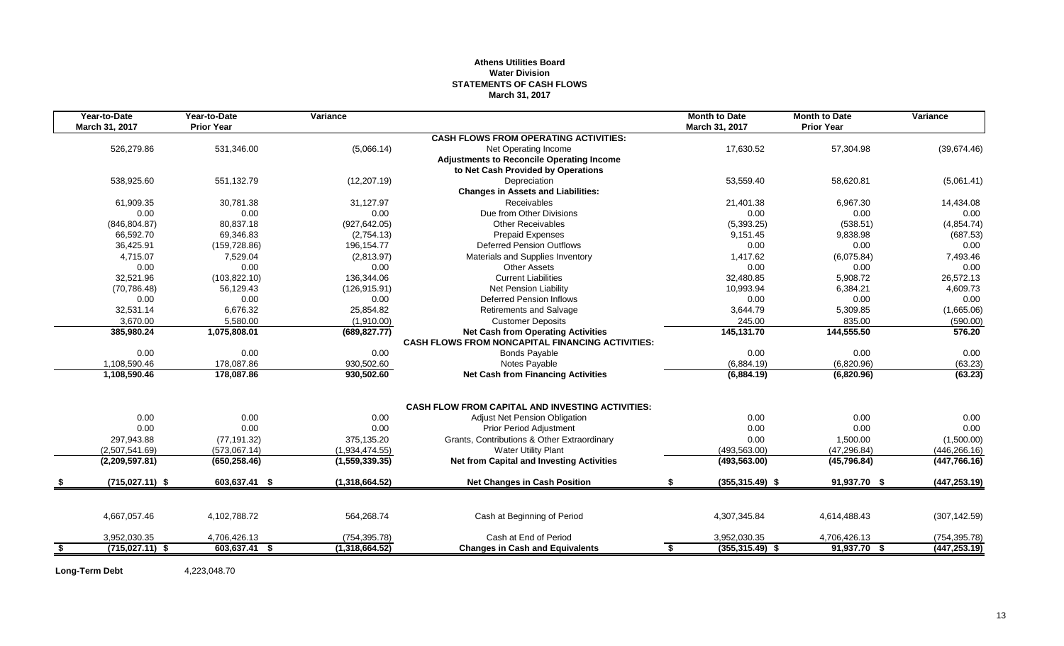## **Athens Utilities Board Water Division STATEMENTS OF CASH FLOWS March 31, 2017**

|     | Year-to-Date      | Year-to-Date      | Variance       |                                                         | <b>Month to Date</b>     | <b>Month to Date</b> | Variance      |
|-----|-------------------|-------------------|----------------|---------------------------------------------------------|--------------------------|----------------------|---------------|
|     | March 31, 2017    | <b>Prior Year</b> |                |                                                         | March 31, 2017           | <b>Prior Year</b>    |               |
|     |                   |                   |                | <b>CASH FLOWS FROM OPERATING ACTIVITIES:</b>            |                          |                      |               |
|     | 526,279.86        | 531,346.00        | (5,066.14)     | Net Operating Income                                    | 17,630.52                | 57,304.98            | (39,674.46)   |
|     |                   |                   |                | <b>Adjustments to Reconcile Operating Income</b>        |                          |                      |               |
|     |                   |                   |                | to Net Cash Provided by Operations                      |                          |                      |               |
|     | 538,925.60        | 551,132.79        | (12, 207.19)   | Depreciation                                            | 53,559.40                | 58,620.81            | (5,061.41)    |
|     |                   |                   |                | <b>Changes in Assets and Liabilities:</b>               |                          |                      |               |
|     | 61,909.35         | 30,781.38         | 31,127.97      | <b>Receivables</b>                                      | 21,401.38                | 6,967.30             | 14,434.08     |
|     | 0.00              | 0.00              | 0.00           | Due from Other Divisions                                | 0.00                     | 0.00                 | 0.00          |
|     | (846, 804.87)     | 80,837.18         | (927, 642.05)  | <b>Other Receivables</b>                                | (5, 393.25)              | (538.51)             | (4,854.74)    |
|     | 66,592.70         | 69,346.83         | (2,754.13)     | <b>Prepaid Expenses</b>                                 | 9,151.45                 | 9,838.98             | (687.53)      |
|     | 36,425.91         | (159, 728.86)     | 196,154.77     | <b>Deferred Pension Outflows</b>                        | 0.00                     | 0.00                 | 0.00          |
|     | 4,715.07          | 7,529.04          | (2,813.97)     | Materials and Supplies Inventory                        | 1,417.62                 | (6.075.84)           | 7,493.46      |
|     | 0.00              | 0.00              | 0.00           | <b>Other Assets</b>                                     | 0.00                     | 0.00                 | 0.00          |
|     | 32,521.96         | (103, 822.10)     | 136,344.06     | <b>Current Liabilities</b>                              | 32,480.85                | 5,908.72             | 26,572.13     |
|     | (70, 786.48)      | 56,129.43         | (126, 915.91)  | Net Pension Liability                                   | 10.993.94                | 6,384.21             | 4,609.73      |
|     | 0.00              | 0.00              | 0.00           | <b>Deferred Pension Inflows</b>                         | 0.00                     | 0.00                 | 0.00          |
|     | 32,531.14         | 6.676.32          | 25,854.82      | <b>Retirements and Salvage</b>                          | 3.644.79                 | 5,309.85             | (1,665.06)    |
|     | 3,670.00          | 5,580.00          | (1,910.00)     | <b>Customer Deposits</b>                                | 245.00                   | 835.00               | (590.00)      |
|     | 385,980.24        | 1,075,808.01      | (689, 827.77)  | <b>Net Cash from Operating Activities</b>               | 145,131.70               | 144,555.50           | 576.20        |
|     |                   |                   |                | <b>CASH FLOWS FROM NONCAPITAL FINANCING ACTIVITIES:</b> |                          |                      |               |
|     | 0.00              | 0.00              | 0.00           | <b>Bonds Payable</b>                                    | 0.00                     | 0.00                 | 0.00          |
|     | 1,108,590.46      | 178,087.86        | 930,502.60     | Notes Payable                                           | (6,884.19)               | (6,820.96)           | (63.23)       |
|     | 1,108,590.46      | 178,087.86        | 930,502.60     | <b>Net Cash from Financing Activities</b>               | (6,884.19)               | (6,820.96)           | (63.23)       |
|     |                   |                   |                |                                                         |                          |                      |               |
|     |                   |                   |                | <b>CASH FLOW FROM CAPITAL AND INVESTING ACTIVITIES:</b> |                          |                      |               |
|     | 0.00              | 0.00              | 0.00           | Adjust Net Pension Obligation                           | 0.00                     | 0.00                 | 0.00          |
|     | 0.00              | 0.00              | 0.00           | <b>Prior Period Adjustment</b>                          | 0.00                     | 0.00                 | 0.00          |
|     | 297,943.88        | (77, 191.32)      | 375,135.20     | Grants, Contributions & Other Extraordinary             | 0.00                     | 1,500.00             | (1,500.00)    |
|     | (2,507,541.69)    | (573,067.14)      | (1,934,474.55) | <b>Water Utility Plant</b>                              | (493, 563.00)            | (47, 296.84)         | (446, 266.16) |
|     | (2,209,597.81)    | (650, 258.46)     | (1,559,339.35) | <b>Net from Capital and Investing Activities</b>        | (493, 563.00)            | (45, 796.84)         | (447,766.16)  |
|     | $(715,027.11)$ \$ | 603,637.41 \$     | (1,318,664.52) | <b>Net Changes in Cash Position</b>                     | S.<br>$(355, 315.49)$ \$ | 91,937.70 \$         | (447, 253.19) |
|     |                   |                   |                |                                                         |                          |                      |               |
|     | 4,667,057.46      | 4,102,788.72      | 564,268.74     | Cash at Beginning of Period                             | 4,307,345.84             | 4,614,488.43         | (307, 142.59) |
|     | 3,952,030.35      | 4,706,426.13      | (754, 395.78)  | Cash at End of Period                                   | 3,952,030.35             | 4,706,426.13         | (754, 395.78) |
| - 5 | $(715.027.11)$ \$ | 603,637.41 \$     | (1,318,664.52) | <b>Changes in Cash and Equivalents</b>                  | \$<br>$(355, 315.49)$ \$ | 91,937.70 \$         | (447, 253.19) |
|     |                   |                   |                |                                                         |                          |                      |               |

**Long-Term Debt** 4,223,048.70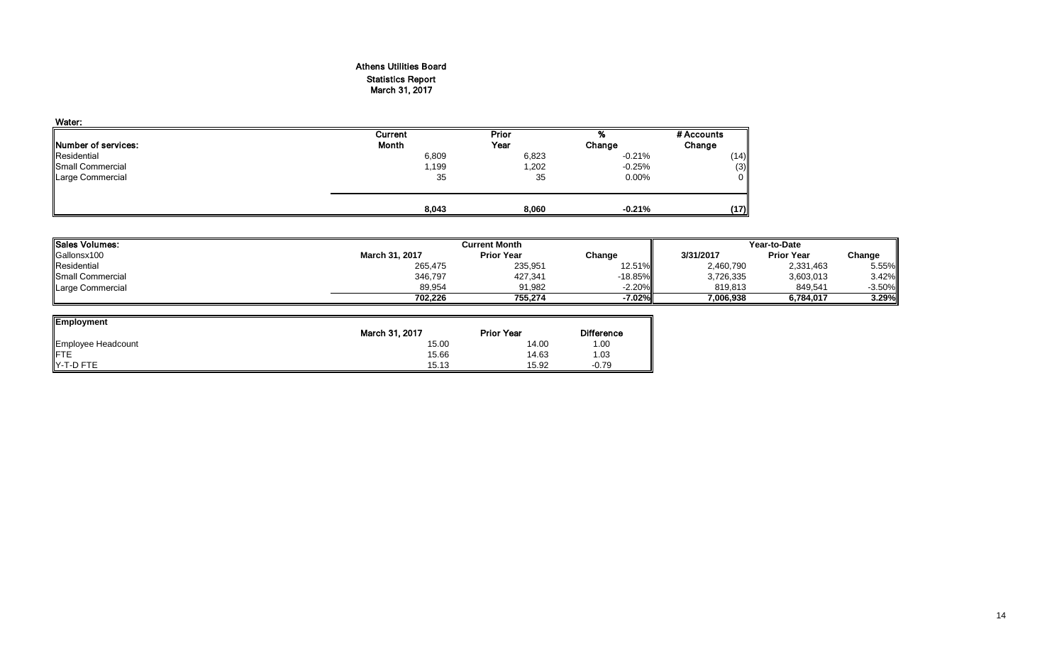## Athens Utilities Board Statistics Report March 31, 2017

| Water:                      |         |        |          |              |
|-----------------------------|---------|--------|----------|--------------|
|                             | Current | Prior  | %        | # Accounts   |
| <b>INumber of services:</b> | Month   | Year   | Change   | Change       |
| Residential                 | 6,809   | 6,823  | $-0.21%$ | (14)         |
| Small Commercial            | 1,199   | 202, ا | $-0.25%$ | (3)          |
| Large Commercial            | 35      | 35     | $0.00\%$ | $\mathbf{0}$ |
|                             | 8,043   | 8,060  | $-0.21%$ | (17)         |

| 'ISales Volumes: |                | <b>Current Month</b><br>Year-to-Date |           |           |                   |          |
|------------------|----------------|--------------------------------------|-----------|-----------|-------------------|----------|
| Gallonsx100      | March 31, 2017 | <b>Prior Year</b>                    | Change    | 3/31/2017 | <b>Prior Year</b> | Change   |
| Residential      | 265,475        | 235,951                              | 12.51%    | 2,460,790 | 2,331,463         | 5.55%    |
| Small Commercial | 346,797        | 427,341                              | $-18.85%$ | 3,726,335 | 3,603,013         | 3.42%    |
| Large Commercial | 89,954         | 91,982                               | $-2.20%$  | 819.813   | 849,541           | $-3.50%$ |
|                  | 702.226        | 755.274                              | -7.02%    | 7,006,938 | 6.784.017         | 3.29%    |

<u>і</u>

| <b>Employment</b>  |                |                   |                   |
|--------------------|----------------|-------------------|-------------------|
|                    | March 31, 2017 | <b>Prior Year</b> | <b>Difference</b> |
| Employee Headcount | 15.00          | 14.00             | 1.00              |
| <b>FTE</b>         | 15.66          | 14.63             | 1.03              |
| Y-T-D FTE          | 15.13          | 15.92             | $-0.79$           |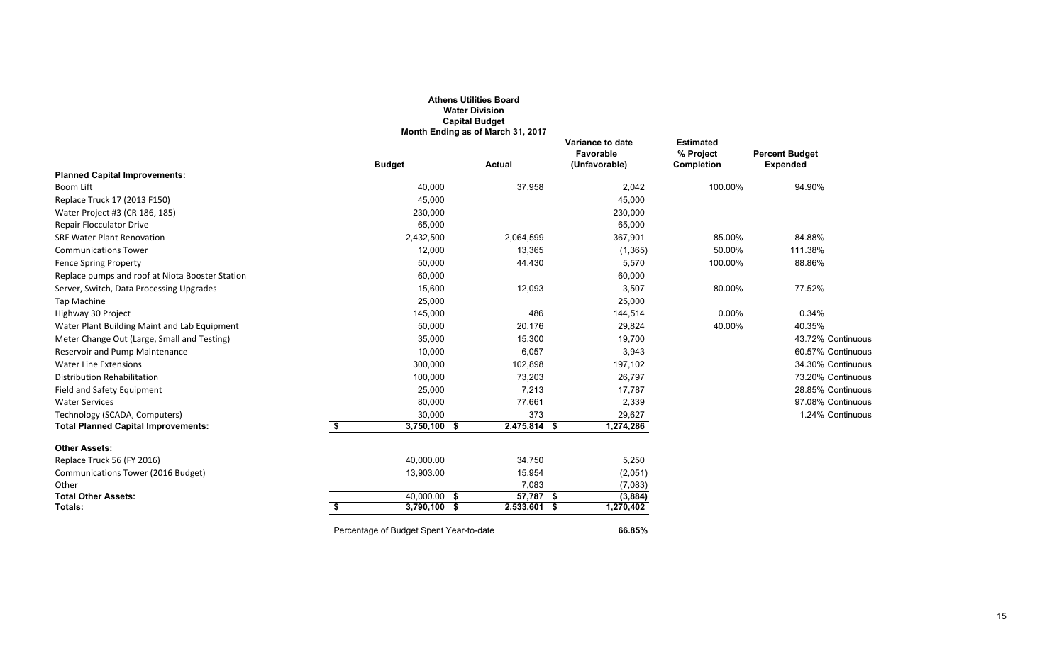|                                                 |                                         | <b>Athens Utilities Board</b><br><b>Water Division</b><br><b>Capital Budget</b><br>Month Ending as of March 31, 2017 |                                                |                                                    |                                          |
|-------------------------------------------------|-----------------------------------------|----------------------------------------------------------------------------------------------------------------------|------------------------------------------------|----------------------------------------------------|------------------------------------------|
|                                                 | <b>Budget</b>                           | <b>Actual</b>                                                                                                        | Variance to date<br>Favorable<br>(Unfavorable) | <b>Estimated</b><br>% Project<br><b>Completion</b> | <b>Percent Budget</b><br><b>Expended</b> |
| <b>Planned Capital Improvements:</b>            |                                         |                                                                                                                      |                                                |                                                    |                                          |
| Boom Lift                                       | 40,000                                  | 37,958                                                                                                               | 2,042                                          | 100.00%                                            | 94.90%                                   |
| Replace Truck 17 (2013 F150)                    | 45,000                                  |                                                                                                                      | 45,000                                         |                                                    |                                          |
| Water Project #3 (CR 186, 185)                  | 230,000                                 |                                                                                                                      | 230,000                                        |                                                    |                                          |
| <b>Repair Flocculator Drive</b>                 | 65,000                                  |                                                                                                                      | 65,000                                         |                                                    |                                          |
| <b>SRF Water Plant Renovation</b>               | 2,432,500                               | 2,064,599                                                                                                            | 367,901                                        | 85.00%                                             | 84.88%                                   |
| <b>Communications Tower</b>                     | 12,000                                  | 13,365                                                                                                               | (1, 365)                                       | 50.00%                                             | 111.38%                                  |
| <b>Fence Spring Property</b>                    | 50,000                                  | 44,430                                                                                                               | 5,570                                          | 100.00%                                            | 88.86%                                   |
| Replace pumps and roof at Niota Booster Station | 60,000                                  |                                                                                                                      | 60,000                                         |                                                    |                                          |
| Server, Switch, Data Processing Upgrades        | 15,600                                  | 12,093                                                                                                               | 3,507                                          | 80.00%                                             | 77.52%                                   |
| Tap Machine                                     | 25,000                                  |                                                                                                                      | 25,000                                         |                                                    |                                          |
| Highway 30 Project                              | 145,000                                 | 486                                                                                                                  | 144,514                                        | 0.00%                                              | 0.34%                                    |
| Water Plant Building Maint and Lab Equipment    | 50,000                                  | 20,176                                                                                                               | 29,824                                         | 40.00%                                             | 40.35%                                   |
| Meter Change Out (Large, Small and Testing)     | 35,000                                  | 15,300                                                                                                               | 19,700                                         |                                                    | 43.72% Continuous                        |
| Reservoir and Pump Maintenance                  | 10,000                                  | 6,057                                                                                                                | 3,943                                          |                                                    | 60.57% Continuous                        |
| <b>Water Line Extensions</b>                    | 300,000                                 | 102,898                                                                                                              | 197,102                                        |                                                    | 34.30% Continuous                        |
| Distribution Rehabilitation                     | 100,000                                 | 73,203                                                                                                               | 26,797                                         |                                                    | 73.20% Continuous                        |
| Field and Safety Equipment                      | 25,000                                  | 7,213                                                                                                                | 17,787                                         |                                                    | 28.85% Continuous                        |
| <b>Water Services</b>                           | 80,000                                  | 77,661                                                                                                               | 2,339                                          |                                                    | 97.08% Continuous                        |
| Technology (SCADA, Computers)                   | 30,000                                  | 373                                                                                                                  | 29,627                                         |                                                    | 1.24% Continuous                         |
| <b>Total Planned Capital Improvements:</b>      | \$<br>3,750,100 \$                      | 2,475,814 \$                                                                                                         | 1,274,286                                      |                                                    |                                          |
| <b>Other Assets:</b>                            |                                         |                                                                                                                      |                                                |                                                    |                                          |
| Replace Truck 56 (FY 2016)                      | 40,000.00                               | 34,750                                                                                                               | 5,250                                          |                                                    |                                          |
| Communications Tower (2016 Budget)              | 13,903.00                               | 15,954                                                                                                               | (2,051)                                        |                                                    |                                          |
| Other                                           |                                         | 7,083                                                                                                                | (7,083)                                        |                                                    |                                          |
| <b>Total Other Assets:</b>                      | $40,000.00$ \$                          | $57,787$ \$                                                                                                          | (3,884)                                        |                                                    |                                          |
| Totals:                                         | $3,790,100$ \$                          | $2,533,601$ \$                                                                                                       | 1,270,402                                      |                                                    |                                          |
|                                                 | Percentage of Budget Spent Year-to-date |                                                                                                                      | 66.85%                                         |                                                    |                                          |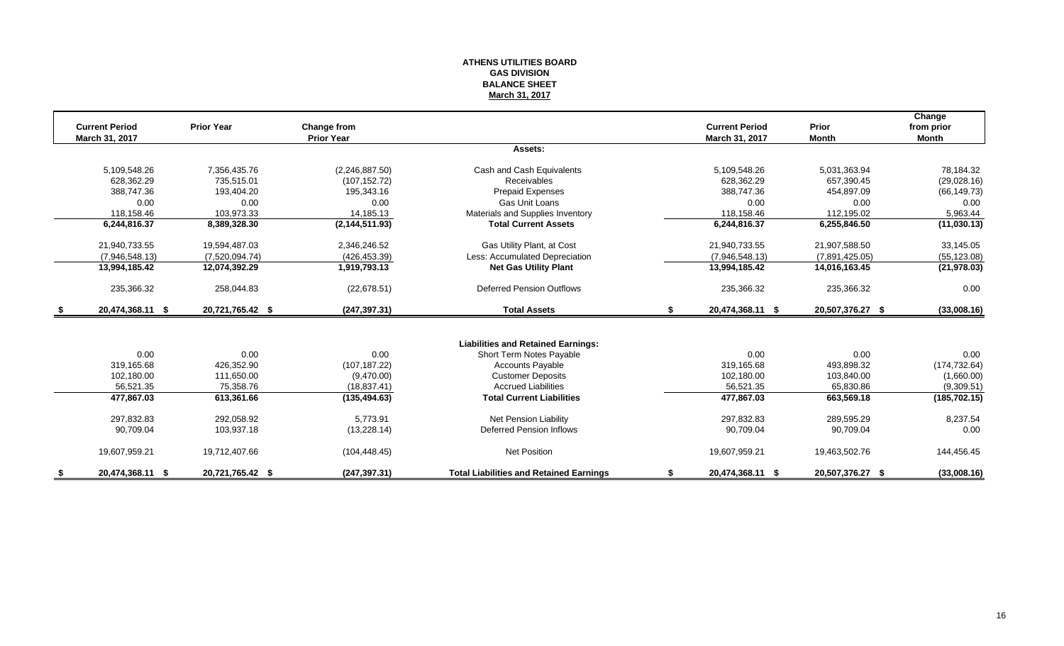## **ATHENS UTILITIES BOARD GAS DIVISION BALANCE SHEET March 31, 2017**

|      |                       |                   |                   |                                                |    |                       |                  | Change        |
|------|-----------------------|-------------------|-------------------|------------------------------------------------|----|-----------------------|------------------|---------------|
|      | <b>Current Period</b> | <b>Prior Year</b> | Change from       |                                                |    | <b>Current Period</b> | Prior            | from prior    |
|      | March 31, 2017        |                   | <b>Prior Year</b> | Assets:                                        |    | March 31, 2017        | <b>Month</b>     | <b>Month</b>  |
|      |                       |                   |                   |                                                |    |                       |                  |               |
|      | 5,109,548.26          | 7,356,435.76      | (2,246,887.50)    | Cash and Cash Equivalents                      |    | 5,109,548.26          | 5,031,363.94     | 78,184.32     |
|      | 628.362.29            | 735.515.01        | (107, 152.72)     | Receivables                                    |    | 628.362.29            | 657.390.45       | (29,028.16)   |
|      | 388,747.36            | 193,404.20        | 195.343.16        | <b>Prepaid Expenses</b>                        |    | 388.747.36            | 454,897.09       | (66, 149.73)  |
|      | 0.00                  | 0.00              | 0.00              | <b>Gas Unit Loans</b>                          |    | 0.00                  | 0.00             | 0.00          |
|      | 118,158.46            | 103,973.33        | 14,185.13         | Materials and Supplies Inventory               |    | 118,158.46            | 112,195.02       | 5,963.44      |
|      | 6,244,816.37          | 8,389,328.30      | (2, 144, 511.93)  | <b>Total Current Assets</b>                    |    | 6,244,816.37          | 6,255,846.50     | (11,030.13)   |
|      | 21,940,733.55         | 19,594,487.03     | 2,346,246.52      | Gas Utility Plant, at Cost                     |    | 21,940,733.55         | 21,907,588.50    | 33,145.05     |
|      | (7,946,548.13)        | (7,520,094.74)    | (426, 453.39)     | Less: Accumulated Depreciation                 |    | (7,946,548.13)        | (7,891,425.05)   | (55, 123.08)  |
|      | 13,994,185.42         | 12,074,392.29     | 1,919,793.13      | <b>Net Gas Utility Plant</b>                   |    | 13,994,185.42         | 14,016,163.45    | (21, 978.03)  |
|      | 235,366.32            | 258,044.83        | (22, 678.51)      | <b>Deferred Pension Outflows</b>               |    | 235,366.32            | 235,366.32       | 0.00          |
| - \$ | 20,474,368.11 \$      | 20,721,765.42 \$  | (247, 397.31)     | <b>Total Assets</b>                            | S. | 20,474,368.11 \$      | 20,507,376.27 \$ | (33,008.16)   |
|      |                       |                   |                   |                                                |    |                       |                  |               |
|      |                       |                   |                   | <b>Liabilities and Retained Earnings:</b>      |    |                       |                  |               |
|      | 0.00                  | 0.00              | 0.00              | Short Term Notes Payable                       |    | 0.00                  | 0.00             | 0.00          |
|      | 319,165.68            | 426,352.90        | (107, 187.22)     | <b>Accounts Payable</b>                        |    | 319,165.68            | 493,898.32       | (174, 732.64) |
|      | 102,180.00            | 111,650.00        | (9,470.00)        | <b>Customer Deposits</b>                       |    | 102,180.00            | 103,840.00       | (1,660.00)    |
|      | 56.521.35             | 75,358.76         | (18, 837.41)      | <b>Accrued Liabilities</b>                     |    | 56,521.35             | 65.830.86        | (9,309.51)    |
|      | 477,867.03            | 613,361.66        | (135, 494.63)     | <b>Total Current Liabilities</b>               |    | 477,867.03            | 663,569.18       | (185, 702.15) |
|      | 297,832.83            | 292.058.92        | 5.773.91          | Net Pension Liability                          |    | 297.832.83            | 289.595.29       | 8,237.54      |
|      | 90,709.04             | 103,937.18        | (13, 228.14)      | Deferred Pension Inflows                       |    | 90,709.04             | 90,709.04        | 0.00          |
|      | 19,607,959.21         | 19,712,407.66     | (104, 448.45)     | <b>Net Position</b>                            |    | 19,607,959.21         | 19,463,502.76    | 144,456.45    |
|      | 20,474,368.11 \$      | 20,721,765.42 \$  | (247, 397.31)     | <b>Total Liabilities and Retained Earnings</b> |    | 20,474,368.11 \$      | 20,507,376.27 \$ | (33,008.16)   |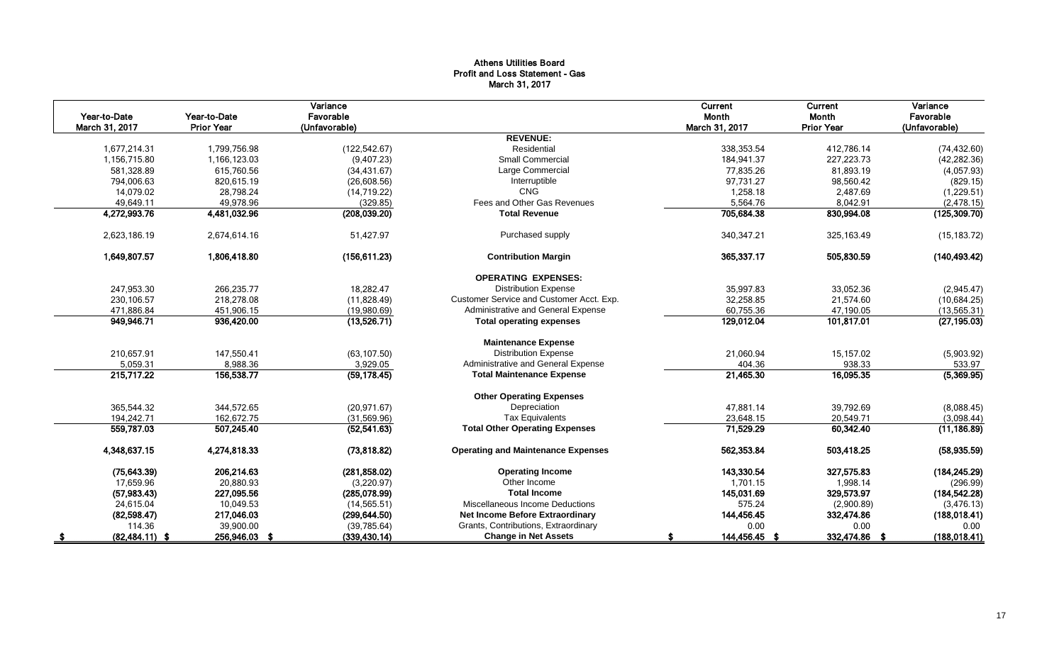## Athens Utilities Board Profit and Loss Statement - Gas March 31, 2017

| Year-to-Date<br>March 31, 2017 | Year-to-Date<br><b>Prior Year</b> | Variance<br>Favorable<br>(Unfavorable) |                                           | Current<br>Month<br>March 31, 2017 | Current<br>Month<br><b>Prior Year</b> | Variance<br>Favorable<br>(Unfavorable) |
|--------------------------------|-----------------------------------|----------------------------------------|-------------------------------------------|------------------------------------|---------------------------------------|----------------------------------------|
|                                |                                   |                                        | <b>REVENUE:</b>                           |                                    |                                       |                                        |
| 1.677.214.31                   | 1,799,756.98                      | (122, 542.67)                          | Residential                               | 338.353.54                         | 412,786.14                            | (74, 432.60)                           |
| 1,156,715.80                   | 1,166,123.03                      | (9,407.23)                             | <b>Small Commercial</b>                   | 184,941.37                         | 227,223.73                            | (42, 282.36)                           |
| 581,328.89                     | 615,760.56                        | (34, 431.67)                           | Large Commercial                          | 77,835.26                          | 81,893.19                             | (4,057.93)                             |
| 794,006.63                     | 820,615.19                        | (26, 608.56)                           | Interruptible                             | 97,731.27                          | 98,560.42                             | (829.15)                               |
| 14.079.02                      | 28,798.24                         | (14, 719.22)                           | <b>CNG</b>                                | 1.258.18                           | 2.487.69                              | (1,229.51)                             |
| 49,649.11                      | 49,978.96                         | (329.85)                               | Fees and Other Gas Revenues               | 5,564.76                           | 8,042.91                              | (2,478.15)                             |
| 4,272,993.76                   | 4,481,032.96                      | (208, 039.20)                          | <b>Total Revenue</b>                      | 705,684.38                         | 830,994.08                            | (125, 309.70)                          |
| 2,623,186.19                   | 2,674,614.16                      | 51,427.97                              | Purchased supply                          | 340, 347. 21                       | 325,163.49                            | (15, 183.72)                           |
| 1,649,807.57                   | 1,806,418.80                      | (156, 611.23)                          | <b>Contribution Margin</b>                | 365,337.17                         | 505,830.59                            | (140, 493.42)                          |
|                                |                                   |                                        | <b>OPERATING EXPENSES:</b>                |                                    |                                       |                                        |
| 247,953.30                     | 266,235.77                        | 18,282.47                              | <b>Distribution Expense</b>               | 35,997.83                          | 33,052.36                             | (2,945.47)                             |
| 230,106.57                     | 218,278.08                        | (11,828.49)                            | Customer Service and Customer Acct. Exp.  | 32,258.85                          | 21,574.60                             | (10, 684.25)                           |
| 471,886.84                     | 451,906.15                        | (19,980.69)                            | Administrative and General Expense        | 60,755.36                          | 47,190.05                             | (13, 565.31)                           |
| 949,946.71                     | 936,420.00                        | (13,526.71)                            | <b>Total operating expenses</b>           | 129,012.04                         | 101,817.01                            | (27, 195.03)                           |
|                                |                                   |                                        | <b>Maintenance Expense</b>                |                                    |                                       |                                        |
| 210,657.91                     | 147,550.41                        | (63, 107.50)                           | <b>Distribution Expense</b>               | 21,060.94                          | 15,157.02                             | (5,903.92)                             |
| 5,059.31                       | 8,988.36                          | 3,929.05                               | Administrative and General Expense        | 404.36                             | 938.33                                | 533.97                                 |
| 215,717.22                     | 156,538.77                        | (59, 178.45)                           | <b>Total Maintenance Expense</b>          | 21,465.30                          | 16,095.35                             | (5,369.95)                             |
|                                |                                   |                                        | <b>Other Operating Expenses</b>           |                                    |                                       |                                        |
| 365,544.32                     | 344,572.65                        | (20, 971.67)                           | Depreciation                              | 47,881.14                          | 39,792.69                             | (8,088.45)                             |
| 194.242.71                     | 162.672.75                        | (31,569.96)                            | <b>Tax Equivalents</b>                    | 23,648.15                          | 20.549.71                             | (3,098.44)                             |
| 559,787.03                     | 507,245.40                        | (52, 541.63)                           | <b>Total Other Operating Expenses</b>     | 71,529.29                          | 60,342.40                             | (11, 186.89)                           |
| 4,348,637.15                   | 4,274,818.33                      | (73,818.82)                            | <b>Operating and Maintenance Expenses</b> | 562,353.84                         | 503,418.25                            | (58, 935.59)                           |
| (75, 643.39)                   | 206,214.63                        | (281, 858.02)                          | <b>Operating Income</b>                   | 143,330.54                         | 327,575.83                            | (184, 245.29)                          |
| 17,659.96                      | 20,880.93                         | (3,220.97)                             | Other Income                              | 1,701.15                           | 1,998.14                              | (296.99)                               |
| (57, 983.43)                   | 227,095.56                        | (285,078.99)                           | <b>Total Income</b>                       | 145,031.69                         | 329,573.97                            | (184, 542.28)                          |
| 24,615.04                      | 10,049.53                         | (14, 565.51)                           | Miscellaneous Income Deductions           | 575.24                             | (2,900.89)                            | (3, 476.13)                            |
| (82, 598.47)                   | 217,046.03                        | (299, 644.50)                          | <b>Net Income Before Extraordinary</b>    | 144,456.45                         | 332,474.86                            | (188, 018.41)                          |
| 114.36                         | 39,900.00                         | (39, 785.64)                           | Grants, Contributions, Extraordinary      | 0.00                               | 0.00                                  | 0.00                                   |
| $(82, 484.11)$ \$              | 256,946.03 \$                     | (339, 430.14)                          | <b>Change in Net Assets</b>               | 144,456.45 \$                      | 332,474.86 \$                         | (188, 018.41)                          |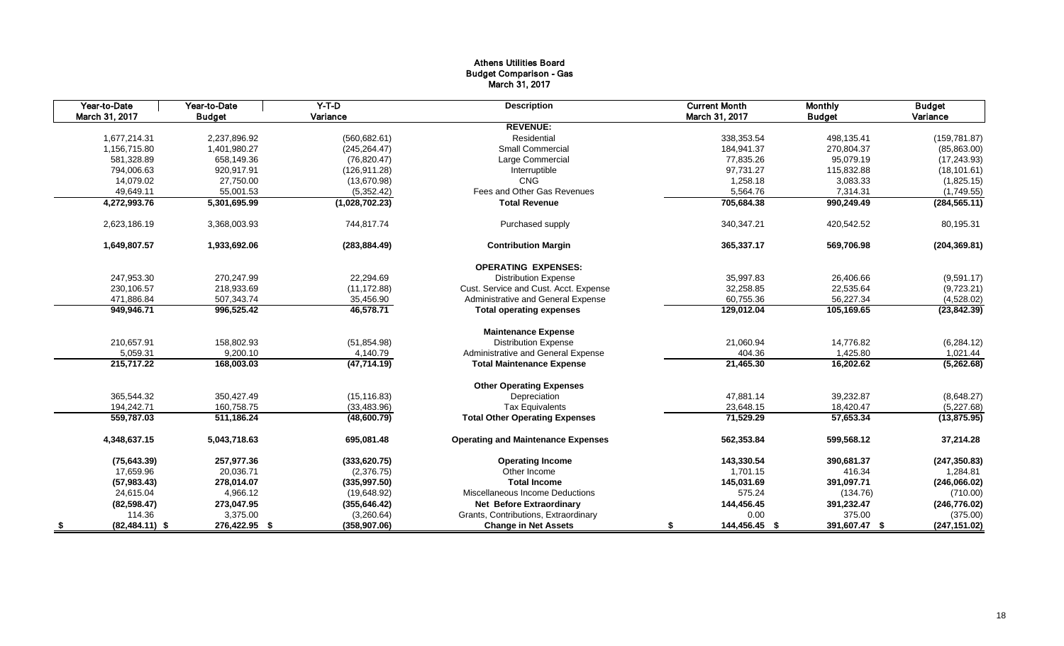## Athens Utilities Board Budget Comparison - Gas March 31, 2017

|      | Year-to-Date      | Year-to-Date  | $Y-T-D$        | <b>Description</b>                        | <b>Current Month</b> | <b>Monthly</b> | <b>Budget</b>             |
|------|-------------------|---------------|----------------|-------------------------------------------|----------------------|----------------|---------------------------|
|      | March 31, 2017    | <b>Budget</b> | Variance       |                                           | March 31, 2017       | <b>Budget</b>  | Variance                  |
|      |                   |               |                | <b>REVENUE:</b>                           |                      |                |                           |
|      | 1,677,214.31      | 2,237,896.92  | (560, 682.61)  | Residential                               | 338,353.54           | 498,135.41     | (159, 781.87)             |
|      | 1,156,715.80      | 1,401,980.27  | (245, 264.47)  | Small Commercial                          | 184,941.37           | 270,804.37     | (85, 863.00)              |
|      | 581,328.89        | 658,149.36    | (76, 820.47)   | Large Commercial                          | 77,835.26            | 95,079.19      | (17, 243.93)              |
|      | 794,006.63        | 920,917.91    | (126.911.28)   | Interruptible                             | 97.731.27            | 115,832.88     | (18, 101.61)              |
|      | 14,079.02         | 27,750.00     | (13,670.98)    | <b>CNG</b>                                | 1,258.18             | 3,083.33       | (1,825.15)                |
|      | 49,649.11         | 55,001.53     | (5,352.42)     | Fees and Other Gas Revenues               | 5,564.76             | 7,314.31       | (1,749.55)                |
|      | 4,272,993.76      | 5,301,695.99  | (1,028,702.23) | <b>Total Revenue</b>                      | 705,684.38           | 990,249.49     | $\overline{(284,565.11)}$ |
|      | 2,623,186.19      | 3,368,003.93  | 744,817.74     | Purchased supply                          | 340,347.21           | 420,542.52     | 80,195.31                 |
|      | 1,649,807.57      | 1,933,692.06  | (283, 884.49)  | <b>Contribution Margin</b>                | 365,337.17           | 569,706.98     | (204, 369.81)             |
|      |                   |               |                | <b>OPERATING EXPENSES:</b>                |                      |                |                           |
|      | 247,953.30        | 270,247.99    | 22,294.69      | <b>Distribution Expense</b>               | 35,997.83            | 26,406.66      | (9,591.17)                |
|      | 230,106.57        | 218,933.69    | (11, 172.88)   | Cust. Service and Cust. Acct. Expense     | 32,258.85            | 22.535.64      | (9,723.21)                |
|      | 471,886.84        | 507,343.74    | 35,456.90      | Administrative and General Expense        | 60,755.36            | 56,227.34      | (4,528.02)                |
|      | 949,946.71        | 996,525.42    | 46,578.71      | <b>Total operating expenses</b>           | 129,012.04           | 105,169.65     | (23, 842.39)              |
|      |                   |               |                | <b>Maintenance Expense</b>                |                      |                |                           |
|      | 210,657.91        | 158,802.93    | (51, 854.98)   | <b>Distribution Expense</b>               | 21,060.94            | 14,776.82      | (6,284.12)                |
|      | 5,059.31          | 9,200.10      | 4,140.79       | Administrative and General Expense        | 404.36               | 1,425.80       | 1,021.44                  |
|      | 215,717.22        | 168,003.03    | (47, 714.19)   | <b>Total Maintenance Expense</b>          | 21,465.30            | 16,202.62      | (5,262.68)                |
|      |                   |               |                | <b>Other Operating Expenses</b>           |                      |                |                           |
|      | 365,544.32        | 350,427.49    | (15, 116.83)   | Depreciation                              | 47,881.14            | 39,232.87      | (8,648.27)                |
|      | 194,242.71        | 160,758.75    | (33, 483.96)   | <b>Tax Equivalents</b>                    | 23,648.15            | 18,420.47      | (5,227.68)                |
|      | 559,787.03        | 511,186.24    | (48,600.79)    | <b>Total Other Operating Expenses</b>     | 71,529.29            | 57,653.34      | (13, 875.95)              |
|      | 4,348,637.15      | 5,043,718.63  | 695,081.48     | <b>Operating and Maintenance Expenses</b> | 562,353.84           | 599,568.12     | 37,214.28                 |
|      | (75, 643.39)      | 257,977.36    | (333,620.75)   | <b>Operating Income</b>                   | 143,330.54           | 390,681.37     | (247, 350.83)             |
|      | 17,659.96         | 20,036.71     | (2,376.75)     | Other Income                              | 1,701.15             | 416.34         | 1,284.81                  |
|      | (57, 983.43)      | 278,014.07    | (335, 997.50)  | <b>Total Income</b>                       | 145,031.69           | 391,097.71     | (246,066.02)              |
|      | 24,615.04         | 4,966.12      | (19,648.92)    | Miscellaneous Income Deductions           | 575.24               | (134.76)       | (710.00)                  |
|      | (82, 598.47)      | 273,047.95    | (355, 646.42)  | <b>Net Before Extraordinary</b>           | 144,456.45           | 391,232.47     | (246, 776.02)             |
|      | 114.36            | 3,375.00      | (3,260.64)     | Grants, Contributions, Extraordinary      | 0.00                 | 375.00         | (375.00)                  |
| - \$ | $(82, 484.11)$ \$ | 276,422.95 \$ | (358, 907.06)  | <b>Change in Net Assets</b>               | 144,456.45 \$<br>\$  | 391,607.47 \$  | (247, 151.02)             |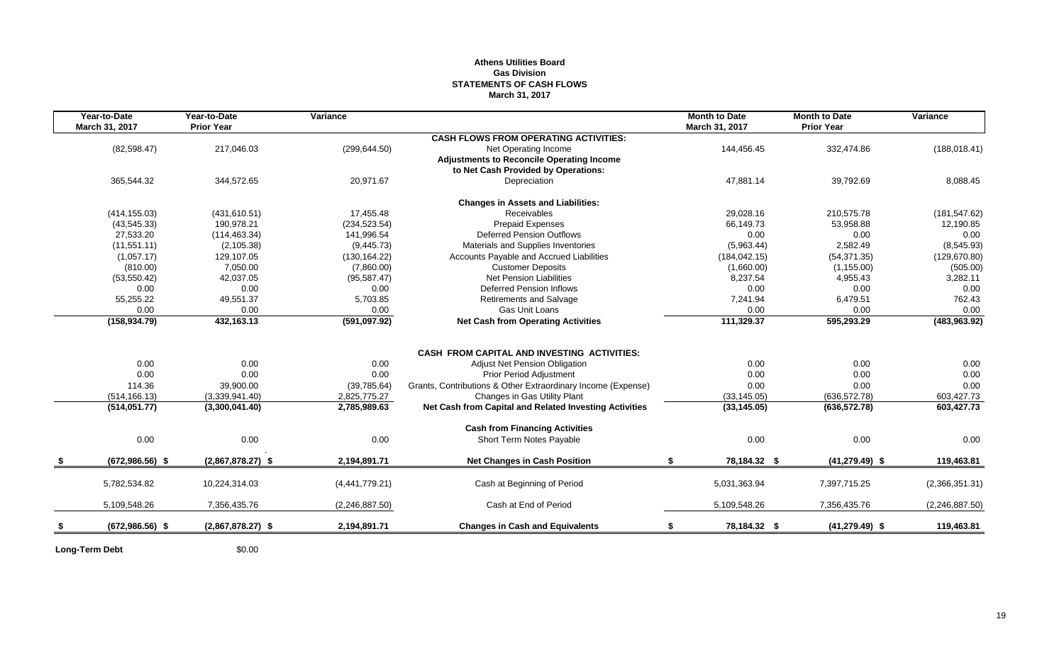## **Athens Utilities Board Gas Division STATEMENTS OF CASH FLOWS March 31, 2017**

| Year-to-Date<br>March 31, 2017 | Year-to-Date<br><b>Prior Year</b> | Variance       |                                                              | <b>Month to Date</b><br>March 31, 2017 | <b>Month to Date</b><br><b>Prior Year</b> | Variance         |
|--------------------------------|-----------------------------------|----------------|--------------------------------------------------------------|----------------------------------------|-------------------------------------------|------------------|
|                                |                                   |                | <b>CASH FLOWS FROM OPERATING ACTIVITIES:</b>                 |                                        |                                           |                  |
| (82,598.47)                    | 217,046.03                        | (299, 644.50)  | Net Operating Income                                         | 144,456.45                             | 332,474.86                                | (188, 018.41)    |
|                                |                                   |                | <b>Adjustments to Reconcile Operating Income</b>             |                                        |                                           |                  |
|                                |                                   |                | to Net Cash Provided by Operations:                          |                                        |                                           |                  |
| 365,544.32                     | 344,572.65                        | 20,971.67      | Depreciation                                                 | 47,881.14                              | 39,792.69                                 | 8,088.45         |
|                                |                                   |                | <b>Changes in Assets and Liabilities:</b>                    |                                        |                                           |                  |
| (414, 155.03)                  | (431, 610.51)                     | 17,455.48      | Receivables                                                  | 29,028.16                              | 210,575.78                                | (181, 547.62)    |
| (43, 545.33)                   | 190,978.21                        | (234, 523.54)  | Prepaid Expenses                                             | 66,149.73                              | 53,958.88                                 | 12,190.85        |
| 27,533.20                      | (114, 463.34)                     | 141,996.54     | Deferred Pension Outflows                                    | 0.00                                   | 0.00                                      | 0.00             |
| (11, 551.11)                   | (2, 105.38)                       | (9,445.73)     | Materials and Supplies Inventories                           | (5,963.44)                             | 2,582.49                                  | (8,545.93)       |
| (1,057.17)                     | 129,107.05                        | (130, 164.22)  | Accounts Payable and Accrued Liabilities                     | (184, 042.15)                          | (54, 371.35)                              | (129, 670.80)    |
| (810.00)                       | 7,050.00                          | (7,860.00)     | <b>Customer Deposits</b>                                     | (1,660.00)                             | (1, 155.00)                               | (505.00)         |
| (53, 550.42)                   | 42,037.05                         | (95, 587.47)   | Net Pension Liabilities                                      | 8,237.54                               | 4,955.43                                  | 3,282.11         |
| 0.00                           | 0.00                              | 0.00           | <b>Deferred Pension Inflows</b>                              | 0.00                                   | 0.00                                      | 0.00             |
| 55,255.22                      | 49,551.37                         | 5,703.85       | <b>Retirements and Salvage</b>                               | 7,241.94                               | 6,479.51                                  | 762.43           |
| 0.00                           | 0.00                              | 0.00           | Gas Unit Loans                                               | 0.00                                   | 0.00                                      | 0.00             |
| (158, 934.79)                  | 432,163.13                        | (591,097.92)   | <b>Net Cash from Operating Activities</b>                    | 111,329.37                             | 595,293.29                                | (483, 963.92)    |
|                                |                                   |                |                                                              |                                        |                                           |                  |
|                                |                                   |                | <b>CASH FROM CAPITAL AND INVESTING ACTIVITIES:</b>           |                                        |                                           |                  |
| 0.00                           | 0.00                              | 0.00           | Adjust Net Pension Obligation                                | 0.00                                   | 0.00                                      | 0.00             |
| 0.00                           | 0.00                              | 0.00           | <b>Prior Period Adjustment</b>                               | 0.00                                   | 0.00                                      | 0.00             |
| 114.36                         | 39,900.00                         | (39, 785.64)   | Grants, Contributions & Other Extraordinary Income (Expense) | 0.00                                   | 0.00                                      | 0.00             |
| (514, 166.13)                  | (3,339,941.40)                    | 2,825,775.27   | Changes in Gas Utility Plant                                 | (33, 145.05)                           | (636, 572.78)                             | 603,427.73       |
| (514, 051.77)                  | (3,300,041.40)                    | 2,785,989.63   | Net Cash from Capital and Related Investing Activities       | (33, 145.05)                           | (636, 572.78)                             | 603,427.73       |
|                                |                                   |                | <b>Cash from Financing Activities</b>                        |                                        |                                           |                  |
| 0.00                           | 0.00                              | 0.00           | Short Term Notes Payable                                     | 0.00                                   | 0.00                                      | 0.00             |
| $(672,986.56)$ \$              | $(2,867,878.27)$ \$               | 2,194,891.71   | <b>Net Changes in Cash Position</b>                          | \$<br>78,184.32 \$                     | $(41, 279.49)$ \$                         | 119,463.81       |
| 5,782,534.82                   | 10,224,314.03                     | (4,441,779.21) | Cash at Beginning of Period                                  | 5,031,363.94                           | 7.397.715.25                              | (2,366,351.31)   |
| 5,109,548.26                   | 7,356,435.76                      | (2,246,887.50) | Cash at End of Period                                        | 5,109,548.26                           | 7,356,435.76                              | (2, 246, 887.50) |
| $(672,986.56)$ \$              | $(2,867,878.27)$ \$               | 2,194,891.71   | <b>Changes in Cash and Equivalents</b>                       | 78,184.32 \$<br>\$                     | $(41, 279.49)$ \$                         | 119.463.81       |
|                                |                                   |                |                                                              |                                        |                                           |                  |

**Long-Term Debt** \$0.00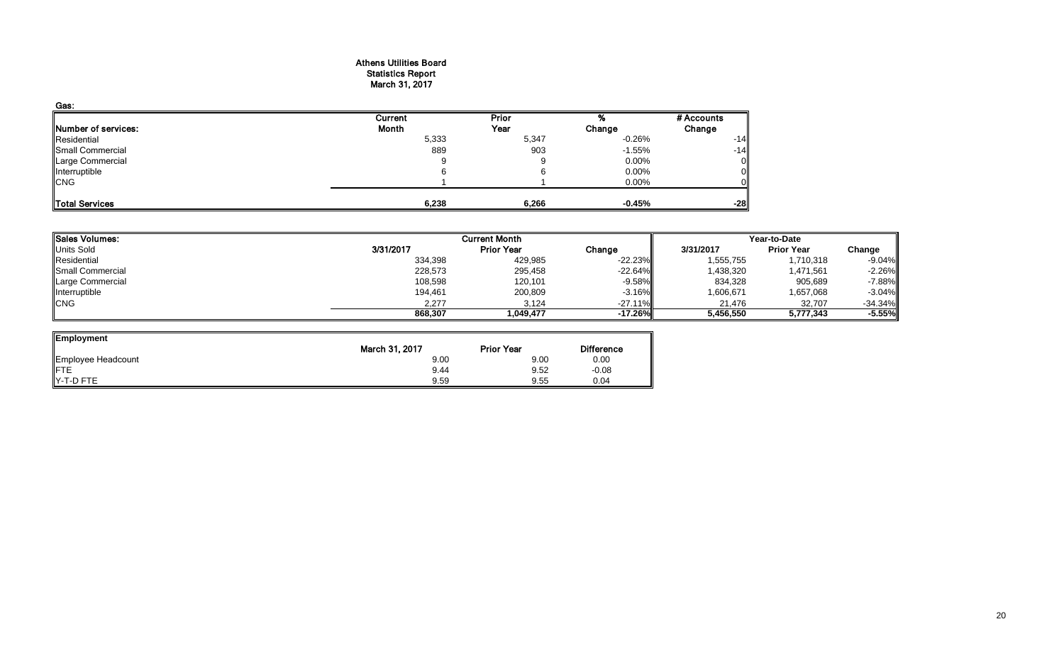## Athens Utilities Board Statistics Report March 31, 2017

| Gas:                |         |       |          |            |
|---------------------|---------|-------|----------|------------|
|                     | Current | Prior |          | # Accounts |
| Number of services: | Month   | Year  | Change   | Change     |
| Residential         | 5,333   | 5,347 | $-0.26%$ | $-14$      |
| Small Commercial    | 889     | 903   | $-1.55%$ | $-14$      |
| Large Commercial    | 9       |       | 0.00%    | 0          |
| Interruptible       | 6       |       | 0.00%    |            |
| <b>CNG</b>          |         |       | 0.00%    |            |
| Total Services      | 6,238   | 6,266 | $-0.45%$ | $-28$      |

| Sales Volumes:          |           | <b>Current Month</b> |            |           | Year-to-Date      |           |  |  |
|-------------------------|-----------|----------------------|------------|-----------|-------------------|-----------|--|--|
| Units Sold              | 3/31/2017 | <b>Prior Year</b>    | Change     | 3/31/2017 | <b>Prior Year</b> | Change    |  |  |
| Residential             | 334,398   | 429,985              | $-22.23%$  | 1,555,755 | 1,710,318         | $-9.04%$  |  |  |
| <b>Small Commercial</b> | 228,573   | 295,458              | $-22.64%$  | 1,438,320 | 1,471,561         | $-2.26%$  |  |  |
| Large Commercial        | 108,598   | 120,101              | $-9.58\%$  | 834,328   | 905,689           | $-7.88%$  |  |  |
| Interruptible           | 194,461   | 200,809              | $-3.16\%$  | 1,606,671 | 1,657,068         | $-3.04%$  |  |  |
| <b>CNG</b>              | 2,277     | 3,124                | $-27.11\%$ | 21,476    | 32,707            | $-34.34%$ |  |  |
|                         | 868,307   | 1.049.477            | $-17.26%$  | 5,456,550 | 5,777,343         | $-5.55%$  |  |  |

ᆜ

| <b>Employment</b>  |                |                   |                   |
|--------------------|----------------|-------------------|-------------------|
|                    | March 31, 2017 | <b>Prior Year</b> | <b>Difference</b> |
| Employee Headcount | 9.00           | 9.00              | 0.00              |
| ∦FTE               | 9.44           | 9.52              | $-0.08$           |
| Y-T-D FTE          | 9.59           | 9.55              | 0.04              |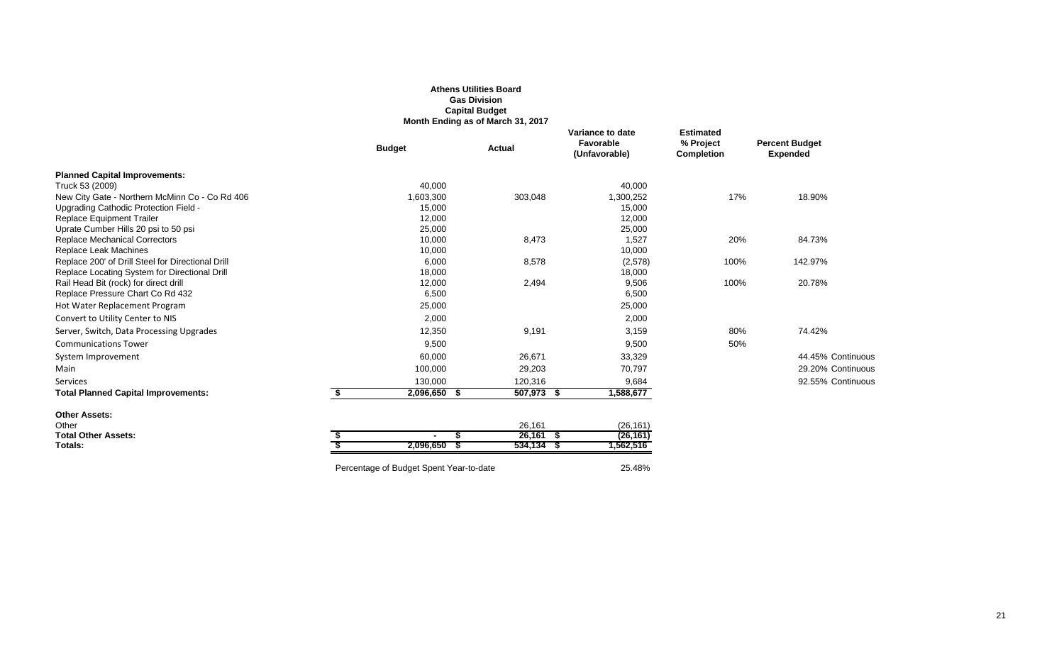|                                                                                                    |                                         | <b>Gas Division</b><br><b>Capital Budget</b><br>Month Ending as of March 31, 2017 |                                                |                                                    |                                          |
|----------------------------------------------------------------------------------------------------|-----------------------------------------|-----------------------------------------------------------------------------------|------------------------------------------------|----------------------------------------------------|------------------------------------------|
|                                                                                                    | <b>Budget</b>                           | <b>Actual</b>                                                                     | Variance to date<br>Favorable<br>(Unfavorable) | <b>Estimated</b><br>% Project<br><b>Completion</b> | <b>Percent Budget</b><br><b>Expended</b> |
| <b>Planned Capital Improvements:</b>                                                               |                                         |                                                                                   |                                                |                                                    |                                          |
| Truck 53 (2009)                                                                                    | 40,000                                  |                                                                                   | 40,000                                         |                                                    |                                          |
| New City Gate - Northern McMinn Co - Co Rd 406                                                     | 1,603,300                               | 303,048                                                                           | 1,300,252                                      | 17%                                                | 18.90%                                   |
| Upgrading Cathodic Protection Field -                                                              | 15,000                                  |                                                                                   | 15,000                                         |                                                    |                                          |
| <b>Replace Equipment Trailer</b>                                                                   | 12,000                                  |                                                                                   | 12,000                                         |                                                    |                                          |
| Uprate Cumber Hills 20 psi to 50 psi                                                               | 25,000                                  |                                                                                   | 25,000                                         |                                                    |                                          |
| <b>Replace Mechanical Correctors</b>                                                               | 10,000                                  | 8,473                                                                             | 1,527                                          | 20%                                                | 84.73%                                   |
| Replace Leak Machines                                                                              | 10,000                                  |                                                                                   | 10,000                                         |                                                    |                                          |
| Replace 200' of Drill Steel for Directional Drill<br>Replace Locating System for Directional Drill | 6,000<br>18,000                         | 8,578                                                                             | (2,578)<br>18,000                              | 100%                                               | 142.97%                                  |
| Rail Head Bit (rock) for direct drill                                                              | 12,000                                  | 2,494                                                                             | 9,506                                          | 100%                                               | 20.78%                                   |
| Replace Pressure Chart Co Rd 432                                                                   | 6,500                                   |                                                                                   | 6,500                                          |                                                    |                                          |
| Hot Water Replacement Program                                                                      | 25,000                                  |                                                                                   | 25,000                                         |                                                    |                                          |
| Convert to Utility Center to NIS                                                                   | 2,000                                   |                                                                                   | 2,000                                          |                                                    |                                          |
| Server, Switch, Data Processing Upgrades                                                           | 12,350                                  | 9,191                                                                             | 3,159                                          | 80%                                                | 74.42%                                   |
| <b>Communications Tower</b>                                                                        | 9,500                                   |                                                                                   | 9,500                                          | 50%                                                |                                          |
| System Improvement                                                                                 | 60,000                                  | 26,671                                                                            | 33,329                                         |                                                    | 44.45% Continuous                        |
| Main                                                                                               | 100,000                                 | 29,203                                                                            | 70,797                                         |                                                    | 29.20% Continuous                        |
| Services                                                                                           | 130,000                                 | 120,316                                                                           | 9,684                                          |                                                    | 92.55% Continuous                        |
| <b>Total Planned Capital Improvements:</b>                                                         | \$<br>2,096,650 \$                      | 507,973 \$                                                                        | 1,588,677                                      |                                                    |                                          |
| <b>Other Assets:</b>                                                                               |                                         |                                                                                   |                                                |                                                    |                                          |
| Other                                                                                              |                                         | 26,161                                                                            | (26, 161)                                      |                                                    |                                          |
| <b>Total Other Assets:</b>                                                                         | \$                                      | $26,161$ \$                                                                       | (26, 161)                                      |                                                    |                                          |
| Totals:                                                                                            | 2,096,650                               | $534,134$ \$                                                                      | 1,562,516                                      |                                                    |                                          |
|                                                                                                    | Percentage of Budget Spent Year-to-date |                                                                                   | 25.48%                                         |                                                    |                                          |

**Athens Utilities Board**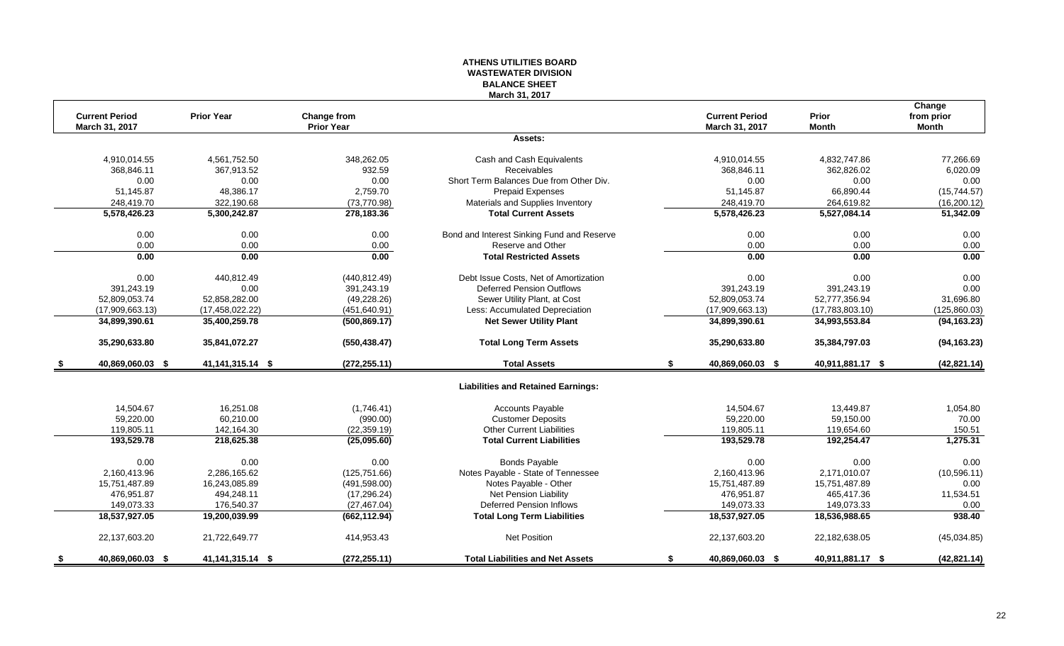## **ATHENS UTILITIES BOARD WASTEWATER DIVISION BALANCE SHEET March 31, 2017**

|                        |                     |                    |                                            |    |                       |                  | Change       |
|------------------------|---------------------|--------------------|--------------------------------------------|----|-----------------------|------------------|--------------|
| <b>Current Period</b>  | <b>Prior Year</b>   | <b>Change from</b> |                                            |    | <b>Current Period</b> | <b>Prior</b>     | from prior   |
| March 31, 2017         |                     | <b>Prior Year</b>  |                                            |    | March 31, 2017        | <b>Month</b>     | <b>Month</b> |
|                        |                     |                    | Assets:                                    |    |                       |                  |              |
| 4,910,014.55           | 4,561,752.50        | 348,262.05         | Cash and Cash Equivalents                  |    | 4,910,014.55          | 4,832,747.86     | 77,266.69    |
| 368,846.11             | 367,913.52          | 932.59             | Receivables                                |    | 368,846.11            | 362,826.02       | 6,020.09     |
| 0.00                   | 0.00                | 0.00               | Short Term Balances Due from Other Div.    |    | 0.00                  | 0.00             | 0.00         |
| 51,145.87              | 48,386.17           | 2,759.70           | Prepaid Expenses                           |    | 51,145.87             | 66,890.44        | (15,744.57)  |
| 248,419.70             | 322,190.68          | (73, 770.98)       | Materials and Supplies Inventory           |    | 248,419.70            | 264,619.82       | (16, 200.12) |
| 5,578,426.23           | 5,300,242.87        | 278,183.36         | <b>Total Current Assets</b>                |    | 5,578,426.23          | 5,527,084.14     | 51,342.09    |
| 0.00                   | 0.00                | 0.00               | Bond and Interest Sinking Fund and Reserve |    | 0.00                  | 0.00             | 0.00         |
| 0.00                   | 0.00                | 0.00               | Reserve and Other                          |    | 0.00                  | 0.00             | 0.00         |
| 0.00                   | 0.00                | 0.00               | <b>Total Restricted Assets</b>             |    | 0.00                  | 0.00             | 0.00         |
| 0.00                   | 440,812.49          | (440, 812.49)      | Debt Issue Costs, Net of Amortization      |    | 0.00                  | 0.00             | 0.00         |
| 391,243.19             | 0.00                | 391,243.19         | <b>Deferred Pension Outflows</b>           |    | 391,243.19            | 391,243.19       | 0.00         |
| 52,809,053.74          | 52,858,282.00       | (49, 228.26)       | Sewer Utility Plant, at Cost               |    | 52,809,053.74         | 52,777,356.94    | 31,696.80    |
| (17,909,663.13)        | (17, 458, 022.22)   | (451, 640.91)      | Less: Accumulated Depreciation             |    | (17,909,663.13)       | (17,783,803.10)  | (125,860.03) |
| 34,899,390.61          | 35,400,259.78       | (500, 869.17)      | <b>Net Sewer Utility Plant</b>             |    | 34,899,390.61         | 34,993,553.84    | (94, 163.23) |
| 35,290,633.80          | 35,841,072.27       | (550, 438.47)      | <b>Total Long Term Assets</b>              |    | 35,290,633.80         | 35,384,797.03    | (94, 163.23) |
| 40,869,060.03 \$       | 41, 141, 315. 14 \$ | (272, 255.11)      | <b>Total Assets</b>                        | S. | 40,869,060.03 \$      | 40,911,881.17 \$ | (42, 821.14) |
|                        |                     |                    | <b>Liabilities and Retained Earnings:</b>  |    |                       |                  |              |
| 14,504.67              | 16,251.08           | (1,746.41)         | <b>Accounts Payable</b>                    |    | 14,504.67             | 13,449.87        | 1,054.80     |
| 59,220.00              | 60,210.00           | (990.00)           | <b>Customer Deposits</b>                   |    | 59,220.00             | 59,150.00        | 70.00        |
| 119,805.11             | 142,164.30          | (22, 359.19)       | <b>Other Current Liabilities</b>           |    | 119,805.11            | 119,654.60       | 150.51       |
| 193,529.78             | 218,625.38          | (25,095.60)        | <b>Total Current Liabilities</b>           |    | 193,529.78            | 192,254.47       | 1,275.31     |
| 0.00                   | 0.00                | 0.00               | <b>Bonds Payable</b>                       |    | 0.00                  | 0.00             | 0.00         |
| 2,160,413.96           | 2,286,165.62        | (125, 751.66)      | Notes Payable - State of Tennessee         |    | 2,160,413.96          | 2,171,010.07     | (10, 596.11) |
| 15,751,487.89          | 16,243,085.89       | (491, 598.00)      | Notes Payable - Other                      |    | 15,751,487.89         | 15,751,487.89    | 0.00         |
| 476.951.87             | 494.248.11          | (17, 296.24)       | Net Pension Liability                      |    | 476.951.87            | 465.417.36       | 11,534.51    |
| 149,073.33             | 176,540.37          | (27, 467.04)       | <b>Deferred Pension Inflows</b>            |    | 149,073.33            | 149,073.33       | 0.00         |
| 18,537,927.05          | 19,200,039.99       | (662, 112.94)      | <b>Total Long Term Liabilities</b>         |    | 18,537,927.05         | 18,536,988.65    | 938.40       |
| 22,137,603.20          | 21,722,649.77       | 414,953.43         | <b>Net Position</b>                        |    | 22,137,603.20         | 22,182,638.05    | (45,034.85)  |
| \$<br>40,869,060.03 \$ | 41, 141, 315. 14 \$ | (272, 255.11)      | <b>Total Liabilities and Net Assets</b>    | \$ | 40,869,060.03 \$      | 40,911,881.17 \$ | (42, 821.14) |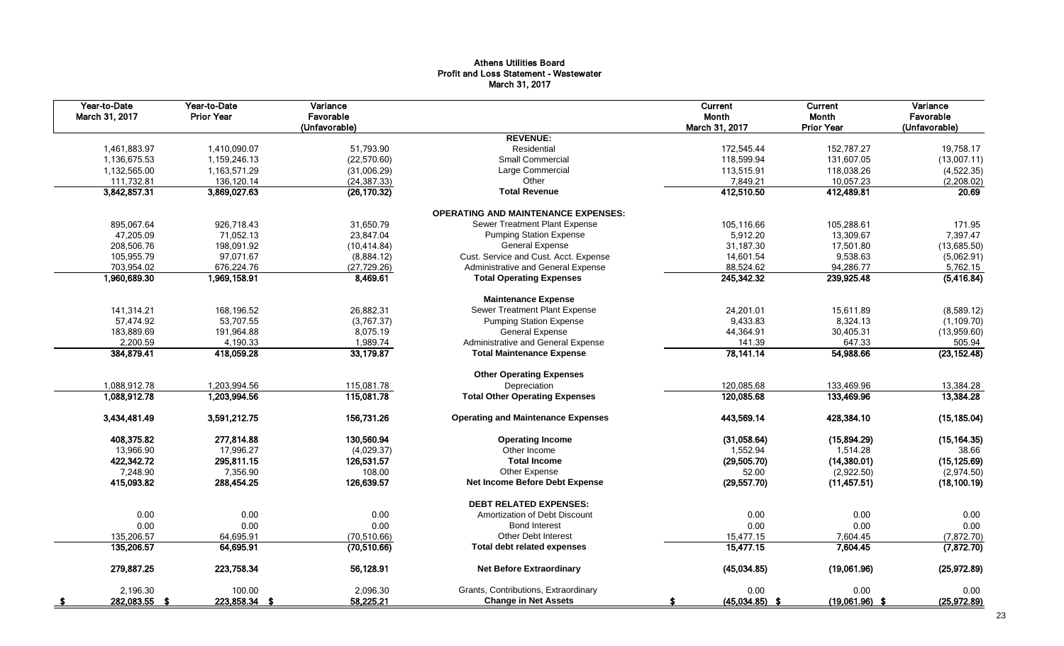## Athens Utilities Board Profit and Loss Statement - Wastewater March 31, 2017

| Year-to-Date<br>March 31, 2017 | Year-to-Date<br><b>Prior Year</b> | Variance<br>Favorable<br>(Unfavorable) |                                            | Current<br>Month<br>March 31, 2017 | Current<br>Month<br><b>Prior Year</b> | Variance<br>Favorable<br>(Unfavorable) |
|--------------------------------|-----------------------------------|----------------------------------------|--------------------------------------------|------------------------------------|---------------------------------------|----------------------------------------|
|                                |                                   |                                        | <b>REVENUE:</b>                            |                                    |                                       |                                        |
| 1,461,883.97                   | 1,410,090.07                      | 51,793.90                              | Residential                                | 172,545.44                         | 152,787.27                            | 19,758.17                              |
| 1,136,675.53                   | 1,159,246.13                      | (22, 570.60)                           | Small Commercial                           | 118,599.94                         | 131,607.05                            | (13,007.11)                            |
| 1,132,565.00                   | 1,163,571.29                      | (31,006.29)                            | Large Commercial                           | 113,515.91                         | 118,038.26                            | (4,522.35)                             |
| 111,732.81                     | 136,120.14                        | (24, 387.33)                           | Other                                      | 7,849.21                           | 10,057.23                             | (2,208.02)                             |
| 3,842,857.31                   | 3,869,027.63                      | (26, 170.32)                           | <b>Total Revenue</b>                       | 412,510.50                         | 412,489.81                            | 20.69                                  |
|                                |                                   |                                        | <b>OPERATING AND MAINTENANCE EXPENSES:</b> |                                    |                                       |                                        |
| 895,067.64                     | 926,718.43                        | 31,650.79                              | Sewer Treatment Plant Expense              | 105,116.66                         | 105,288.61                            | 171.95                                 |
| 47,205.09                      | 71,052.13                         | 23,847.04                              | <b>Pumping Station Expense</b>             | 5,912.20                           | 13,309.67                             | 7,397.47                               |
| 208,506.76                     | 198.091.92                        | (10, 414.84)                           | <b>General Expense</b>                     | 31,187.30                          | 17,501.80                             | (13,685.50)                            |
| 105,955.79                     | 97,071.67                         | (8,884.12)                             | Cust. Service and Cust. Acct. Expense      | 14,601.54                          | 9,538.63                              | (5,062.91)                             |
| 703,954.02                     | 676,224.76                        | (27, 729.26)                           | Administrative and General Expense         | 88,524.62                          | 94,286.77                             | 5,762.15                               |
| 1,960,689.30                   | 1,969,158.91                      | 8,469.61                               | <b>Total Operating Expenses</b>            | 245,342.32                         | 239,925.48                            | (5, 416.84)                            |
|                                |                                   |                                        | <b>Maintenance Expense</b>                 |                                    |                                       |                                        |
| 141,314.21                     | 168,196.52                        | 26,882.31                              | Sewer Treatment Plant Expense              | 24,201.01                          | 15,611.89                             | (8,589.12)                             |
| 57,474.92                      | 53,707.55                         | (3,767.37)                             | <b>Pumping Station Expense</b>             | 9,433.83                           | 8,324.13                              | (1, 109.70)                            |
| 183,889.69                     | 191,964.88                        | 8,075.19                               | <b>General Expense</b>                     | 44,364.91                          | 30,405.31                             | (13,959.60)                            |
| 2,200.59                       | 4,190.33                          | 1,989.74                               | Administrative and General Expense         | 141.39                             | 647.33                                | 505.94                                 |
| 384,879.41                     | 418,059.28                        | 33,179.87                              | <b>Total Maintenance Expense</b>           | 78,141.14                          | 54,988.66                             | (23, 152.48)                           |
|                                |                                   |                                        | <b>Other Operating Expenses</b>            |                                    |                                       |                                        |
| 1.088.912.78                   | 1.203.994.56                      | 115,081.78                             | Depreciation                               | 120,085.68                         | 133.469.96                            | 13,384.28                              |
| 1,088,912.78                   | 1,203,994.56                      | 115,081.78                             | <b>Total Other Operating Expenses</b>      | 120,085.68                         | 133,469.96                            | 13,384.28                              |
| 3,434,481.49                   | 3,591,212.75                      | 156,731.26                             | <b>Operating and Maintenance Expenses</b>  | 443,569.14                         | 428.384.10                            | (15, 185.04)                           |
| 408,375.82                     | 277,814.88                        | 130,560.94                             | <b>Operating Income</b>                    | (31,058.64)                        | (15,894.29)                           | (15, 164.35)                           |
| 13,966.90                      | 17,996.27                         | (4,029.37)                             | Other Income                               | 1,552.94                           | 1,514.28                              | 38.66                                  |
| 422,342.72                     | 295,811.15                        | 126,531.57                             | <b>Total Income</b>                        | (29, 505.70)                       | (14,380.01)                           | (15, 125.69)                           |
| 7,248.90                       | 7,356.90                          | 108.00                                 | Other Expense                              | 52.00                              | (2,922.50)                            | (2,974.50)                             |
| 415,093.82                     | 288,454.25                        | 126,639.57                             | Net Income Before Debt Expense             | (29, 557.70)                       | (11, 457.51)                          | (18, 100.19)                           |
|                                |                                   |                                        | <b>DEBT RELATED EXPENSES:</b>              |                                    |                                       |                                        |
| 0.00                           | 0.00                              | 0.00                                   | Amortization of Debt Discount              | 0.00                               | 0.00                                  | 0.00                                   |
| 0.00                           | 0.00                              | 0.00                                   | <b>Bond Interest</b>                       | 0.00                               | 0.00                                  | 0.00                                   |
| 135,206.57                     | 64,695.91                         | (70, 510.66)                           | <b>Other Debt Interest</b>                 | 15,477.15                          | 7,604.45                              | (7,872.70)                             |
| 135,206.57                     | 64,695.91                         | (70,510.66)                            | <b>Total debt related expenses</b>         | 15,477.15                          | 7,604.45                              | (7, 872.70)                            |
| 279,887.25                     | 223,758.34                        | 56,128.91                              | <b>Net Before Extraordinary</b>            | (45,034.85)                        | (19,061.96)                           | (25,972.89)                            |
| 2,196.30                       | 100.00                            | 2,096.30                               | Grants, Contributions, Extraordinary       | 0.00                               | 0.00                                  | 0.00                                   |
| 282,083.55 \$                  | 223,858.34 \$                     | 58,225.21                              | <b>Change in Net Assets</b>                | $(45,034.85)$ \$                   | $(19,061.96)$ \$                      | (25,972.89)                            |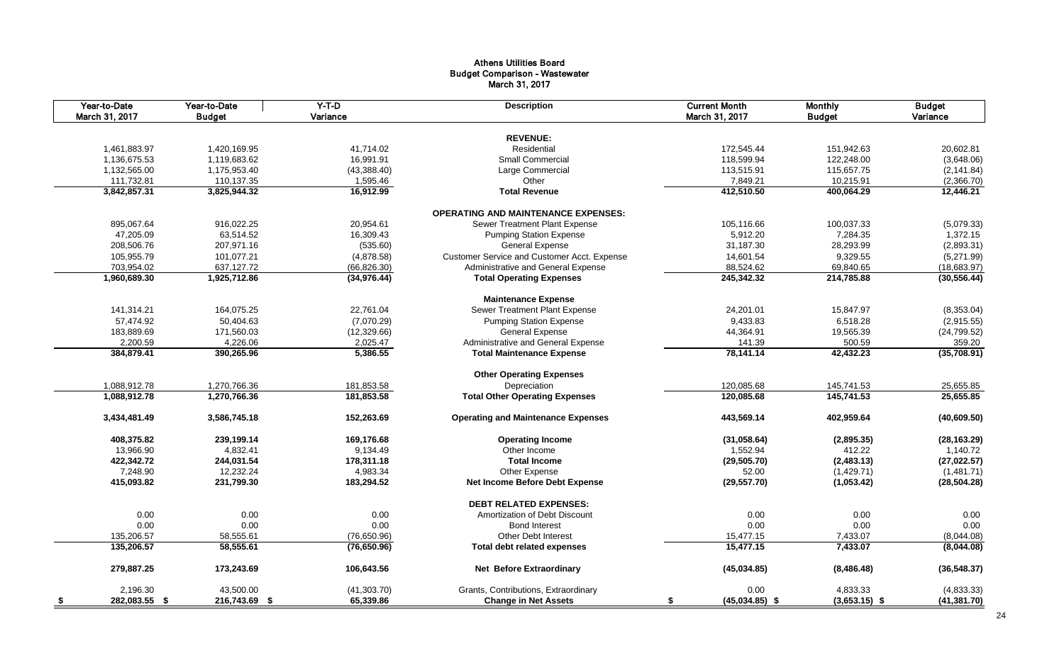#### Athens Utilities Board Budget Comparison - Wastewater March 31, 2017

| Year-to-Date<br>March 31, 2017 | Year-to-Date<br><b>Budget</b> | $Y-T-D$<br>Variance | <b>Description</b>                          | <b>Current Month</b><br>March 31, 2017 | <b>Monthly</b><br><b>Budget</b> | <b>Budget</b><br>Variance |
|--------------------------------|-------------------------------|---------------------|---------------------------------------------|----------------------------------------|---------------------------------|---------------------------|
|                                |                               |                     |                                             |                                        |                                 |                           |
|                                |                               |                     | <b>REVENUE:</b>                             |                                        |                                 |                           |
| 1,461,883.97                   | 1,420,169.95                  | 41,714.02           | Residential                                 | 172,545.44                             | 151,942.63                      | 20,602.81                 |
| 1,136,675.53                   | 1,119,683.62                  | 16,991.91           | <b>Small Commercial</b>                     | 118,599.94                             | 122,248.00                      | (3,648.06)                |
| 1,132,565.00                   | 1,175,953.40                  | (43, 388.40)        | Large Commercial                            | 113,515.91                             | 115,657.75                      | (2, 141.84)               |
| 111,732.81                     | 110,137.35                    | 1,595.46            | Other                                       | 7,849.21                               | 10,215.91                       | (2,366.70)                |
| 3,842,857.31                   | 3,825,944.32                  | 16,912.99           | <b>Total Revenue</b>                        | 412,510.50                             | 400,064.29                      | 12,446.21                 |
|                                |                               |                     | <b>OPERATING AND MAINTENANCE EXPENSES:</b>  |                                        |                                 |                           |
| 895,067.64                     | 916,022.25                    | 20,954.61           | Sewer Treatment Plant Expense               | 105,116.66                             | 100,037.33                      | (5,079.33)                |
| 47,205.09                      | 63,514.52                     | 16,309.43           | <b>Pumping Station Expense</b>              | 5,912.20                               | 7,284.35                        | 1,372.15                  |
| 208,506.76                     | 207,971.16                    | (535.60)            | General Expense                             | 31,187.30                              | 28,293.99                       | (2,893.31)                |
| 105,955.79                     | 101,077.21                    | (4,878.58)          | Customer Service and Customer Acct. Expense | 14,601.54                              | 9,329.55                        | (5,271.99)                |
| 703,954.02                     | 637,127.72                    | (66, 826.30)        | Administrative and General Expense          | 88,524.62                              | 69,840.65                       | (18, 683.97)              |
| 1,960,689.30                   | 1,925,712.86                  | (34, 976.44)        | <b>Total Operating Expenses</b>             | 245,342.32                             | 214,785.88                      | (30, 556.44)              |
|                                |                               |                     | <b>Maintenance Expense</b>                  |                                        |                                 |                           |
| 141,314.21                     | 164,075.25                    | 22,761.04           | Sewer Treatment Plant Expense               | 24,201.01                              | 15,847.97                       | (8,353.04)                |
| 57,474.92                      | 50,404.63                     | (7,070.29)          | <b>Pumping Station Expense</b>              | 9,433.83                               | 6,518.28                        | (2,915.55)                |
| 183,889.69                     | 171,560.03                    | (12, 329.66)        | <b>General Expense</b>                      | 44,364.91                              | 19,565.39                       | (24, 799.52)              |
| 2,200.59                       | 4,226.06                      | 2,025.47            | Administrative and General Expense          | 141.39                                 | 500.59                          | 359.20                    |
| 384,879.41                     | 390,265.96                    | 5,386.55            | <b>Total Maintenance Expense</b>            | 78,141.14                              | 42,432.23                       | (35,708.91)               |
|                                |                               |                     | <b>Other Operating Expenses</b>             |                                        |                                 |                           |
| 1,088,912.78                   | 1,270,766.36                  | 181,853.58          | Depreciation                                | 120,085.68                             | 145,741.53                      | 25,655.85                 |
| 1,088,912.78                   | 1,270,766.36                  | 181,853.58          | <b>Total Other Operating Expenses</b>       | 120,085.68                             | 145,741.53                      |                           |
|                                |                               |                     |                                             |                                        |                                 | 25,655.85                 |
| 3,434,481.49                   | 3,586,745.18                  | 152,263.69          | <b>Operating and Maintenance Expenses</b>   | 443,569.14                             | 402,959.64                      | (40,609.50)               |
| 408,375.82                     | 239,199.14                    | 169,176.68          | <b>Operating Income</b>                     | (31,058.64)                            | (2,895.35)                      | (28, 163.29)              |
| 13,966.90                      | 4,832.41                      | 9,134.49            | Other Income                                | 1,552.94                               | 412.22                          | 1,140.72                  |
| 422,342.72                     | 244,031.54                    | 178,311.18          | <b>Total Income</b>                         | (29, 505.70)                           | (2,483.13)                      | (27, 022.57)              |
| 7,248.90                       | 12,232.24                     | 4,983.34            | Other Expense                               | 52.00                                  | (1,429.71)                      | (1,481.71)                |
| 415,093.82                     | 231,799.30                    | 183,294.52          | Net Income Before Debt Expense              | (29, 557.70)                           | (1,053.42)                      | (28, 504.28)              |
|                                |                               |                     | <b>DEBT RELATED EXPENSES:</b>               |                                        |                                 |                           |
| 0.00                           | 0.00                          | 0.00                | Amortization of Debt Discount               | 0.00                                   | 0.00                            | 0.00                      |
| 0.00                           | 0.00                          | 0.00                | <b>Bond Interest</b>                        | 0.00                                   | 0.00                            | 0.00                      |
| 135,206.57                     | 58,555.61                     | (76,650.96)         | <b>Other Debt Interest</b>                  | 15,477.15                              | 7,433.07                        | (8,044.08)                |
| 135,206.57                     | 58,555.61                     | (76, 650.96)        | <b>Total debt related expenses</b>          | 15,477.15                              | 7,433.07                        | (8,044.08)                |
| 279,887.25                     | 173,243.69                    | 106,643.56          | <b>Net Before Extraordinary</b>             | (45,034.85)                            | (8,486.48)                      | (36, 548.37)              |
| 2,196.30                       | 43,500.00                     | (41,303.70)         | Grants, Contributions, Extraordinary        | 0.00                                   | 4,833.33                        | (4,833.33)                |
| 282,083.55 \$<br>- \$          | 216,743.69 \$                 | 65,339.86           | <b>Change in Net Assets</b>                 | $(45,034.85)$ \$<br>\$                 | $(3,653.15)$ \$                 | (41, 381.70)              |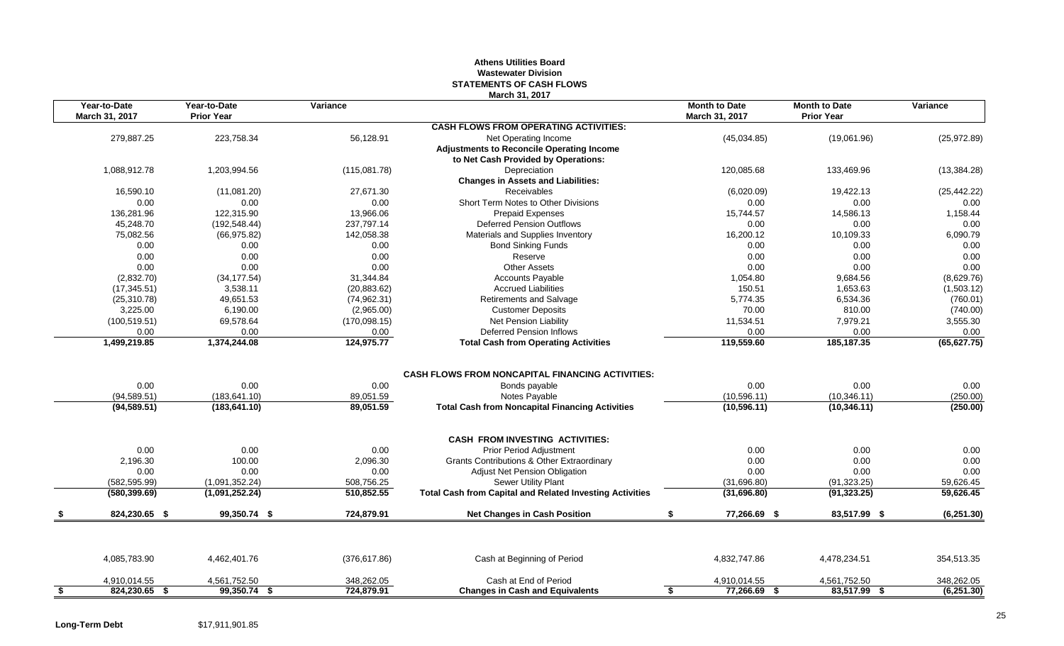## **Athens Utilities Board Wastewater Division STATEMENTS OF CASH FLOWS March 31, 2017**

|           | Year-to-Date<br>March 31, 2017 | Year-to-Date<br><b>Prior Year</b> | Variance                 | 11101 VII VII 40 I                                                                                              | <b>Month to Date</b><br>March 31, 2017 | <b>Month to Date</b><br><b>Prior Year</b> | Variance     |
|-----------|--------------------------------|-----------------------------------|--------------------------|-----------------------------------------------------------------------------------------------------------------|----------------------------------------|-------------------------------------------|--------------|
|           |                                |                                   |                          | <b>CASH FLOWS FROM OPERATING ACTIVITIES:</b>                                                                    |                                        |                                           |              |
|           | 279,887.25                     | 223,758.34                        | 56,128.91                | Net Operating Income<br><b>Adjustments to Reconcile Operating Income</b><br>to Net Cash Provided by Operations: | (45,034.85)                            | (19,061.96)                               | (25, 972.89) |
|           | 1,088,912.78                   | 1,203,994.56                      | (115,081.78)             | Depreciation                                                                                                    | 120,085.68                             | 133,469.96                                | (13, 384.28) |
|           |                                |                                   |                          | <b>Changes in Assets and Liabilities:</b>                                                                       |                                        |                                           |              |
|           | 16,590.10                      | (11,081.20)                       | 27,671.30                | Receivables                                                                                                     | (6,020.09)                             | 19,422.13                                 | (25, 442.22) |
|           | 0.00                           | 0.00                              | 0.00                     | Short Term Notes to Other Divisions                                                                             | 0.00                                   | 0.00                                      | 0.00         |
|           | 136,281.96                     | 122,315.90                        | 13,966.06                | <b>Prepaid Expenses</b>                                                                                         | 15,744.57                              | 14,586.13                                 | 1,158.44     |
|           | 45,248.70                      | (192, 548.44)                     | 237,797.14               | <b>Deferred Pension Outflows</b>                                                                                | 0.00                                   | 0.00                                      | 0.00         |
|           | 75,082.56                      | (66, 975.82)                      | 142,058.38               | Materials and Supplies Inventory                                                                                | 16,200.12                              | 10,109.33                                 | 6,090.79     |
|           | 0.00                           | 0.00                              | 0.00                     | <b>Bond Sinking Funds</b>                                                                                       | 0.00                                   | 0.00                                      | 0.00         |
|           | 0.00                           | 0.00                              | 0.00                     | Reserve                                                                                                         | 0.00                                   | 0.00                                      | 0.00         |
|           | 0.00                           | 0.00                              | 0.00                     | <b>Other Assets</b>                                                                                             | 0.00                                   | 0.00                                      | 0.00         |
|           | (2,832.70)                     | (34, 177.54)                      | 31,344.84                | Accounts Payable                                                                                                | 1,054.80                               | 9,684.56                                  | (8,629.76)   |
|           | (17, 345.51)                   | 3,538.11                          | (20, 883.62)             | <b>Accrued Liabilities</b>                                                                                      | 150.51                                 | 1,653.63                                  | (1,503.12)   |
|           | (25, 310.78)                   | 49,651.53                         | (74, 962.31)             | <b>Retirements and Salvage</b>                                                                                  | 5,774.35                               | 6,534.36                                  | (760.01)     |
|           | 3,225.00                       | 6,190.00                          | (2,965.00)               | <b>Customer Deposits</b>                                                                                        | 70.00                                  | 810.00                                    | (740.00)     |
|           | (100, 519.51)                  | 69,578.64                         | (170,098.15)             | Net Pension Liability                                                                                           | 11,534.51                              | 7,979.21                                  | 3,555.30     |
|           | 0.00                           | 0.00                              | 0.00                     | Deferred Pension Inflows                                                                                        | 0.00                                   | 0.00                                      | 0.00         |
|           | 1,499,219.85                   | 1,374,244.08                      | 124,975.77               | <b>Total Cash from Operating Activities</b>                                                                     | 119,559.60                             | 185, 187. 35                              | (65, 627.75) |
|           | 0.00                           | 0.00                              | 0.00                     | <b>CASH FLOWS FROM NONCAPITAL FINANCING ACTIVITIES:</b><br>Bonds payable                                        | 0.00                                   | 0.00                                      | 0.00         |
|           | (94, 589.51)                   | (183, 641.10)                     | 89,051.59                | Notes Payable                                                                                                   | (10, 596.11)                           | (10, 346.11)                              | (250.00)     |
|           | (94, 589.51)                   | (183, 641.10)                     | 89,051.59                | <b>Total Cash from Noncapital Financing Activities</b>                                                          | (10, 596.11)                           | (10, 346.11)                              | (250.00)     |
|           |                                |                                   |                          |                                                                                                                 |                                        |                                           |              |
|           |                                |                                   |                          | <b>CASH FROM INVESTING ACTIVITIES:</b>                                                                          |                                        |                                           | 0.00         |
|           | 0.00<br>2,196.30               | 0.00<br>100.00                    | 0.00                     | Prior Period Adjustment<br>Grants Contributions & Other Extraordinary                                           | 0.00<br>0.00                           | 0.00<br>0.00                              | 0.00         |
|           | 0.00                           | 0.00                              | 2,096.30<br>0.00         | <b>Adjust Net Pension Obligation</b>                                                                            | 0.00                                   | 0.00                                      | 0.00         |
|           | (582, 595.99)                  |                                   |                          | Sewer Utility Plant                                                                                             | (31,696.80)                            | (91, 323.25)                              | 59,626.45    |
|           | (580, 399.69)                  | (1,091,352.24)<br>(1,091,252.24)  | 508,756.25<br>510,852.55 | <b>Total Cash from Capital and Related Investing Activities</b>                                                 | (31,696.80)                            | (91, 323.25)                              | 59,626.45    |
|           |                                |                                   |                          |                                                                                                                 |                                        |                                           |              |
|           | 824,230.65 \$                  | 99,350.74 \$                      | 724,879.91               | <b>Net Changes in Cash Position</b>                                                                             | 77,266.69 \$<br>\$                     | 83,517.99 \$                              | (6,251.30)   |
|           | 4,085,783.90                   | 4,462,401.76                      | (376, 617.86)            | Cash at Beginning of Period                                                                                     | 4,832,747.86                           | 4,478,234.51                              | 354,513.35   |
|           | 4,910,014.55                   | 4,561,752.50                      | 348,262.05               | Cash at End of Period                                                                                           | 4,910,014.55                           | 4,561,752.50                              | 348,262.05   |
|           | 824,230.65 \$                  | 99,350.74 \$                      | 724,879.91               | <b>Changes in Cash and Equivalents</b>                                                                          | 77,266.69 \$<br>S                      | 83,517.99 \$                              | (6,251.30)   |
| <u>\$</u> |                                |                                   |                          |                                                                                                                 |                                        |                                           |              |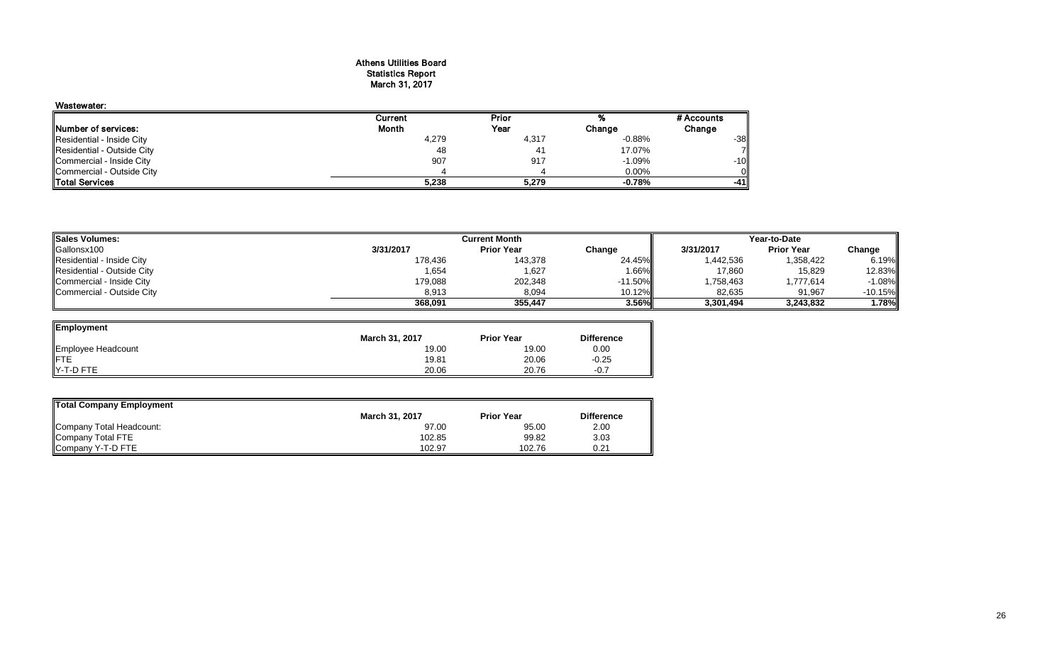#### Athens Utilities Board Statistics Report March 31, 2017

| Wastewater:                |         |                |          |            |
|----------------------------|---------|----------------|----------|------------|
|                            | Current | Prior          |          | # Accounts |
| Number of services:        | Month   | Year           | Change   | Change     |
| Residential - Inside City  | 4,279   | 4,317          | $-0.88%$ | $-38$      |
| Residential - Outside City | 48      | 4 <sup>1</sup> | 17.07%   |            |
| Commercial - Inside City   | 907     | 917            | $-1.09%$ | $-10$      |
| Commercial - Outside City  |         |                | 0.00%    |            |
| <b>Total Services</b>      | 5,238   | 5.279          | $-0.78%$ | -41        |

| <b>Sales Volumes:</b>      | <b>Current Month</b> |                   |            | Year-to-Date |                   |           |
|----------------------------|----------------------|-------------------|------------|--------------|-------------------|-----------|
| Gallonsx100                | 3/31/2017            | <b>Prior Year</b> | Change     | 3/31/2017    | <b>Prior Year</b> | Change    |
| Residential - Inside City  | 178,436              | 143,378           | 24.45%     | 1,442,536    | 1,358,422         | 6.19%     |
| Residential - Outside City | 1,654                | 1,627             | 1.66%      | 17,860       | 15,829            | 12.83%    |
| Commercial - Inside City   | 179,088              | 202,348           | $-11.50\%$ | 1,758,463    | 1.777.614         | $-1.08%$  |
| Commercial - Outside City  | 8,913                | 8,094             | $10.12\%$  | 82,635       | 91,967            | $-10.15%$ |
|                            | 368.091              | 355.447           | 3.56%I     | 3,301,494    | 3.243.832         | 1.78%     |

═

| Employment         |                       |                   |                   |
|--------------------|-----------------------|-------------------|-------------------|
|                    | <b>March 31, 2017</b> | <b>Prior Year</b> | <b>Difference</b> |
| Employee Headcount | 19.00                 | 19.00             | 0.00              |
| IFTE               | 19.81                 | 20.06             | $-0.25$           |
| IY-T-D FTE         | 20.06                 | 20.76             | $-0.7$            |

| Total Company Employment |                       |                   |                   |  |  |  |  |  |
|--------------------------|-----------------------|-------------------|-------------------|--|--|--|--|--|
|                          | <b>March 31, 2017</b> | <b>Prior Year</b> | <b>Difference</b> |  |  |  |  |  |
| Company Total Headcount: | 97.00                 | 95.00             | 2.00              |  |  |  |  |  |
| Company Total FTE        | 102.85                | 99.82             | 3.03              |  |  |  |  |  |
| Company Y-T-D FTE        | 102.97                | 102.76            | 0.21              |  |  |  |  |  |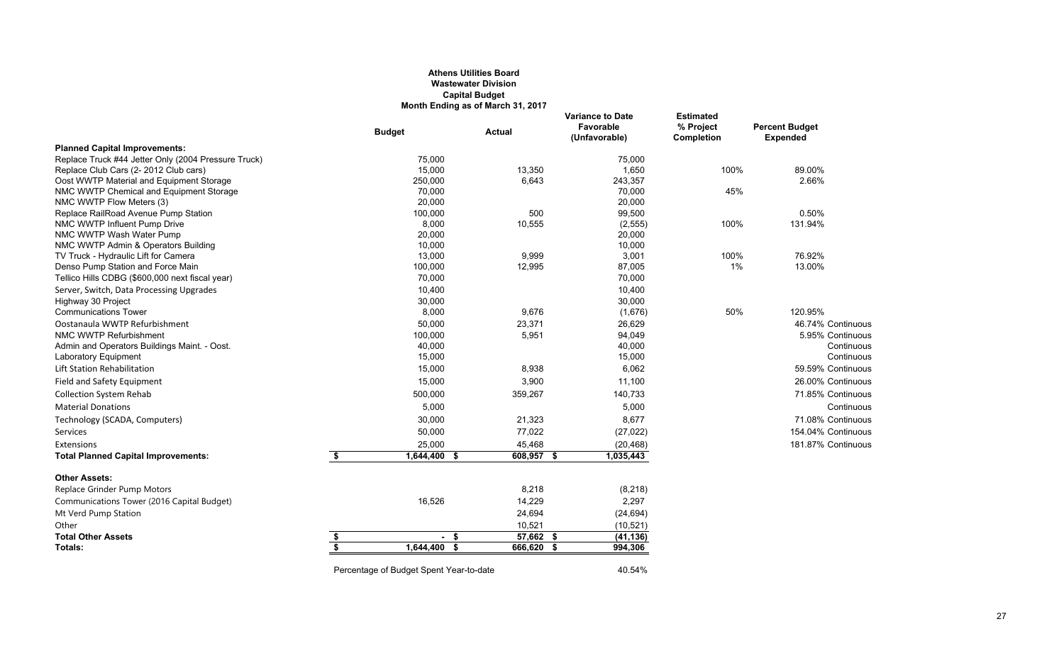## **Athens Utilities Board Wastewater Division Capital Budget Month Ending as of March 31, 2017**

|                                                                           | <b>Budget</b>                           | <b>Actual</b> | <b>Variance to Date</b><br>Favorable<br>(Unfavorable) | <b>Estimated</b><br>% Project<br>Completion | <b>Percent Budget</b><br><b>Expended</b> |
|---------------------------------------------------------------------------|-----------------------------------------|---------------|-------------------------------------------------------|---------------------------------------------|------------------------------------------|
| <b>Planned Capital Improvements:</b>                                      |                                         |               |                                                       |                                             |                                          |
| Replace Truck #44 Jetter Only (2004 Pressure Truck)                       | 75,000                                  |               | 75,000                                                |                                             |                                          |
| Replace Club Cars (2-2012 Club cars)                                      | 15,000                                  | 13,350        | 1,650                                                 | 100%                                        | 89.00%                                   |
| Oost WWTP Material and Equipment Storage                                  | 250,000                                 | 6,643         | 243,357                                               |                                             | 2.66%                                    |
| NMC WWTP Chemical and Equipment Storage                                   | 70,000                                  |               | 70,000                                                | 45%                                         |                                          |
| NMC WWTP Flow Meters (3)                                                  | 20,000                                  |               | 20,000                                                |                                             |                                          |
| Replace RailRoad Avenue Pump Station                                      | 100,000                                 | 500           | 99,500                                                |                                             | 0.50%                                    |
| NMC WWTP Influent Pump Drive                                              | 8,000                                   | 10,555        | (2, 555)                                              | 100%                                        | 131.94%                                  |
| NMC WWTP Wash Water Pump                                                  | 20,000                                  |               | 20,000                                                |                                             |                                          |
| NMC WWTP Admin & Operators Building                                       | 10,000<br>13,000                        | 9,999         | 10,000                                                | 100%                                        | 76.92%                                   |
| TV Truck - Hydraulic Lift for Camera<br>Denso Pump Station and Force Main | 100,000                                 | 12,995        | 3,001<br>87,005                                       | 1%                                          | 13.00%                                   |
| Tellico Hills CDBG (\$600,000 next fiscal year)                           | 70,000                                  |               | 70,000                                                |                                             |                                          |
| Server, Switch, Data Processing Upgrades                                  | 10,400                                  |               | 10,400                                                |                                             |                                          |
| Highway 30 Project                                                        | 30,000                                  |               | 30,000                                                |                                             |                                          |
| <b>Communications Tower</b>                                               | 8,000                                   | 9,676         | (1,676)                                               | 50%                                         | 120.95%                                  |
| Oostanaula WWTP Refurbishment                                             | 50,000                                  | 23,371        | 26,629                                                |                                             | 46.74% Continuous                        |
| NMC WWTP Refurbishment                                                    | 100,000                                 | 5,951         | 94,049                                                |                                             | 5.95% Continuous                         |
| Admin and Operators Buildings Maint. - Oost.                              | 40,000                                  |               | 40,000                                                |                                             | Continuous                               |
| Laboratory Equipment                                                      | 15,000                                  |               | 15,000                                                |                                             | Continuous                               |
| Lift Station Rehabilitation                                               | 15,000                                  | 8,938         | 6,062                                                 |                                             | 59.59% Continuous                        |
| Field and Safety Equipment                                                | 15,000                                  | 3,900         | 11,100                                                |                                             | 26.00% Continuous                        |
| <b>Collection System Rehab</b>                                            | 500,000                                 | 359,267       | 140,733                                               |                                             | 71.85% Continuous                        |
| <b>Material Donations</b>                                                 | 5,000                                   |               | 5,000                                                 |                                             | Continuous                               |
| Technology (SCADA, Computers)                                             | 30,000                                  | 21,323        | 8,677                                                 |                                             | 71.08% Continuous                        |
| Services                                                                  | 50,000                                  | 77,022        | (27, 022)                                             |                                             | 154.04% Continuous                       |
| Extensions                                                                | 25,000                                  | 45,468        | (20, 468)                                             |                                             | 181.87% Continuous                       |
| <b>Total Planned Capital Improvements:</b>                                | \$<br>$1,644,400$ \$                    | $608,957$ \$  | 1,035,443                                             |                                             |                                          |
| <b>Other Assets:</b>                                                      |                                         |               |                                                       |                                             |                                          |
| Replace Grinder Pump Motors                                               |                                         | 8,218         | (8, 218)                                              |                                             |                                          |
| Communications Tower (2016 Capital Budget)                                | 16,526                                  | 14,229        | 2,297                                                 |                                             |                                          |
| Mt Verd Pump Station                                                      |                                         | 24,694        | (24, 694)                                             |                                             |                                          |
| Other                                                                     |                                         | 10,521        | (10, 521)                                             |                                             |                                          |
| <b>Total Other Assets</b>                                                 | \$<br>- \$                              | 57,662 \$     | (41, 136)                                             |                                             |                                          |
| Totals:                                                                   | \$<br>$1,644,400$ \$                    | 666,620 \$    | 994,306                                               |                                             |                                          |
|                                                                           | Percentage of Budget Spent Year-to-date |               | 40.54%                                                |                                             |                                          |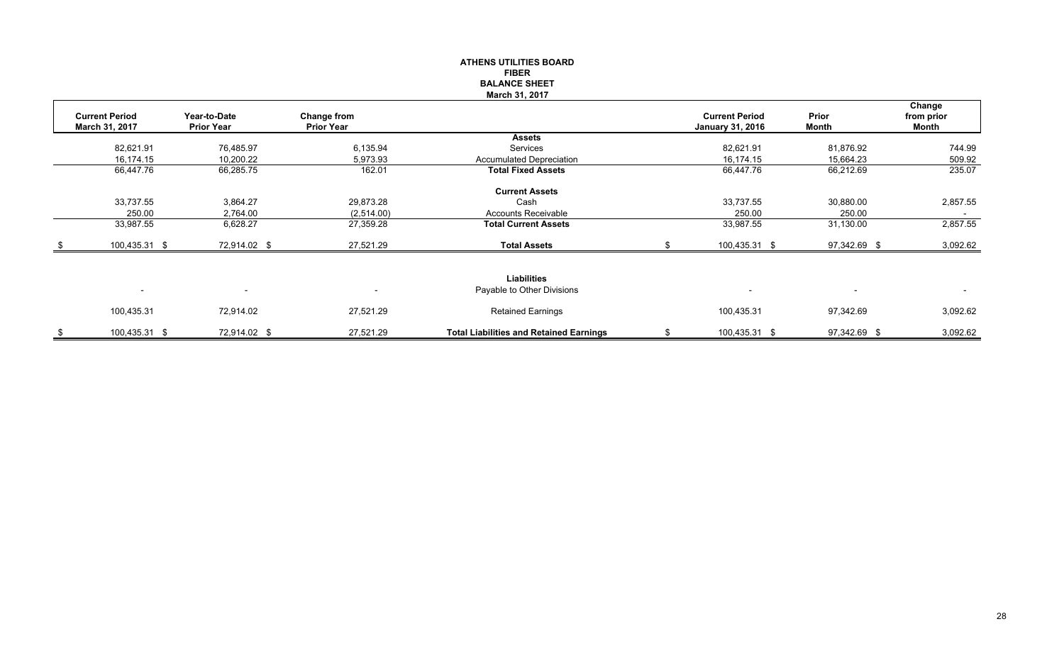#### **ATHENS UTILITIES BOARD FIBER BALANCE SHEETMarch 31, 2017**

|    |                          |                          |                          |                                                |                         |                          | Change                   |
|----|--------------------------|--------------------------|--------------------------|------------------------------------------------|-------------------------|--------------------------|--------------------------|
|    | <b>Current Period</b>    | Year-to-Date             | Change from              |                                                | <b>Current Period</b>   | Prior                    | from prior               |
|    | March 31, 2017           | <b>Prior Year</b>        | <b>Prior Year</b>        |                                                | <b>January 31, 2016</b> | Month                    | Month                    |
|    |                          |                          |                          | <b>Assets</b>                                  |                         |                          |                          |
|    | 82,621.91                | 76,485.97                | 6,135.94                 | Services                                       | 82,621.91               | 81,876.92                | 744.99                   |
|    | 16,174.15                | 10,200.22                | 5,973.93                 | <b>Accumulated Depreciation</b>                | 16,174.15               | 15,664.23                | 509.92                   |
|    | 66,447.76                | 66,285.75                | 162.01                   | <b>Total Fixed Assets</b>                      | 66,447.76               | 66,212.69                | 235.07                   |
|    |                          |                          |                          | <b>Current Assets</b>                          |                         |                          |                          |
|    | 33,737.55                | 3,864.27                 | 29,873.28                | Cash                                           | 33,737.55               | 30,880.00                | 2,857.55                 |
|    | 250.00                   | 2,764.00                 | (2,514.00)               | <b>Accounts Receivable</b>                     | 250.00                  | 250.00                   | $\overline{\phantom{a}}$ |
|    | 33,987.55                | 6,628.27                 | 27,359.28                | <b>Total Current Assets</b>                    | 33,987.55               | 31,130.00                | 2,857.55                 |
|    | 100,435.31 \$            | 72,914.02 \$             | 27,521.29                | <b>Total Assets</b>                            | 100,435.31 \$           | 97,342.69 \$             | 3,092.62                 |
|    |                          |                          |                          |                                                |                         |                          |                          |
|    |                          |                          |                          | <b>Liabilities</b>                             |                         |                          |                          |
|    | $\overline{\phantom{a}}$ | $\overline{\phantom{a}}$ | $\overline{\phantom{a}}$ | Payable to Other Divisions                     |                         | $\overline{\phantom{0}}$ | $\sim$                   |
|    | 100,435.31               | 72,914.02                | 27,521.29                | <b>Retained Earnings</b>                       | 100,435.31              | 97,342.69                | 3,092.62                 |
|    |                          |                          |                          |                                                |                         |                          |                          |
| S. | 100,435.31 \$            | 72,914.02 \$             | 27,521.29                | <b>Total Liabilities and Retained Earnings</b> | 100,435.31 \$           | 97,342.69 \$             | 3,092.62                 |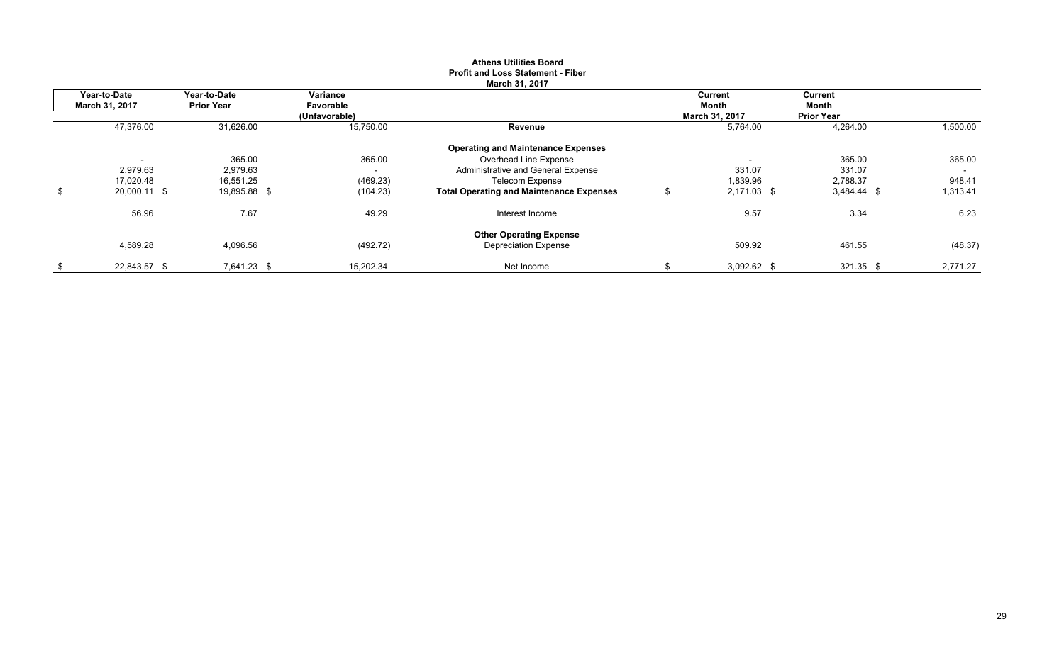|                |                   |                          | <b>March 31, 2017</b>                           |                |                   |                          |
|----------------|-------------------|--------------------------|-------------------------------------------------|----------------|-------------------|--------------------------|
| Year-to-Date   | Year-to-Date      | Variance                 |                                                 | <b>Current</b> | Current           |                          |
| March 31, 2017 | <b>Prior Year</b> | Favorable                |                                                 | Month          | Month             |                          |
|                |                   | (Unfavorable)            |                                                 | March 31, 2017 | <b>Prior Year</b> |                          |
| 47,376.00      | 31,626.00         | 15,750.00                | Revenue                                         | 5,764.00       | 4,264.00          | 1,500.00                 |
|                |                   |                          | <b>Operating and Maintenance Expenses</b>       |                |                   |                          |
| -              | 365.00            | 365.00                   | Overhead Line Expense                           | ۰.             | 365.00            | 365.00                   |
| 2,979.63       | 2,979.63          | $\overline{\phantom{0}}$ | Administrative and General Expense              | 331.07         | 331.07            | $\overline{\phantom{0}}$ |
| 17,020.48      | 16,551.25         | (469.23)                 | Telecom Expense                                 | 1,839.96       | 2,788.37          | 948.41                   |
| 20,000.11 \$   | 19,895.88 \$      | (104.23)                 | <b>Total Operating and Maintenance Expenses</b> | 2,171.03 \$    | 3,484.44 \$       | 1,313.41                 |
| 56.96          | 7.67              | 49.29                    | Interest Income                                 | 9.57           | 3.34              | 6.23                     |
|                |                   |                          | <b>Other Operating Expense</b>                  |                |                   |                          |
| 4,589.28       | 4,096.56          | (492.72)                 | <b>Depreciation Expense</b>                     | 509.92         | 461.55            | (48.37)                  |
| 22,843.57 \$   | 7.641.23 \$       | 15,202.34                | Net Income                                      | $3.092.62$ \$  | 321.35 \$         | 2,771.27                 |

## **Athens Utilities Board Profit and Loss Statement - Fiber**